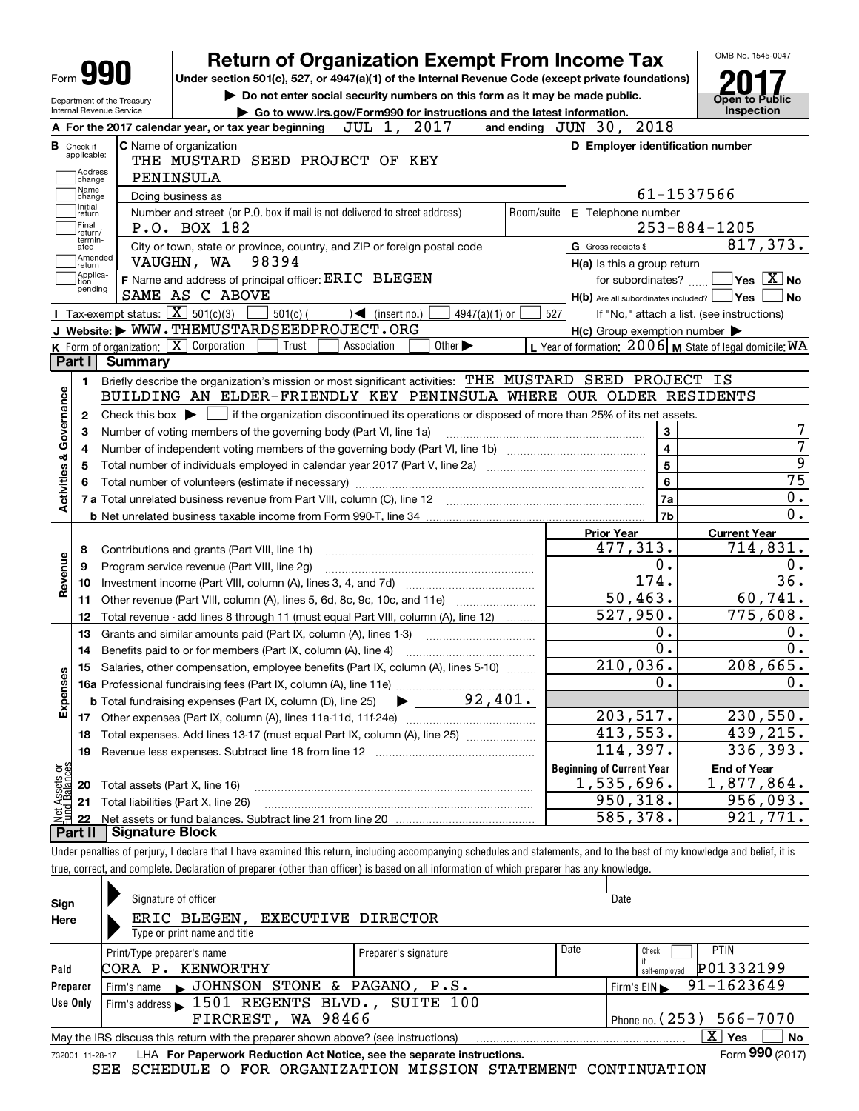|                                | Form YYU<br>Department of the Treasury                |                | Under section 501(c), 527, or 4947(a)(1) of the Internal Revenue Code (except private foundations)<br>Do not enter social security numbers on this form as it may be made public. |                                                                                | Open to Public                         |
|--------------------------------|-------------------------------------------------------|----------------|-----------------------------------------------------------------------------------------------------------------------------------------------------------------------------------|--------------------------------------------------------------------------------|----------------------------------------|
|                                | Internal Revenue Service                              |                | Go to www.irs.gov/Form990 for instructions and the latest information.                                                                                                            |                                                                                | Inspection                             |
|                                |                                                       |                | JUL 1,<br>2017<br>A For the 2017 calendar year, or tax year beginning                                                                                                             | 2018<br>and ending $JUN$ $30$ ,                                                |                                        |
|                                | <b>B</b> Check if<br>applicable:<br>Address<br>change |                | <b>C</b> Name of organization<br>THE MUSTARD SEED PROJECT OF KEY<br>PENINSULA                                                                                                     | D Employer identification number                                               |                                        |
|                                | Name<br>change                                        |                | Doing business as                                                                                                                                                                 | 61-1537566                                                                     |                                        |
|                                | Initial<br> return<br> Final<br>return/               |                | Number and street (or P.O. box if mail is not delivered to street address)<br>Room/suite<br>P.O. BOX 182                                                                          | E Telephone number                                                             | $253 - 884 - 1205$                     |
|                                | termin-<br>ated<br>Amended<br>return                  |                | City or town, state or province, country, and ZIP or foreign postal code<br>98394<br>VAUGHN, WA                                                                                   | G Gross receipts \$<br>H(a) Is this a group return                             | 817,373.                               |
|                                | Applica-<br>tion<br>pending                           |                | F Name and address of principal officer: ERIC BLEGEN<br>SAME AS C ABOVE                                                                                                           | for subordinates? $\ldots$<br>$H(b)$ Are all subordinates included? $\Box$ Yes | $\sqrt{}$ Yes $\sqrt{}$ X $\sqrt{}$ No |
|                                |                                                       |                | Tax-exempt status: $\boxed{\mathbf{X}}$ 501(c)(3)<br>$\sqrt{\frac{2}{1}}$ (insert no.)<br>$501(c)$ (<br>4947(a)(1) or                                                             | 527<br>If "No," attach a list. (see instructions)                              |                                        |
|                                |                                                       |                | J Website: WWW.THEMUSTARDSEEDPROJECT.ORG                                                                                                                                          | $H(c)$ Group exemption number $\blacktriangleright$                            |                                        |
|                                | Part I                                                |                | K Form of organization: $\boxed{\mathbf{X}}$ Corporation<br>Trust<br>Other $\blacktriangleright$<br>Association                                                                   | L Year of formation: $2006$ M State of legal domicile: WA                      |                                        |
|                                |                                                       | <b>Summary</b> |                                                                                                                                                                                   |                                                                                |                                        |
|                                | 1.                                                    |                | Briefly describe the organization's mission or most significant activities: THE MUSTARD SEED PROJECT IS                                                                           |                                                                                |                                        |
|                                |                                                       |                | BUILDING AN ELDER-FRIENDLY KEY PENINSULA WHERE OUR OLDER RESIDENTS                                                                                                                |                                                                                |                                        |
|                                | 2                                                     |                | Check this box $\blacktriangleright$ $\Box$ if the organization discontinued its operations or disposed of more than 25% of its net assets.                                       |                                                                                |                                        |
|                                | з                                                     |                | Number of voting members of the governing body (Part VI, line 1a)                                                                                                                 | 3                                                                              |                                        |
|                                | 4                                                     |                |                                                                                                                                                                                   | $\overline{\mathbf{4}}$                                                        |                                        |
|                                | 5                                                     |                |                                                                                                                                                                                   | 5                                                                              |                                        |
|                                | 6                                                     |                |                                                                                                                                                                                   | 6                                                                              |                                        |
| Activities & Governance        |                                                       |                |                                                                                                                                                                                   | 7a                                                                             |                                        |
|                                |                                                       |                |                                                                                                                                                                                   | 7 <sub>b</sub>                                                                 |                                        |
|                                |                                                       |                |                                                                                                                                                                                   |                                                                                |                                        |
|                                |                                                       |                |                                                                                                                                                                                   | <b>Prior Year</b>                                                              | <b>Current Year</b>                    |
|                                | 8                                                     |                | Contributions and grants (Part VIII, line 1h)                                                                                                                                     | 477, 313.                                                                      | 714,831.                               |
| Revenue                        | 9                                                     |                | Program service revenue (Part VIII, line 2g)                                                                                                                                      | 0.                                                                             |                                        |
|                                | 10                                                    |                |                                                                                                                                                                                   | 174.                                                                           | 36.                                    |
|                                | 11                                                    |                | Other revenue (Part VIII, column (A), lines 5, 6d, 8c, 9c, 10c, and 11e)                                                                                                          | 50,463.                                                                        | 60, 741.                               |
|                                | 12                                                    |                | Total revenue - add lines 8 through 11 (must equal Part VIII, column (A), line 12)                                                                                                | 527,950.                                                                       | 775,608.                               |
|                                | 13                                                    |                | Grants and similar amounts paid (Part IX, column (A), lines 1-3) <i></i>                                                                                                          | Ο.                                                                             |                                        |
|                                | 14                                                    |                | Benefits paid to or for members (Part IX, column (A), line 4)                                                                                                                     | $\overline{0}$ .                                                               |                                        |
|                                |                                                       |                |                                                                                                                                                                                   | 210,036.                                                                       | 208,665.                               |
| w                              |                                                       |                | 15 Salaries, other compensation, employee benefits (Part IX, column (A), lines 5-10)                                                                                              | 0.                                                                             |                                        |
|                                |                                                       |                |                                                                                                                                                                                   |                                                                                |                                        |
| Expense                        |                                                       |                | $\blacktriangleright$ 92,401.<br><b>b</b> Total fundraising expenses (Part IX, column (D), line 25)                                                                               |                                                                                |                                        |
|                                | 17                                                    |                |                                                                                                                                                                                   | 203,517.                                                                       | 230,550.                               |
|                                | 18                                                    |                | Total expenses. Add lines 13-17 (must equal Part IX, column (A), line 25)                                                                                                         | 413,553.                                                                       | 439,215.                               |
|                                | 19                                                    |                | Revenue less expenses. Subtract line 18 from line 12                                                                                                                              | 114,397.                                                                       | 336, 393.                              |
|                                |                                                       |                |                                                                                                                                                                                   | <b>Beginning of Current Year</b>                                               | <b>End of Year</b>                     |
|                                | 20                                                    |                | Total assets (Part X, line 16)                                                                                                                                                    | 1,535,696.                                                                     | 1,877,864.                             |
|                                | 21                                                    |                | Total liabilities (Part X, line 26)                                                                                                                                               | 950,318.                                                                       | 956,093.                               |
|                                |                                                       |                |                                                                                                                                                                                   |                                                                                |                                        |
| Net Assets or<br>Fund Balances | 22                                                    |                |                                                                                                                                                                                   | 585,378.                                                                       | 921,771.                               |

| Sign     | Signature of officer                                                                                             |                            |      | Date                       |  |  |  |  |  |  |
|----------|------------------------------------------------------------------------------------------------------------------|----------------------------|------|----------------------------|--|--|--|--|--|--|
| Here     | ERIC BLEGEN,<br><b>EXECUTIVE DIRECTOR</b>                                                                        |                            |      |                            |  |  |  |  |  |  |
|          | Type or print name and title                                                                                     |                            |      |                            |  |  |  |  |  |  |
|          | Print/Type preparer's name                                                                                       | Preparer's signature       | Date | <b>PTIN</b><br>Check       |  |  |  |  |  |  |
| Paid     | CORA P. KENWORTHY                                                                                                | P01332199<br>self-emploved |      |                            |  |  |  |  |  |  |
| Preparer | Firm's name JOHNSON STONE & PAGANO, P.S.                                                                         |                            |      | 91-1623649<br>Firm's $EIN$ |  |  |  |  |  |  |
| Use Only | Firm's address 1501 REGENTS BLVD., SUITE 100                                                                     |                            |      |                            |  |  |  |  |  |  |
|          | FIRCREST, WA 98466<br>Phone no. $(253) 566 - 7070$                                                               |                            |      |                            |  |  |  |  |  |  |
|          | $\mathbf{x}$  <br>No<br>Yes<br>May the IRS discuss this return with the preparer shown above? (see instructions) |                            |      |                            |  |  |  |  |  |  |
|          | Form 990 (2017)<br>LHA For Paperwork Reduction Act Notice, see the separate instructions.<br>732001 11-28-17     |                            |      |                            |  |  |  |  |  |  |

SEE SCHEDULE O FOR ORGANIZATION MISSION STATEMENT CONTINUATION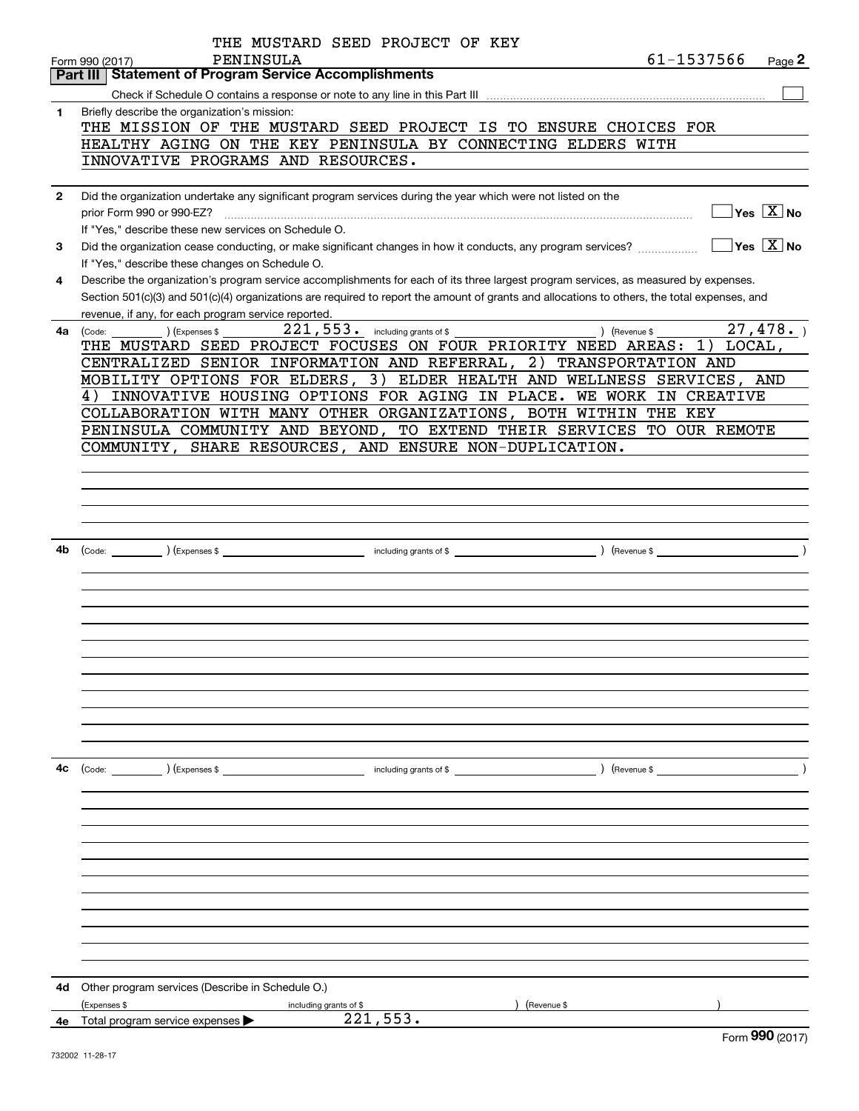|              | THE MUSTARD SEED PROJECT OF KEY                                                                                                                                                         |
|--------------|-----------------------------------------------------------------------------------------------------------------------------------------------------------------------------------------|
|              | 61-1537566<br>PENINSULA<br>Page 2<br>Form 990 (2017)<br><b>Statement of Program Service Accomplishments</b><br>Part III                                                                 |
|              |                                                                                                                                                                                         |
| 1            | Briefly describe the organization's mission:                                                                                                                                            |
|              | THE MISSION OF THE MUSTARD SEED PROJECT IS TO ENSURE CHOICES FOR                                                                                                                        |
|              | HEALTHY AGING ON THE KEY PENINSULA BY CONNECTING ELDERS WITH                                                                                                                            |
|              | INNOVATIVE PROGRAMS AND RESOURCES.                                                                                                                                                      |
|              |                                                                                                                                                                                         |
| $\mathbf{2}$ | Did the organization undertake any significant program services during the year which were not listed on the                                                                            |
|              | $\sqrt{}$ Yes $\sqrt{X}$ No<br>prior Form 990 or 990-EZ?                                                                                                                                |
|              | If "Yes," describe these new services on Schedule O.                                                                                                                                    |
| 3            | $\sqrt{}$ Yes $\sqrt{}$ X $\sqrt{}$ No<br>Did the organization cease conducting, or make significant changes in how it conducts, any program services?                                  |
|              | If "Yes," describe these changes on Schedule O.<br>Describe the organization's program service accomplishments for each of its three largest program services, as measured by expenses. |
| 4            | Section 501(c)(3) and 501(c)(4) organizations are required to report the amount of grants and allocations to others, the total expenses, and                                            |
|              | revenue, if any, for each program service reported.                                                                                                                                     |
| 4a           | $\overline{27}$ , 478.<br>$221,553$ $\cdot$ including grants of \$<br>) (Revenue \$<br>(Expenses \$<br>(Code:                                                                           |
|              | THE MUSTARD SEED PROJECT FOCUSES ON FOUR PRIORITY NEED AREAS:<br>$1)$ LOCAL,                                                                                                            |
|              | CENTRALIZED SENIOR INFORMATION AND REFERRAL, 2) TRANSPORTATION AND                                                                                                                      |
|              | MOBILITY OPTIONS FOR ELDERS, 3) ELDER HEALTH AND WELLNESS SERVICES, AND                                                                                                                 |
|              | INNOVATIVE HOUSING OPTIONS FOR AGING IN PLACE. WE WORK IN CREATIVE<br>4)                                                                                                                |
|              | COLLABORATION WITH MANY OTHER ORGANIZATIONS, BOTH WITHIN THE KEY                                                                                                                        |
|              | PENINSULA COMMUNITY AND BEYOND, TO EXTEND THEIR SERVICES TO OUR REMOTE                                                                                                                  |
|              | COMMUNITY, SHARE RESOURCES, AND ENSURE NON-DUPLICATION.                                                                                                                                 |
|              |                                                                                                                                                                                         |
|              |                                                                                                                                                                                         |
|              |                                                                                                                                                                                         |
|              |                                                                                                                                                                                         |
| 4b           |                                                                                                                                                                                         |
|              |                                                                                                                                                                                         |
|              |                                                                                                                                                                                         |
|              |                                                                                                                                                                                         |
|              |                                                                                                                                                                                         |
|              |                                                                                                                                                                                         |
|              |                                                                                                                                                                                         |
|              |                                                                                                                                                                                         |
|              |                                                                                                                                                                                         |
|              |                                                                                                                                                                                         |
|              |                                                                                                                                                                                         |
|              |                                                                                                                                                                                         |
|              |                                                                                                                                                                                         |
| 4c           | (Code: ) (Expenses \$<br>including grants of \$<br>) (Revenue \$                                                                                                                        |
|              |                                                                                                                                                                                         |
|              |                                                                                                                                                                                         |
|              |                                                                                                                                                                                         |
|              |                                                                                                                                                                                         |
|              |                                                                                                                                                                                         |
|              |                                                                                                                                                                                         |
|              |                                                                                                                                                                                         |
|              |                                                                                                                                                                                         |
|              |                                                                                                                                                                                         |
|              |                                                                                                                                                                                         |
|              |                                                                                                                                                                                         |
| 4d           | Other program services (Describe in Schedule O.)                                                                                                                                        |
|              | (Expenses \$<br>Revenue \$<br>including grants of \$                                                                                                                                    |
|              | 221,553.<br><b>4e</b> Total program service expenses $\blacktriangleright$                                                                                                              |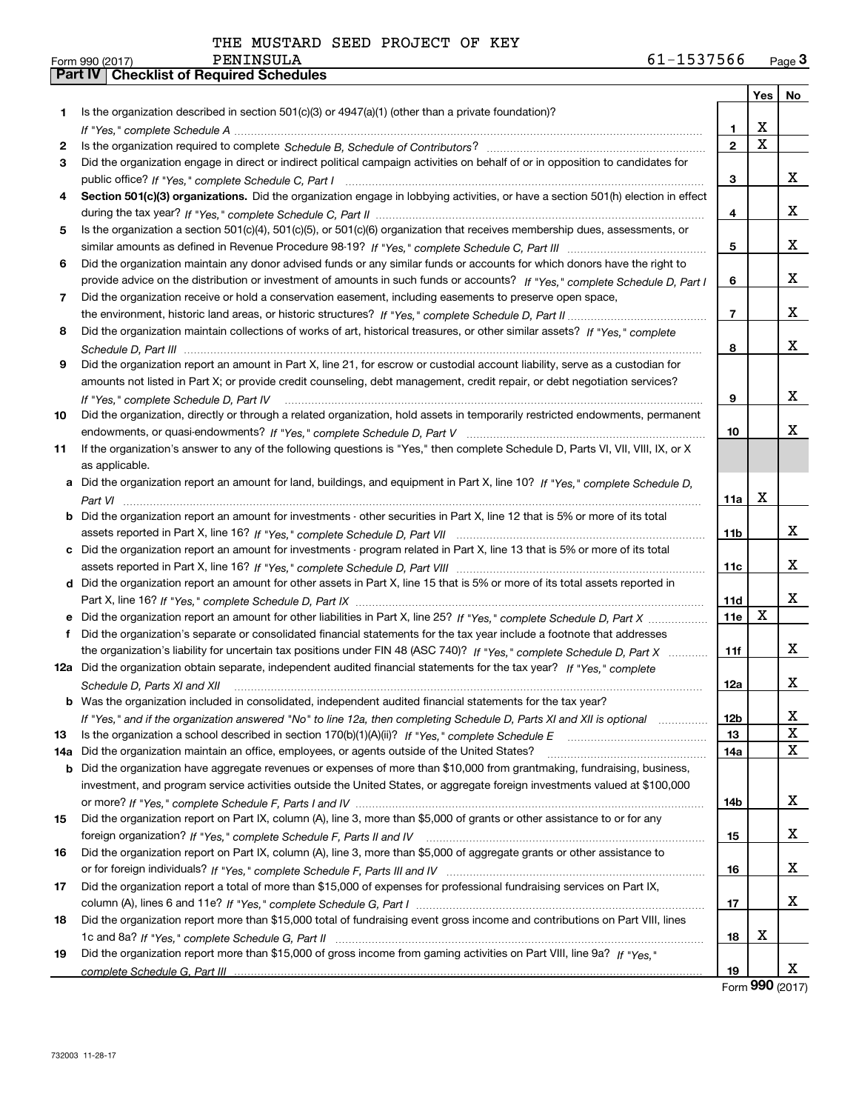|     |                                                                                                                                                                                                                                                     |                | <b>Yes</b>  | No          |
|-----|-----------------------------------------------------------------------------------------------------------------------------------------------------------------------------------------------------------------------------------------------------|----------------|-------------|-------------|
| 1   | Is the organization described in section $501(c)(3)$ or $4947(a)(1)$ (other than a private foundation)?                                                                                                                                             |                |             |             |
|     |                                                                                                                                                                                                                                                     | 1              | X           |             |
| 2   |                                                                                                                                                                                                                                                     | $\mathbf{2}$   | $\mathbf X$ |             |
| 3   | Did the organization engage in direct or indirect political campaign activities on behalf of or in opposition to candidates for                                                                                                                     |                |             |             |
|     |                                                                                                                                                                                                                                                     | 3              |             | x           |
| 4   | Section 501(c)(3) organizations. Did the organization engage in lobbying activities, or have a section 501(h) election in effect                                                                                                                    |                |             |             |
|     |                                                                                                                                                                                                                                                     | 4              |             | x           |
| 5   | Is the organization a section 501(c)(4), 501(c)(5), or 501(c)(6) organization that receives membership dues, assessments, or                                                                                                                        |                |             |             |
|     |                                                                                                                                                                                                                                                     | 5              |             | x           |
| 6   | Did the organization maintain any donor advised funds or any similar funds or accounts for which donors have the right to                                                                                                                           |                |             |             |
|     | provide advice on the distribution or investment of amounts in such funds or accounts? If "Yes," complete Schedule D, Part I                                                                                                                        | 6              |             | x           |
| 7   | Did the organization receive or hold a conservation easement, including easements to preserve open space,                                                                                                                                           |                |             |             |
|     |                                                                                                                                                                                                                                                     | $\overline{7}$ |             | x           |
| 8   | Did the organization maintain collections of works of art, historical treasures, or other similar assets? If "Yes," complete                                                                                                                        |                |             |             |
|     |                                                                                                                                                                                                                                                     | 8              |             | x           |
| 9   | Did the organization report an amount in Part X, line 21, for escrow or custodial account liability, serve as a custodian for                                                                                                                       |                |             |             |
|     | amounts not listed in Part X; or provide credit counseling, debt management, credit repair, or debt negotiation services?                                                                                                                           |                |             |             |
|     | If "Yes," complete Schedule D, Part IV                                                                                                                                                                                                              | 9              |             | x           |
| 10  | Did the organization, directly or through a related organization, hold assets in temporarily restricted endowments, permanent                                                                                                                       |                |             |             |
|     |                                                                                                                                                                                                                                                     | 10             |             | x           |
| 11  | If the organization's answer to any of the following questions is "Yes," then complete Schedule D, Parts VI, VII, VIII, IX, or X                                                                                                                    |                |             |             |
|     | as applicable.                                                                                                                                                                                                                                      |                |             |             |
|     | a Did the organization report an amount for land, buildings, and equipment in Part X, line 10? If "Yes," complete Schedule D,                                                                                                                       |                |             |             |
|     |                                                                                                                                                                                                                                                     | 11a            | X           |             |
|     | <b>b</b> Did the organization report an amount for investments - other securities in Part X, line 12 that is 5% or more of its total                                                                                                                |                |             |             |
|     |                                                                                                                                                                                                                                                     | 11b            |             | X.          |
|     | c Did the organization report an amount for investments - program related in Part X, line 13 that is 5% or more of its total                                                                                                                        |                |             | x           |
|     |                                                                                                                                                                                                                                                     | 11c            |             |             |
|     | d Did the organization report an amount for other assets in Part X, line 15 that is 5% or more of its total assets reported in                                                                                                                      |                |             | x           |
|     |                                                                                                                                                                                                                                                     | 11d<br>11e     | X           |             |
|     | e Did the organization report an amount for other liabilities in Part X, line 25? If "Yes," complete Schedule D, Part X                                                                                                                             |                |             |             |
|     | f Did the organization's separate or consolidated financial statements for the tax year include a footnote that addresses<br>the organization's liability for uncertain tax positions under FIN 48 (ASC 740)? If "Yes," complete Schedule D, Part X | 11f            |             | x           |
|     | 12a Did the organization obtain separate, independent audited financial statements for the tax year? If "Yes," complete                                                                                                                             |                |             |             |
|     |                                                                                                                                                                                                                                                     | 12a            |             | x           |
|     | Schedule D, Parts XI and XII<br><b>b</b> Was the organization included in consolidated, independent audited financial statements for the tax year?                                                                                                  |                |             |             |
|     | If "Yes," and if the organization answered "No" to line 12a, then completing Schedule D, Parts XI and XII is optional                                                                                                                               | 12b            |             | X           |
| 13  |                                                                                                                                                                                                                                                     | 13             |             | $\mathbf X$ |
| 14a | Did the organization maintain an office, employees, or agents outside of the United States?                                                                                                                                                         | 14a            |             | X           |
| b   | Did the organization have aggregate revenues or expenses of more than \$10,000 from grantmaking, fundraising, business,                                                                                                                             |                |             |             |
|     | investment, and program service activities outside the United States, or aggregate foreign investments valued at \$100,000                                                                                                                          |                |             |             |
|     |                                                                                                                                                                                                                                                     | 14b            |             | x           |
| 15  | Did the organization report on Part IX, column (A), line 3, more than \$5,000 of grants or other assistance to or for any                                                                                                                           |                |             |             |
|     |                                                                                                                                                                                                                                                     | 15             |             | x           |
| 16  | Did the organization report on Part IX, column (A), line 3, more than \$5,000 of aggregate grants or other assistance to                                                                                                                            |                |             |             |
|     |                                                                                                                                                                                                                                                     | 16             |             | x           |
| 17  | Did the organization report a total of more than \$15,000 of expenses for professional fundraising services on Part IX,                                                                                                                             |                |             |             |
|     |                                                                                                                                                                                                                                                     | 17             |             | x           |
| 18  | Did the organization report more than \$15,000 total of fundraising event gross income and contributions on Part VIII, lines                                                                                                                        |                |             |             |
|     |                                                                                                                                                                                                                                                     | 18             | X           |             |
| 19  | Did the organization report more than \$15,000 of gross income from gaming activities on Part VIII, line 9a? If "Yes."                                                                                                                              |                |             |             |
|     |                                                                                                                                                                                                                                                     | 19             |             | X           |

Form (2017) **990**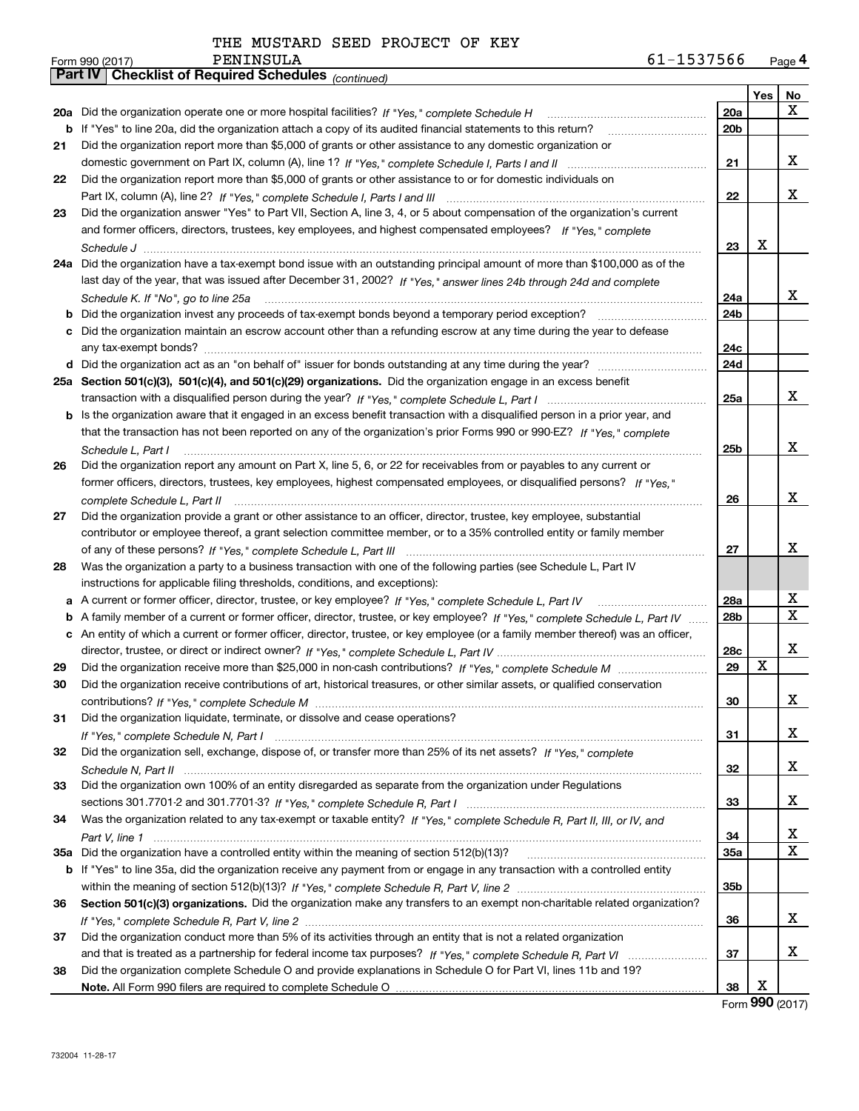|  |  |  | THE MUSTARD SEED PROJECT OF KEY |  |  |
|--|--|--|---------------------------------|--|--|
|--|--|--|---------------------------------|--|--|

|    | Pall IV  <br>Criecklist of Required Scriedules (continued)                                                                        |           |     |             |
|----|-----------------------------------------------------------------------------------------------------------------------------------|-----------|-----|-------------|
|    |                                                                                                                                   |           | Yes | No          |
|    | 20a Did the organization operate one or more hospital facilities? If "Yes," complete Schedule H                                   | 20a       |     | х           |
|    | <b>b</b> If "Yes" to line 20a, did the organization attach a copy of its audited financial statements to this return?             | 20b       |     |             |
| 21 | Did the organization report more than \$5,000 of grants or other assistance to any domestic organization or                       |           |     |             |
|    |                                                                                                                                   | 21        |     | х           |
| 22 | Did the organization report more than \$5,000 of grants or other assistance to or for domestic individuals on                     |           |     |             |
|    |                                                                                                                                   | 22        |     | х           |
| 23 | Did the organization answer "Yes" to Part VII, Section A, line 3, 4, or 5 about compensation of the organization's current        |           |     |             |
|    | and former officers, directors, trustees, key employees, and highest compensated employees? If "Yes," complete                    |           |     |             |
|    |                                                                                                                                   | 23        | х   |             |
|    | 24a Did the organization have a tax-exempt bond issue with an outstanding principal amount of more than \$100,000 as of the       |           |     |             |
|    | last day of the year, that was issued after December 31, 2002? If "Yes," answer lines 24b through 24d and complete                |           |     |             |
|    | Schedule K. If "No", go to line 25a                                                                                               | 24a       |     | х           |
|    | <b>b</b> Did the organization invest any proceeds of tax-exempt bonds beyond a temporary period exception?                        | 24b       |     |             |
|    | c Did the organization maintain an escrow account other than a refunding escrow at any time during the year to defease            |           |     |             |
|    |                                                                                                                                   | 24с       |     |             |
|    |                                                                                                                                   | 24d       |     |             |
|    | 25a Section 501(c)(3), 501(c)(4), and 501(c)(29) organizations. Did the organization engage in an excess benefit                  |           |     |             |
|    |                                                                                                                                   | 25a       |     | x           |
|    | b Is the organization aware that it engaged in an excess benefit transaction with a disqualified person in a prior year, and      |           |     |             |
|    | that the transaction has not been reported on any of the organization's prior Forms 990 or 990-EZ? If "Yes," complete             |           |     |             |
|    | Schedule L. Part I                                                                                                                | 25b       |     | x           |
| 26 | Did the organization report any amount on Part X, line 5, 6, or 22 for receivables from or payables to any current or             |           |     |             |
|    | former officers, directors, trustees, key employees, highest compensated employees, or disqualified persons? If "Yes."            |           |     |             |
|    |                                                                                                                                   | 26        |     | х           |
| 27 | Did the organization provide a grant or other assistance to an officer, director, trustee, key employee, substantial              |           |     |             |
|    | contributor or employee thereof, a grant selection committee member, or to a 35% controlled entity or family member               |           |     |             |
|    |                                                                                                                                   | 27        |     | х           |
| 28 | Was the organization a party to a business transaction with one of the following parties (see Schedule L, Part IV                 |           |     |             |
|    | instructions for applicable filing thresholds, conditions, and exceptions):                                                       |           |     |             |
|    | a A current or former officer, director, trustee, or key employee? If "Yes," complete Schedule L, Part IV                         | 28a       |     | X           |
|    |                                                                                                                                   | 28b       |     | $\mathbf X$ |
|    | b A family member of a current or former officer, director, trustee, or key employee? If "Yes," complete Schedule L, Part IV      |           |     |             |
|    | c An entity of which a current or former officer, director, trustee, or key employee (or a family member thereof) was an officer, |           |     | х           |
|    |                                                                                                                                   | 28c<br>29 | x   |             |
| 29 |                                                                                                                                   |           |     |             |
| 30 | Did the organization receive contributions of art, historical treasures, or other similar assets, or qualified conservation       |           |     | х           |
|    |                                                                                                                                   | 30        |     |             |
| 31 | Did the organization liquidate, terminate, or dissolve and cease operations?                                                      |           |     |             |
|    |                                                                                                                                   | 31        |     | x           |
| 32 | Did the organization sell, exchange, dispose of, or transfer more than 25% of its net assets? If "Yes," complete                  |           |     |             |
|    |                                                                                                                                   | 32        |     | x           |
| 33 | Did the organization own 100% of an entity disregarded as separate from the organization under Regulations                        |           |     |             |
|    |                                                                                                                                   | 33        |     | х           |
| 34 | Was the organization related to any tax-exempt or taxable entity? If "Yes," complete Schedule R, Part II, III, or IV, and         |           |     |             |
|    |                                                                                                                                   | 34        |     | x           |
|    | 35a Did the organization have a controlled entity within the meaning of section 512(b)(13)?                                       | 35a       |     | х           |
|    | b If "Yes" to line 35a, did the organization receive any payment from or engage in any transaction with a controlled entity       |           |     |             |
|    |                                                                                                                                   | 35b       |     |             |
| 36 | Section 501(c)(3) organizations. Did the organization make any transfers to an exempt non-charitable related organization?        |           |     |             |
|    |                                                                                                                                   | 36        |     | x           |
| 37 | Did the organization conduct more than 5% of its activities through an entity that is not a related organization                  |           |     |             |
|    |                                                                                                                                   | 37        |     | х           |
| 38 | Did the organization complete Schedule O and provide explanations in Schedule O for Part VI, lines 11b and 19?                    |           |     |             |
|    |                                                                                                                                   | 38        | х   |             |

Form (2017) **990**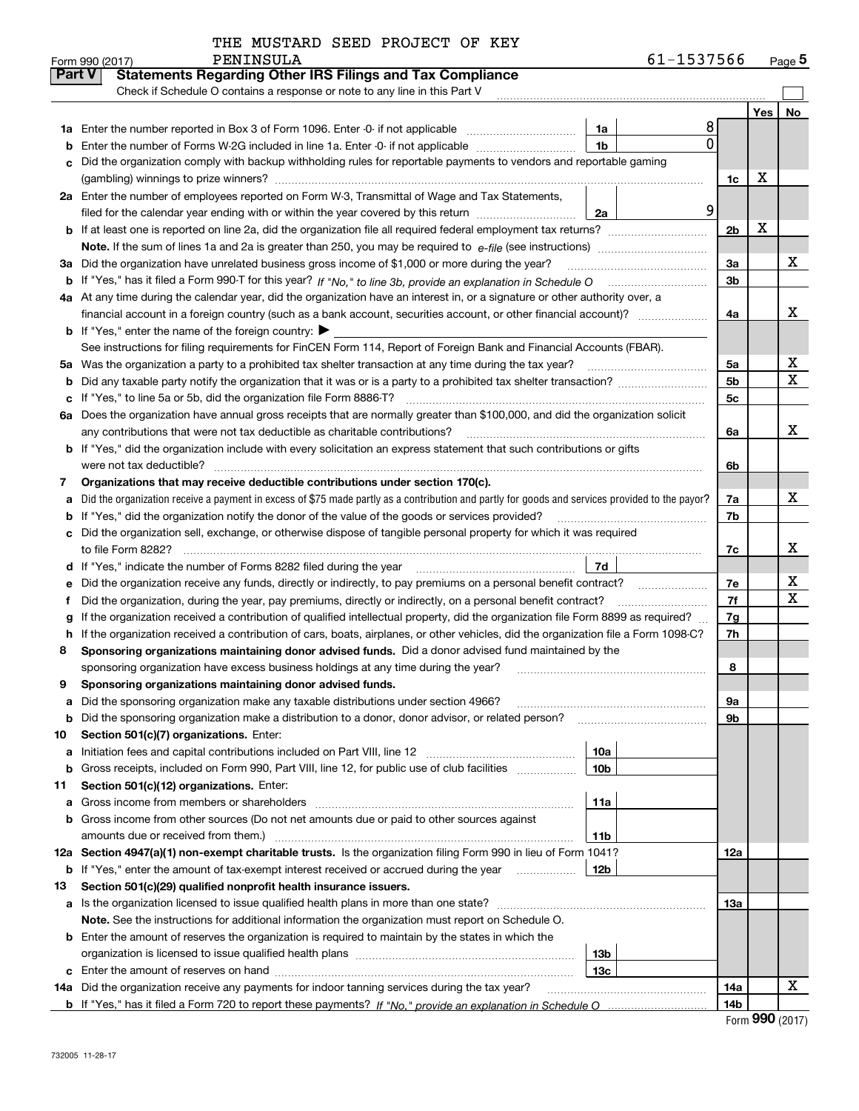|  |  |  |  | THE MUSTARD SEED PROJECT OF KEY |  |  |
|--|--|--|--|---------------------------------|--|--|
|--|--|--|--|---------------------------------|--|--|

|               | PENINSULA<br>Form 990 (2017)                                                                                                                      | 61-1537566     |     | Page $5$ |
|---------------|---------------------------------------------------------------------------------------------------------------------------------------------------|----------------|-----|----------|
| <b>Part V</b> | <b>Statements Regarding Other IRS Filings and Tax Compliance</b>                                                                                  |                |     |          |
|               | Check if Schedule O contains a response or note to any line in this Part V                                                                        |                |     |          |
|               |                                                                                                                                                   |                | Yes | No       |
|               | <b>1a</b> Enter the number reported in Box 3 of Form 1096. Enter -0- if not applicable<br>1a                                                      | 8              |     |          |
| b             | 1 <sub>b</sub><br>Enter the number of Forms W-2G included in line 1a. Enter -0- if not applicable                                                 | 0              |     |          |
|               | Did the organization comply with backup withholding rules for reportable payments to vendors and reportable gaming                                |                |     |          |
|               |                                                                                                                                                   | 1c             | х   |          |
|               | 2a Enter the number of employees reported on Form W-3, Transmittal of Wage and Tax Statements,                                                    |                |     |          |
|               | filed for the calendar year ending with or within the year covered by this return<br>2a                                                           | 9              |     |          |
|               |                                                                                                                                                   | 2 <sub>b</sub> | X   |          |
|               |                                                                                                                                                   |                |     |          |
|               | 3a Did the organization have unrelated business gross income of \$1,000 or more during the year?                                                  | 3a             |     | x        |
|               |                                                                                                                                                   | 3b             |     |          |
|               | 4a At any time during the calendar year, did the organization have an interest in, or a signature or other authority over, a                      |                |     |          |
|               |                                                                                                                                                   | 4a             |     | x        |
|               | <b>b</b> If "Yes," enter the name of the foreign country: $\blacktriangleright$                                                                   |                |     |          |
|               | See instructions for filing requirements for FinCEN Form 114, Report of Foreign Bank and Financial Accounts (FBAR).                               |                |     |          |
| 5a            | Was the organization a party to a prohibited tax shelter transaction at any time during the tax year?                                             | 5a             |     | х        |
| b             |                                                                                                                                                   | 5 <sub>b</sub> |     | х        |
| c             | If "Yes," to line 5a or 5b, did the organization file Form 8886-T?                                                                                | 5c             |     |          |
| 6а            | Does the organization have annual gross receipts that are normally greater than \$100,000, and did the organization solicit                       |                |     |          |
|               | any contributions that were not tax deductible as charitable contributions?                                                                       | 6a             |     | x        |
|               | <b>b</b> If "Yes," did the organization include with every solicitation an express statement that such contributions or gifts                     |                |     |          |
|               | were not tax deductible?                                                                                                                          | 6b             |     |          |
| 7             | Organizations that may receive deductible contributions under section 170(c).                                                                     |                |     |          |
| a             | Did the organization receive a payment in excess of \$75 made partly as a contribution and partly for goods and services provided to the payor?   | 7a             |     | x        |
| b             | If "Yes," did the organization notify the donor of the value of the goods or services provided?                                                   | 7b             |     |          |
|               | Did the organization sell, exchange, or otherwise dispose of tangible personal property for which it was required                                 |                |     |          |
|               |                                                                                                                                                   | 7c             |     | x        |
| d             | 7d  <br>If "Yes," indicate the number of Forms 8282 filed during the year [11] [11] Wes," indicate the number of Forms 8282 filed during the year |                |     |          |
| е             | Did the organization receive any funds, directly or indirectly, to pay premiums on a personal benefit contract?                                   | 7e             |     | х        |
| f             | Did the organization, during the year, pay premiums, directly or indirectly, on a personal benefit contract?                                      | 7f             |     | х        |
| g             | If the organization received a contribution of qualified intellectual property, did the organization file Form 8899 as required?                  | 7g             |     |          |
| h.            | If the organization received a contribution of cars, boats, airplanes, or other vehicles, did the organization file a Form 1098-C?                | 7h             |     |          |
| 8             | Sponsoring organizations maintaining donor advised funds. Did a donor advised fund maintained by the                                              |                |     |          |
|               | sponsoring organization have excess business holdings at any time during the year?                                                                | 8              |     |          |
|               | Sponsoring organizations maintaining donor advised funds.                                                                                         |                |     |          |
| a             | Did the sponsoring organization make any taxable distributions under section 4966?                                                                | 9а             |     |          |
| b             | Did the sponsoring organization make a distribution to a donor, donor advisor, or related person?                                                 | 9b             |     |          |
| 10            | Section 501(c)(7) organizations. Enter:                                                                                                           |                |     |          |
| a             | 10a<br>Initiation fees and capital contributions included on Part VIII, line 12 <i>manuarrouus</i> manuations of the lates                        |                |     |          |
| b             | 10 <sub>b</sub><br>Gross receipts, included on Form 990, Part VIII, line 12, for public use of club facilities                                    |                |     |          |
| 11            | Section 501(c)(12) organizations. Enter:                                                                                                          |                |     |          |
| a             | 11a<br>Gross income from members or shareholders                                                                                                  |                |     |          |
| b             | Gross income from other sources (Do not net amounts due or paid to other sources against                                                          |                |     |          |
|               | amounts due or received from them.)<br>11b                                                                                                        |                |     |          |
|               | 12a Section 4947(a)(1) non-exempt charitable trusts. Is the organization filing Form 990 in lieu of Form 1041?                                    | 12a            |     |          |
|               | 12b<br><b>b</b> If "Yes," enter the amount of tax-exempt interest received or accrued during the year                                             |                |     |          |
| 13            | Section 501(c)(29) qualified nonprofit health insurance issuers.                                                                                  |                |     |          |
| a             | Is the organization licensed to issue qualified health plans in more than one state?                                                              | 13а            |     |          |
|               | Note. See the instructions for additional information the organization must report on Schedule O.                                                 |                |     |          |
|               | <b>b</b> Enter the amount of reserves the organization is required to maintain by the states in which the                                         |                |     |          |
|               | 13b                                                                                                                                               |                |     |          |
|               | 13с                                                                                                                                               |                |     |          |
|               | 14a Did the organization receive any payments for indoor tanning services during the tax year?                                                    | 14a            |     | x        |
|               |                                                                                                                                                   | 14b            |     |          |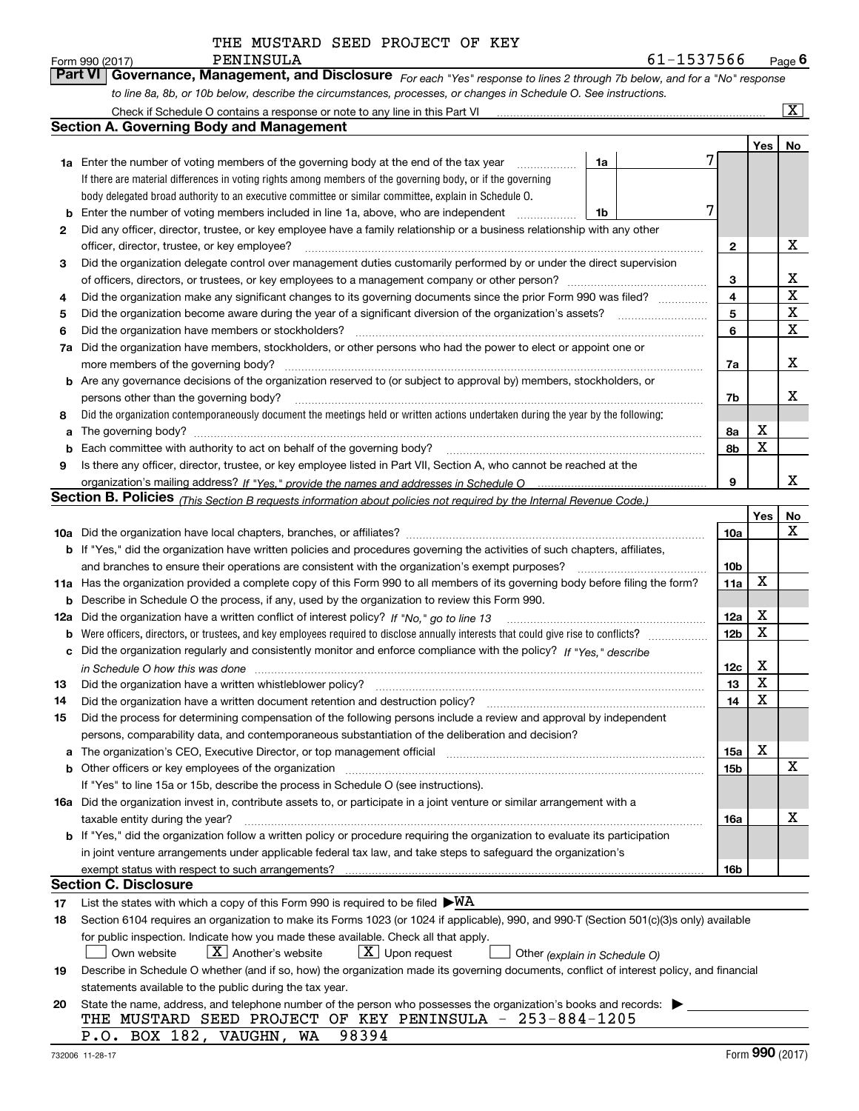*For each "Yes" response to lines 2 through 7b below, and for a "No" response to line 8a, 8b, or 10b below, describe the circumstances, processes, or changes in Schedule O. See instructions.* Form 990 (2017) PENINSULA<br>**Part VI** | Governance, Management, and Disclosure *For each* "Yes" response to lines 2 through 7b below, and for a "No" response

|     | Check if Schedule O contains a response or note to any line in this Part VI                                                                                                                                                    |                               |  |                 |     | x           |  |  |  |  |  |
|-----|--------------------------------------------------------------------------------------------------------------------------------------------------------------------------------------------------------------------------------|-------------------------------|--|-----------------|-----|-------------|--|--|--|--|--|
|     | <b>Section A. Governing Body and Management</b>                                                                                                                                                                                |                               |  |                 |     |             |  |  |  |  |  |
|     |                                                                                                                                                                                                                                |                               |  |                 | Yes | No          |  |  |  |  |  |
|     | 1a Enter the number of voting members of the governing body at the end of the tax year                                                                                                                                         | 1a                            |  |                 |     |             |  |  |  |  |  |
|     | If there are material differences in voting rights among members of the governing body, or if the governing                                                                                                                    |                               |  |                 |     |             |  |  |  |  |  |
|     | body delegated broad authority to an executive committee or similar committee, explain in Schedule O.                                                                                                                          |                               |  |                 |     |             |  |  |  |  |  |
| b   | 7<br>Enter the number of voting members included in line 1a, above, who are independent<br>1b                                                                                                                                  |                               |  |                 |     |             |  |  |  |  |  |
| 2   | Did any officer, director, trustee, or key employee have a family relationship or a business relationship with any other                                                                                                       |                               |  |                 |     |             |  |  |  |  |  |
|     | officer, director, trustee, or key employee?                                                                                                                                                                                   |                               |  | $\mathbf{2}$    |     | х           |  |  |  |  |  |
| 3   | Did the organization delegate control over management duties customarily performed by or under the direct supervision                                                                                                          |                               |  |                 |     |             |  |  |  |  |  |
|     |                                                                                                                                                                                                                                |                               |  | 3               |     | x           |  |  |  |  |  |
| 4   | Did the organization make any significant changes to its governing documents since the prior Form 990 was filed?                                                                                                               |                               |  | $\overline{4}$  |     | $\mathbf X$ |  |  |  |  |  |
| 5   |                                                                                                                                                                                                                                |                               |  | 5               |     | $\mathbf X$ |  |  |  |  |  |
| 6   | Did the organization have members or stockholders?                                                                                                                                                                             |                               |  | 6               |     | X           |  |  |  |  |  |
| 7a  | Did the organization have members, stockholders, or other persons who had the power to elect or appoint one or                                                                                                                 |                               |  |                 |     |             |  |  |  |  |  |
|     | more members of the governing body?                                                                                                                                                                                            |                               |  | 7a              |     | х           |  |  |  |  |  |
|     | <b>b</b> Are any governance decisions of the organization reserved to (or subject to approval by) members, stockholders, or                                                                                                    |                               |  |                 |     |             |  |  |  |  |  |
|     | persons other than the governing body?                                                                                                                                                                                         |                               |  | 7b              |     | x           |  |  |  |  |  |
| 8   | Did the organization contemporaneously document the meetings held or written actions undertaken during the year by the following:                                                                                              |                               |  |                 |     |             |  |  |  |  |  |
| a   | The governing body?                                                                                                                                                                                                            |                               |  | 8a              | х   |             |  |  |  |  |  |
| b   |                                                                                                                                                                                                                                |                               |  | 8b              | X   |             |  |  |  |  |  |
| 9   | Is there any officer, director, trustee, or key employee listed in Part VII, Section A, who cannot be reached at the                                                                                                           |                               |  |                 |     |             |  |  |  |  |  |
|     |                                                                                                                                                                                                                                |                               |  | 9               |     | x           |  |  |  |  |  |
|     | <b>Section B. Policies</b> (This Section B requests information about policies not required by the Internal Revenue Code.)                                                                                                     |                               |  |                 |     |             |  |  |  |  |  |
|     |                                                                                                                                                                                                                                |                               |  |                 | Yes | No          |  |  |  |  |  |
|     |                                                                                                                                                                                                                                |                               |  | 10a             |     | х           |  |  |  |  |  |
|     | <b>b</b> If "Yes," did the organization have written policies and procedures governing the activities of such chapters, affiliates,                                                                                            |                               |  |                 |     |             |  |  |  |  |  |
|     | and branches to ensure their operations are consistent with the organization's exempt purposes?                                                                                                                                |                               |  |                 |     |             |  |  |  |  |  |
|     | 11a Has the organization provided a complete copy of this Form 990 to all members of its governing body before filing the form?                                                                                                |                               |  |                 |     |             |  |  |  |  |  |
| b   | Describe in Schedule O the process, if any, used by the organization to review this Form 990.                                                                                                                                  |                               |  |                 |     |             |  |  |  |  |  |
| 12a | Did the organization have a written conflict of interest policy? If "No," go to line 13                                                                                                                                        |                               |  | 12a             | X   |             |  |  |  |  |  |
| b   |                                                                                                                                                                                                                                |                               |  | 12 <sub>b</sub> | X   |             |  |  |  |  |  |
| с   | Did the organization regularly and consistently monitor and enforce compliance with the policy? If "Yes." describe                                                                                                             |                               |  |                 |     |             |  |  |  |  |  |
|     | in Schedule O how this was done measured and the control of the control of the state of the control of the control of the control of the control of the control of the control of the control of the control of the control of |                               |  | 12c             | х   |             |  |  |  |  |  |
| 13  | Did the organization have a written whistleblower policy?                                                                                                                                                                      |                               |  | 13              | X   |             |  |  |  |  |  |
| 14  | Did the organization have a written document retention and destruction policy?                                                                                                                                                 |                               |  | 14              | X   |             |  |  |  |  |  |
| 15  | Did the process for determining compensation of the following persons include a review and approval by independent                                                                                                             |                               |  |                 |     |             |  |  |  |  |  |
|     | persons, comparability data, and contemporaneous substantiation of the deliberation and decision?                                                                                                                              |                               |  |                 |     |             |  |  |  |  |  |
| a   | The organization's CEO, Executive Director, or top management official manufactured content of the organization's CEO, Executive Director, or top management official                                                          |                               |  | 15a             | X   |             |  |  |  |  |  |
|     | <b>b</b> Other officers or key employees of the organization                                                                                                                                                                   |                               |  | 15b             |     | х           |  |  |  |  |  |
|     | If "Yes" to line 15a or 15b, describe the process in Schedule O (see instructions).                                                                                                                                            |                               |  |                 |     |             |  |  |  |  |  |
|     | 16a Did the organization invest in, contribute assets to, or participate in a joint venture or similar arrangement with a                                                                                                      |                               |  |                 |     |             |  |  |  |  |  |
|     | taxable entity during the year?                                                                                                                                                                                                |                               |  | 16a             |     | х           |  |  |  |  |  |
|     | b If "Yes," did the organization follow a written policy or procedure requiring the organization to evaluate its participation                                                                                                 |                               |  |                 |     |             |  |  |  |  |  |
|     | in joint venture arrangements under applicable federal tax law, and take steps to safeguard the organization's                                                                                                                 |                               |  |                 |     |             |  |  |  |  |  |
|     | exempt status with respect to such arrangements?                                                                                                                                                                               |                               |  | 16b             |     |             |  |  |  |  |  |
|     | <b>Section C. Disclosure</b>                                                                                                                                                                                                   |                               |  |                 |     |             |  |  |  |  |  |
| 17  | List the states with which a copy of this Form 990 is required to be filed $\blacktriangleright$ WA                                                                                                                            |                               |  |                 |     |             |  |  |  |  |  |
| 18  | Section 6104 requires an organization to make its Forms 1023 (or 1024 if applicable), 990, and 990-T (Section 501(c)(3)s only) available                                                                                       |                               |  |                 |     |             |  |  |  |  |  |
|     | for public inspection. Indicate how you made these available. Check all that apply.                                                                                                                                            |                               |  |                 |     |             |  |  |  |  |  |
|     | $X$ Another's website<br>$\lfloor X \rfloor$ Upon request<br>Own website                                                                                                                                                       | Other (explain in Schedule O) |  |                 |     |             |  |  |  |  |  |
| 19  | Describe in Schedule O whether (and if so, how) the organization made its governing documents, conflict of interest policy, and financial                                                                                      |                               |  |                 |     |             |  |  |  |  |  |
|     | statements available to the public during the tax year.                                                                                                                                                                        |                               |  |                 |     |             |  |  |  |  |  |
| 20  | State the name, address, and telephone number of the person who possesses the organization's books and records:                                                                                                                |                               |  |                 |     |             |  |  |  |  |  |
|     | THE MUSTARD SEED PROJECT OF KEY PENINSULA - 253-884-1205                                                                                                                                                                       |                               |  |                 |     |             |  |  |  |  |  |
|     | P.O. BOX 182, VAUGHN, WA 98394                                                                                                                                                                                                 |                               |  |                 |     |             |  |  |  |  |  |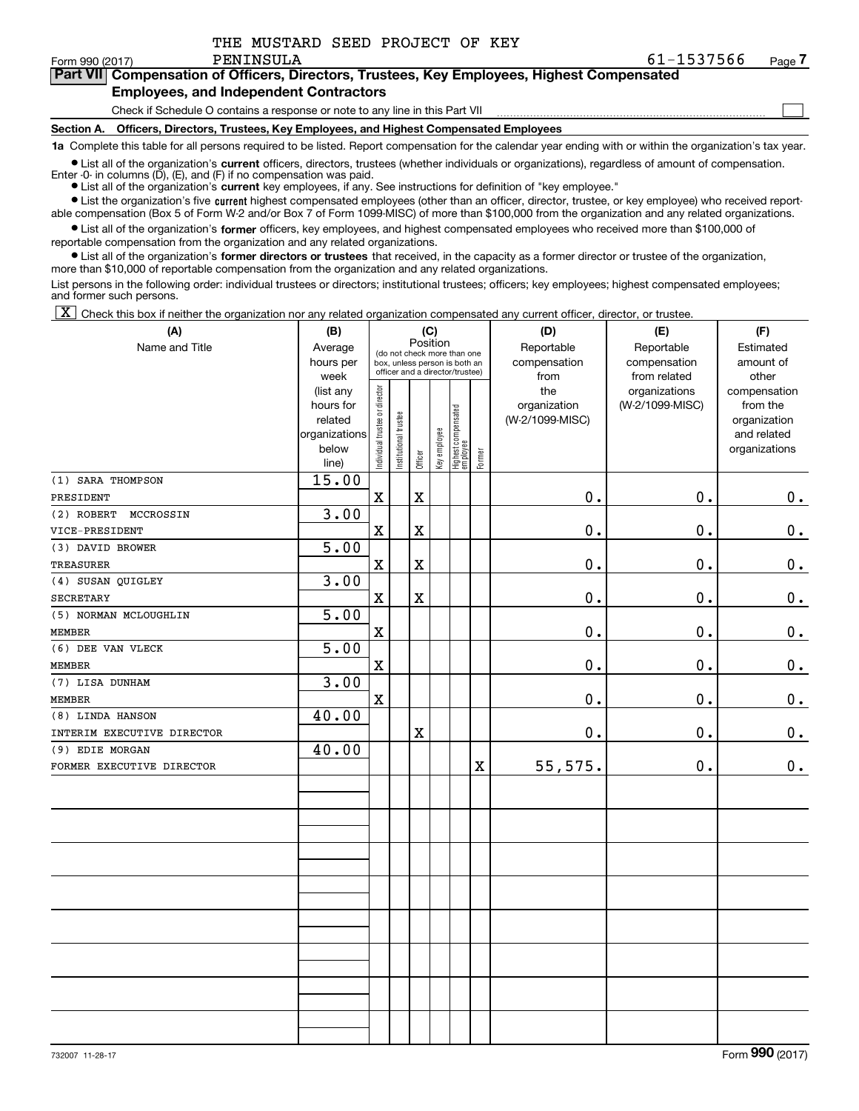$\mathcal{L}^{\text{max}}$ 

| orm 990 (2017) | PENINSULA                                                                                  | 61-1537566 | Page <i>I</i> |
|----------------|--------------------------------------------------------------------------------------------|------------|---------------|
|                | Part VII Compensation of Officers, Directors, Trustees, Key Employees, Highest Compensated |            |               |
|                | <b>Employees, and Independent Contractors</b>                                              |            |               |

### Check if Schedule O contains a response or note to any line in this Part VII

**Section A. Officers, Directors, Trustees, Key Employees, and Highest Compensated Employees**

**1a**  Complete this table for all persons required to be listed. Report compensation for the calendar year ending with or within the organization's tax year.

**•** List all of the organization's current officers, directors, trustees (whether individuals or organizations), regardless of amount of compensation.

● List all of the organization's **current** key employees, if any. See instructions for definition of "key employee." Enter -0- in columns  $(D)$ ,  $(E)$ , and  $(F)$  if no compensation was paid.

**•** List the organization's five current highest compensated employees (other than an officer, director, trustee, or key employee) who received report-

 $\bullet$  List all of the organization's **former** officers, key employees, and highest compensated employees who received more than \$100,000 of able compensation (Box 5 of Form W-2 and/or Box 7 of Form 1099-MISC) of more than \$100,000 from the organization and any related organizations.

reportable compensation from the organization and any related organizations.

**•** List all of the organization's former directors or trustees that received, in the capacity as a former director or trustee of the organization, more than \$10,000 of reportable compensation from the organization and any related organizations.

List persons in the following order: individual trustees or directors; institutional trustees; officers; key employees; highest compensated employees; and former such persons.

 $\boxed{\textbf{X}}$  Check this box if neither the organization nor any related organization compensated any current officer, director, or trustee.

| (A)                        | (B)                                                                  | (C)                            |                       |             |              |                                                                                                 |                         | (D)                                    | (E)                                        | (F)                                                                      |
|----------------------------|----------------------------------------------------------------------|--------------------------------|-----------------------|-------------|--------------|-------------------------------------------------------------------------------------------------|-------------------------|----------------------------------------|--------------------------------------------|--------------------------------------------------------------------------|
| Name and Title             | Average<br>hours per<br>week                                         |                                |                       | Position    |              | (do not check more than one<br>box, unless person is both an<br>officer and a director/trustee) |                         | Reportable<br>compensation<br>from     | Reportable<br>compensation<br>from related | Estimated<br>amount of<br>other                                          |
|                            | (list any<br>hours for<br>related<br>organizations<br>below<br>line) | Individual trustee or director | Institutional trustee | Officer     | Key employee | Highest compensated<br>  employee                                                               | Former                  | the<br>organization<br>(W-2/1099-MISC) | organizations<br>(W-2/1099-MISC)           | compensation<br>from the<br>organization<br>and related<br>organizations |
| (1) SARA THOMPSON          | 15.00                                                                |                                |                       |             |              |                                                                                                 |                         |                                        |                                            |                                                                          |
| PRESIDENT                  |                                                                      | $\mathbf x$                    |                       | $\mathbf X$ |              |                                                                                                 |                         | $\mathbf 0$ .                          | 0.                                         | 0.                                                                       |
| (2) ROBERT<br>MCCROSSIN    | 3.00                                                                 |                                |                       |             |              |                                                                                                 |                         |                                        |                                            |                                                                          |
| VICE-PRESIDENT             |                                                                      | $\mathbf X$                    |                       | $\mathbf X$ |              |                                                                                                 |                         | 0.                                     | 0.                                         | 0.                                                                       |
| (3) DAVID BROWER           | 5.00                                                                 |                                |                       |             |              |                                                                                                 |                         |                                        |                                            |                                                                          |
| <b>TREASURER</b>           |                                                                      | $\mathbf X$                    |                       | $\mathbf X$ |              |                                                                                                 |                         | $\mathbf 0$ .                          | 0.                                         | $\mathbf 0$ .                                                            |
| (4) SUSAN QUIGLEY          | 3.00                                                                 |                                |                       |             |              |                                                                                                 |                         |                                        |                                            |                                                                          |
| <b>SECRETARY</b>           |                                                                      | $\mathbf X$                    |                       | $\mathbf X$ |              |                                                                                                 |                         | $\mathbf 0$ .                          | 0.                                         | $\mathbf 0$ .                                                            |
| (5) NORMAN MCLOUGHLIN      | 5.00                                                                 |                                |                       |             |              |                                                                                                 |                         |                                        |                                            |                                                                          |
| <b>MEMBER</b>              |                                                                      | $\mathbf x$                    |                       |             |              |                                                                                                 |                         | $\mathbf 0$ .                          | 0.                                         | $\mathbf 0$ .                                                            |
| (6) DEE VAN VLECK          | $\overline{5.00}$                                                    |                                |                       |             |              |                                                                                                 |                         |                                        |                                            |                                                                          |
| <b>MEMBER</b>              |                                                                      | $\mathbf X$                    |                       |             |              |                                                                                                 |                         | 0.                                     | 0.                                         | $\pmb{0}$ .                                                              |
| (7) LISA DUNHAM            | 3.00                                                                 |                                |                       |             |              |                                                                                                 |                         |                                        |                                            |                                                                          |
| <b>MEMBER</b>              |                                                                      | $\mathbf X$                    |                       |             |              |                                                                                                 |                         | $\mathbf 0$ .                          | 0.                                         | $0$ .                                                                    |
| (8) LINDA HANSON           | 40.00                                                                |                                |                       |             |              |                                                                                                 |                         |                                        |                                            |                                                                          |
| INTERIM EXECUTIVE DIRECTOR |                                                                      |                                |                       | $\mathbf X$ |              |                                                                                                 |                         | $\mathbf 0$ .                          | 0.                                         | 0.                                                                       |
| (9) EDIE MORGAN            | 40.00                                                                |                                |                       |             |              |                                                                                                 |                         |                                        |                                            |                                                                          |
| FORMER EXECUTIVE DIRECTOR  |                                                                      |                                |                       |             |              |                                                                                                 | $\overline{\mathbf{X}}$ | 55,575.                                | 0.                                         | 0.                                                                       |
|                            |                                                                      |                                |                       |             |              |                                                                                                 |                         |                                        |                                            |                                                                          |
|                            |                                                                      |                                |                       |             |              |                                                                                                 |                         |                                        |                                            |                                                                          |
|                            |                                                                      |                                |                       |             |              |                                                                                                 |                         |                                        |                                            |                                                                          |
|                            |                                                                      |                                |                       |             |              |                                                                                                 |                         |                                        |                                            |                                                                          |
|                            |                                                                      |                                |                       |             |              |                                                                                                 |                         |                                        |                                            |                                                                          |
|                            |                                                                      |                                |                       |             |              |                                                                                                 |                         |                                        |                                            |                                                                          |
|                            |                                                                      |                                |                       |             |              |                                                                                                 |                         |                                        |                                            |                                                                          |
|                            |                                                                      |                                |                       |             |              |                                                                                                 |                         |                                        |                                            |                                                                          |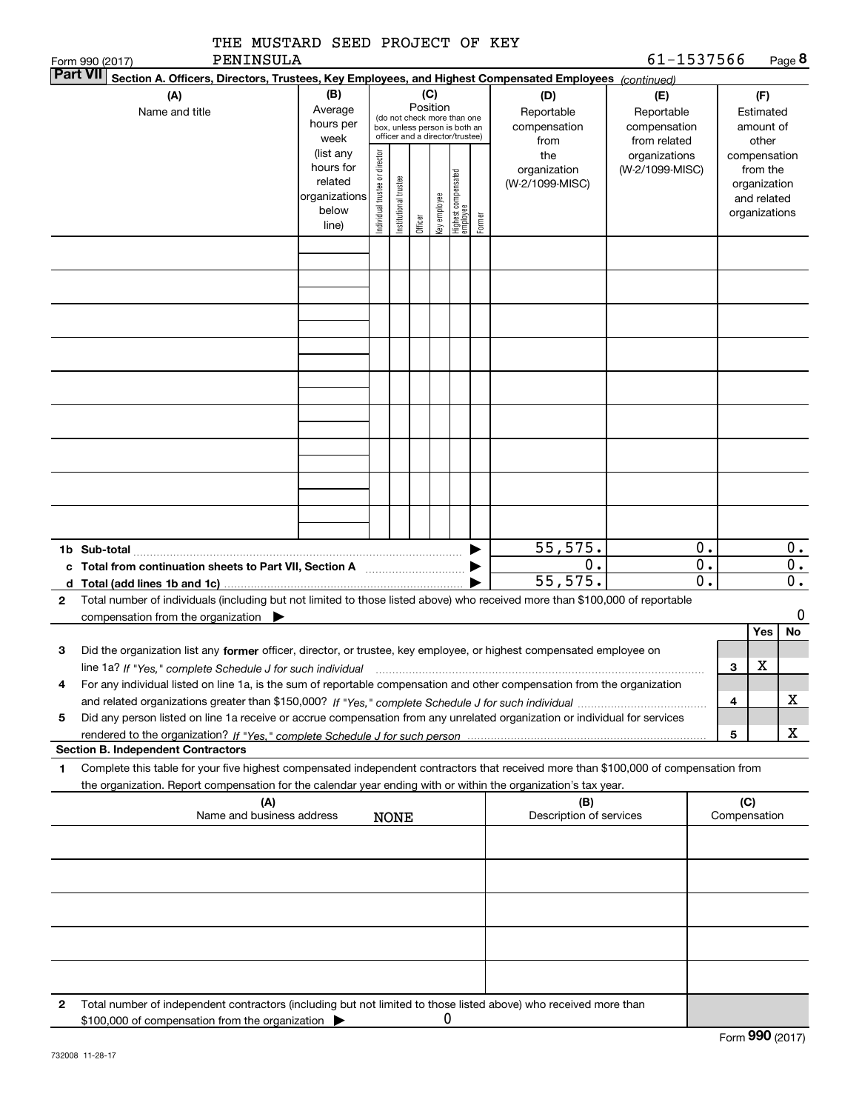| THE MUSTARD SEED PROJECT OF KEY<br>PENINSULA                                                                                                                                                                                                                             |                                                                      |                                |                       |                                                                                                             |              |                                 |        |                                           | 61-1537566                                        |                  |              |                                                                          |                           |
|--------------------------------------------------------------------------------------------------------------------------------------------------------------------------------------------------------------------------------------------------------------------------|----------------------------------------------------------------------|--------------------------------|-----------------------|-------------------------------------------------------------------------------------------------------------|--------------|---------------------------------|--------|-------------------------------------------|---------------------------------------------------|------------------|--------------|--------------------------------------------------------------------------|---------------------------|
| Form 990 (2017)<br><b>Part VII</b><br>Section A. Officers, Directors, Trustees, Key Employees, and Highest Compensated Employees (continued)                                                                                                                             |                                                                      |                                |                       |                                                                                                             |              |                                 |        |                                           |                                                   |                  |              |                                                                          | Page 8                    |
| (A)<br>Name and title                                                                                                                                                                                                                                                    | (B)<br>Average<br>hours per<br>week                                  |                                |                       | Position<br>(do not check more than one<br>box, unless person is both an<br>officer and a director/trustee) | (C)          |                                 |        | (D)<br>Reportable<br>compensation<br>from | (E)<br>Reportable<br>compensation<br>from related |                  |              | (F)<br>Estimated<br>amount of<br>other                                   |                           |
|                                                                                                                                                                                                                                                                          | (list any<br>hours for<br>related<br>organizations<br>below<br>line) | Individual trustee or director | Institutional trustee | Officer                                                                                                     | Key employee | Highest compensated<br>employee | Former | the<br>organization<br>(W-2/1099-MISC)    | organizations<br>(W-2/1099-MISC)                  |                  |              | compensation<br>from the<br>organization<br>and related<br>organizations |                           |
|                                                                                                                                                                                                                                                                          |                                                                      |                                |                       |                                                                                                             |              |                                 |        |                                           |                                                   |                  |              |                                                                          |                           |
|                                                                                                                                                                                                                                                                          |                                                                      |                                |                       |                                                                                                             |              |                                 |        |                                           |                                                   |                  |              |                                                                          |                           |
|                                                                                                                                                                                                                                                                          |                                                                      |                                |                       |                                                                                                             |              |                                 |        |                                           |                                                   |                  |              |                                                                          |                           |
|                                                                                                                                                                                                                                                                          |                                                                      |                                |                       |                                                                                                             |              |                                 |        |                                           |                                                   |                  |              |                                                                          |                           |
|                                                                                                                                                                                                                                                                          |                                                                      |                                |                       |                                                                                                             |              |                                 |        |                                           |                                                   |                  |              |                                                                          |                           |
|                                                                                                                                                                                                                                                                          |                                                                      |                                |                       |                                                                                                             |              |                                 |        |                                           |                                                   |                  |              |                                                                          |                           |
|                                                                                                                                                                                                                                                                          |                                                                      |                                |                       |                                                                                                             |              |                                 |        |                                           |                                                   |                  |              |                                                                          |                           |
|                                                                                                                                                                                                                                                                          |                                                                      |                                |                       |                                                                                                             |              |                                 |        |                                           |                                                   |                  |              |                                                                          |                           |
|                                                                                                                                                                                                                                                                          |                                                                      |                                |                       |                                                                                                             |              |                                 |        |                                           |                                                   |                  |              |                                                                          |                           |
|                                                                                                                                                                                                                                                                          |                                                                      |                                |                       |                                                                                                             |              |                                 |        |                                           |                                                   |                  |              |                                                                          |                           |
|                                                                                                                                                                                                                                                                          |                                                                      |                                |                       |                                                                                                             |              |                                 |        |                                           |                                                   |                  |              |                                                                          |                           |
|                                                                                                                                                                                                                                                                          |                                                                      |                                |                       |                                                                                                             |              |                                 |        |                                           |                                                   |                  |              |                                                                          |                           |
| 1b Sub-total                                                                                                                                                                                                                                                             |                                                                      |                                |                       |                                                                                                             |              |                                 |        | 55, 575.                                  |                                                   | 0.               |              |                                                                          | 0.                        |
|                                                                                                                                                                                                                                                                          |                                                                      |                                |                       |                                                                                                             |              |                                 |        | 0.                                        |                                                   | $\overline{0}$ . |              |                                                                          | $\overline{0}$ .          |
| d Total (add lines 1b and 1c)                                                                                                                                                                                                                                            |                                                                      |                                |                       |                                                                                                             |              |                                 |        | 55, 575.                                  |                                                   | $\overline{0}$ . |              |                                                                          | $\overline{\mathbf{0}}$ . |
| Total number of individuals (including but not limited to those listed above) who received more than \$100,000 of reportable<br>2<br>compensation from the organization $\blacktriangleright$                                                                            |                                                                      |                                |                       |                                                                                                             |              |                                 |        |                                           |                                                   |                  |              |                                                                          | 0                         |
|                                                                                                                                                                                                                                                                          |                                                                      |                                |                       |                                                                                                             |              |                                 |        |                                           |                                                   |                  |              | Yes                                                                      | No                        |
| Did the organization list any former officer, director, or trustee, key employee, or highest compensated employee on<br>з                                                                                                                                                |                                                                      |                                |                       |                                                                                                             |              |                                 |        |                                           |                                                   |                  | з            | X                                                                        |                           |
| line 1a? If "Yes," complete Schedule J for such individual manufactured contained and the Ves," complete Schedule J for such individual<br>For any individual listed on line 1a, is the sum of reportable compensation and other compensation from the organization<br>4 |                                                                      |                                |                       |                                                                                                             |              |                                 |        |                                           |                                                   |                  |              |                                                                          |                           |
|                                                                                                                                                                                                                                                                          |                                                                      |                                |                       |                                                                                                             |              |                                 |        |                                           |                                                   |                  | 4            |                                                                          | x.                        |
| Did any person listed on line 1a receive or accrue compensation from any unrelated organization or individual for services<br>5                                                                                                                                          |                                                                      |                                |                       |                                                                                                             |              |                                 |        |                                           |                                                   |                  | 5            |                                                                          | x                         |
| <b>Section B. Independent Contractors</b>                                                                                                                                                                                                                                |                                                                      |                                |                       |                                                                                                             |              |                                 |        |                                           |                                                   |                  |              |                                                                          |                           |
| Complete this table for your five highest compensated independent contractors that received more than \$100,000 of compensation from<br>1<br>the organization. Report compensation for the calendar year ending with or within the organization's tax year.              |                                                                      |                                |                       |                                                                                                             |              |                                 |        |                                           |                                                   |                  |              |                                                                          |                           |
| (A)                                                                                                                                                                                                                                                                      |                                                                      |                                |                       |                                                                                                             |              |                                 |        | (B)                                       |                                                   |                  | (C)          |                                                                          |                           |
| Name and business address                                                                                                                                                                                                                                                |                                                                      |                                | <b>NONE</b>           |                                                                                                             |              |                                 |        | Description of services                   |                                                   |                  | Compensation |                                                                          |                           |
|                                                                                                                                                                                                                                                                          |                                                                      |                                |                       |                                                                                                             |              |                                 |        |                                           |                                                   |                  |              |                                                                          |                           |
|                                                                                                                                                                                                                                                                          |                                                                      |                                |                       |                                                                                                             |              |                                 |        |                                           |                                                   |                  |              |                                                                          |                           |
|                                                                                                                                                                                                                                                                          |                                                                      |                                |                       |                                                                                                             |              |                                 |        |                                           |                                                   |                  |              |                                                                          |                           |
|                                                                                                                                                                                                                                                                          |                                                                      |                                |                       |                                                                                                             |              |                                 |        |                                           |                                                   |                  |              |                                                                          |                           |
|                                                                                                                                                                                                                                                                          |                                                                      |                                |                       |                                                                                                             |              |                                 |        |                                           |                                                   |                  |              |                                                                          |                           |
|                                                                                                                                                                                                                                                                          |                                                                      |                                |                       |                                                                                                             |              |                                 |        |                                           |                                                   |                  |              |                                                                          |                           |
| 2<br>Total number of independent contractors (including but not limited to those listed above) who received more than                                                                                                                                                    |                                                                      |                                |                       |                                                                                                             |              |                                 |        |                                           |                                                   |                  |              |                                                                          |                           |
| \$100,000 of compensation from the organization $\blacktriangleright$                                                                                                                                                                                                    |                                                                      |                                |                       |                                                                                                             | 0            |                                 |        |                                           |                                                   |                  |              |                                                                          |                           |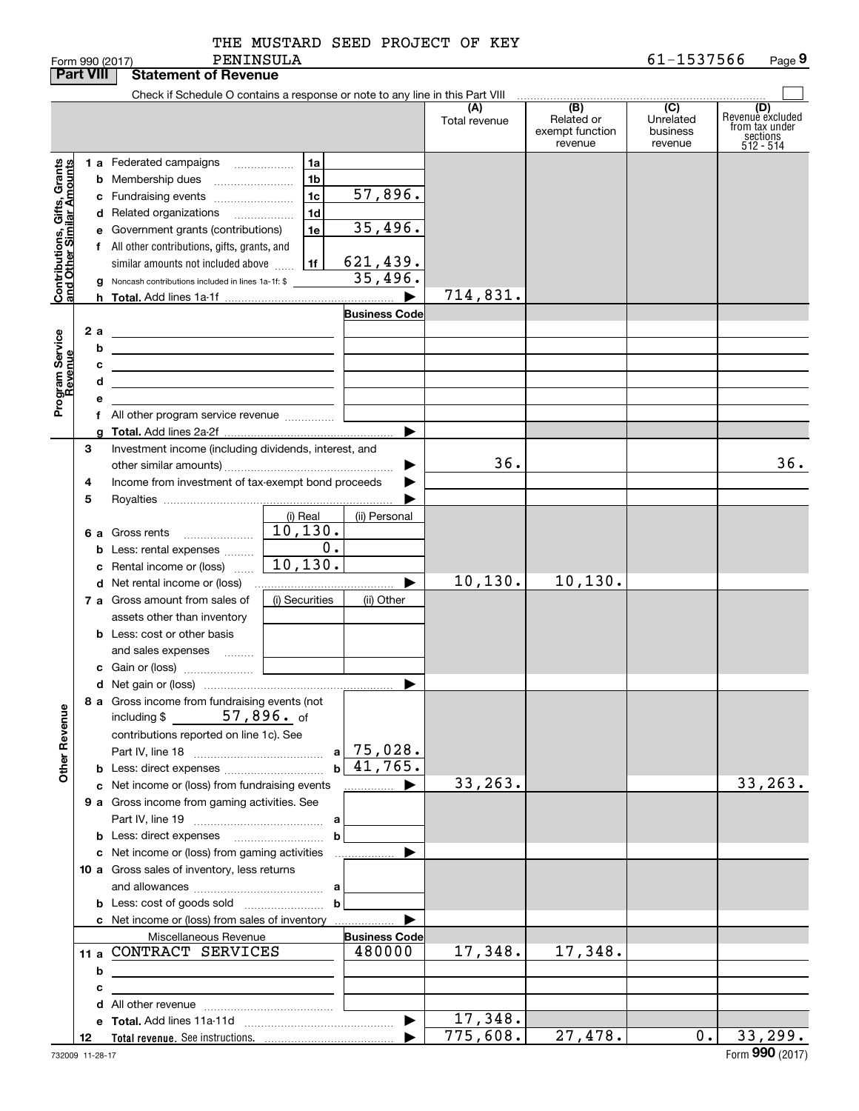|  | THE MUSTARD SEED PROJECT OF KEY |  |  |
|--|---------------------------------|--|--|
|  |                                 |  |  |

|                                                                                         | <b>Part VIII</b> | <b>Statement of Revenue</b>                                                                                                                                                                                                                                                                                                                                                                                                                                                                                                                                                                                                                    |                                                                      |                                                                                 |                      |                                                 |                                         |                                                                    |
|-----------------------------------------------------------------------------------------|------------------|------------------------------------------------------------------------------------------------------------------------------------------------------------------------------------------------------------------------------------------------------------------------------------------------------------------------------------------------------------------------------------------------------------------------------------------------------------------------------------------------------------------------------------------------------------------------------------------------------------------------------------------------|----------------------------------------------------------------------|---------------------------------------------------------------------------------|----------------------|-------------------------------------------------|-----------------------------------------|--------------------------------------------------------------------|
|                                                                                         |                  | Check if Schedule O contains a response or note to any line in this Part VIII                                                                                                                                                                                                                                                                                                                                                                                                                                                                                                                                                                  |                                                                      |                                                                                 |                      |                                                 |                                         |                                                                    |
|                                                                                         |                  |                                                                                                                                                                                                                                                                                                                                                                                                                                                                                                                                                                                                                                                |                                                                      |                                                                                 | (A)<br>Total revenue | (B)<br>Related or<br>exempt function<br>revenue | (C)<br>Unrelated<br>business<br>revenue | (D)<br>Revenuè excluded<br>from tax under<br>sections<br>512 - 514 |
| Contributions, Gifts, Grants<br>and Other Similar Amounts<br>Program Service<br>Revenue | 2a<br>b<br>с     | 1 a Federated campaigns<br><b>b</b> Membership dues<br>c Fundraising events<br>d Related organizations<br>$\overline{\phantom{a}}$<br>e Government grants (contributions)<br>f All other contributions, gifts, grants, and<br>similar amounts not included above<br>Noncash contributions included in lines 1a-1f: \$<br><u> 1989 - Johann Barn, mars eta bainar eta bainar eta baina eta baina eta baina eta baina eta baina eta baina e</u><br><u> 1989 - Johann Barn, mars ann an t-Amhain ann an t-Amhain an t-Amhain an t-Amhain an t-Amhain an t-Amhain an t-</u><br><u> 1989 - Johann Stein, mars an deus Amerikaansk kommunister (</u> | 1a<br>1 <sub>b</sub><br>1 <sub>c</sub><br>1 <sub>d</sub><br>1e<br>1f | $\overline{57,896}$ .<br>35,496.<br>621,439.<br>35,496.<br><b>Business Code</b> | 714,831.             |                                                 |                                         |                                                                    |
|                                                                                         | d                | the control of the control of the control of the control of the control of                                                                                                                                                                                                                                                                                                                                                                                                                                                                                                                                                                     |                                                                      |                                                                                 |                      |                                                 |                                         |                                                                    |
|                                                                                         |                  |                                                                                                                                                                                                                                                                                                                                                                                                                                                                                                                                                                                                                                                |                                                                      |                                                                                 |                      |                                                 |                                         |                                                                    |
|                                                                                         |                  | f All other program service revenue                                                                                                                                                                                                                                                                                                                                                                                                                                                                                                                                                                                                            |                                                                      |                                                                                 |                      |                                                 |                                         |                                                                    |
|                                                                                         | 3<br>4<br>5      | Investment income (including dividends, interest, and<br>Income from investment of tax-exempt bond proceeds                                                                                                                                                                                                                                                                                                                                                                                                                                                                                                                                    |                                                                      | ▶                                                                               | 36.                  |                                                 |                                         | 36.                                                                |
|                                                                                         | 6а<br>b          | Gross rents<br>Less: rental expenses<br>Rental income or (loss)                                                                                                                                                                                                                                                                                                                                                                                                                                                                                                                                                                                | (i) Real<br>10, 130.<br>$\overline{0}$ .<br>10, 130.                 | (ii) Personal                                                                   |                      |                                                 |                                         |                                                                    |
|                                                                                         |                  | <b>d</b> Net rental income or (loss)                                                                                                                                                                                                                                                                                                                                                                                                                                                                                                                                                                                                           |                                                                      | ▶                                                                               | 10, 130.             | 10, 130.                                        |                                         |                                                                    |
| <b>Other Revenue</b>                                                                    |                  | 7 a Gross amount from sales of<br>assets other than inventory<br><b>b</b> Less: cost or other basis<br>and sales expenses                                                                                                                                                                                                                                                                                                                                                                                                                                                                                                                      | (i) Securities                                                       | (ii) Other<br>▶                                                                 |                      |                                                 |                                         |                                                                    |
|                                                                                         |                  | 8 a Gross income from fundraising events (not<br>$57,896.$ of<br>including $$$<br>contributions reported on line 1c). See<br><b>b</b> Less: direct expenses                                                                                                                                                                                                                                                                                                                                                                                                                                                                                    | $\mathbf{b}$                                                         | $a$ 75,028.<br>41,765.                                                          |                      |                                                 |                                         |                                                                    |
|                                                                                         |                  | c Net income or (loss) from fundraising events                                                                                                                                                                                                                                                                                                                                                                                                                                                                                                                                                                                                 |                                                                      | ▶<br>.                                                                          | 33, 263.             |                                                 |                                         | 33, 263.                                                           |
|                                                                                         |                  | 9 a Gross income from gaming activities. See<br>c Net income or (loss) from gaming activities                                                                                                                                                                                                                                                                                                                                                                                                                                                                                                                                                  | $\mathbf b$                                                          | .                                                                               |                      |                                                 |                                         |                                                                    |
|                                                                                         |                  | 10 a Gross sales of inventory, less returns<br>c Net income or (loss) from sales of inventory                                                                                                                                                                                                                                                                                                                                                                                                                                                                                                                                                  | $\mathbf b$                                                          |                                                                                 |                      |                                                 |                                         |                                                                    |
|                                                                                         |                  | Miscellaneous Revenue                                                                                                                                                                                                                                                                                                                                                                                                                                                                                                                                                                                                                          |                                                                      | <b>Business Code</b>                                                            |                      |                                                 |                                         |                                                                    |
|                                                                                         | b                | 11 a CONTRACT SERVICES<br><u> 1989 - Johann Barbara, martxa alemaniar arg</u>                                                                                                                                                                                                                                                                                                                                                                                                                                                                                                                                                                  |                                                                      | 480000                                                                          | 17,348.              | 17,348.                                         |                                         |                                                                    |
|                                                                                         | с                | the contract of the contract of the contract of the contract of the                                                                                                                                                                                                                                                                                                                                                                                                                                                                                                                                                                            |                                                                      |                                                                                 |                      |                                                 |                                         |                                                                    |
|                                                                                         |                  |                                                                                                                                                                                                                                                                                                                                                                                                                                                                                                                                                                                                                                                |                                                                      | $\blacktriangleright$                                                           | 17,348.              |                                                 |                                         |                                                                    |
|                                                                                         | 12               |                                                                                                                                                                                                                                                                                                                                                                                                                                                                                                                                                                                                                                                |                                                                      |                                                                                 | 775,608.             | 27,478.                                         | 0.                                      | 33,299.                                                            |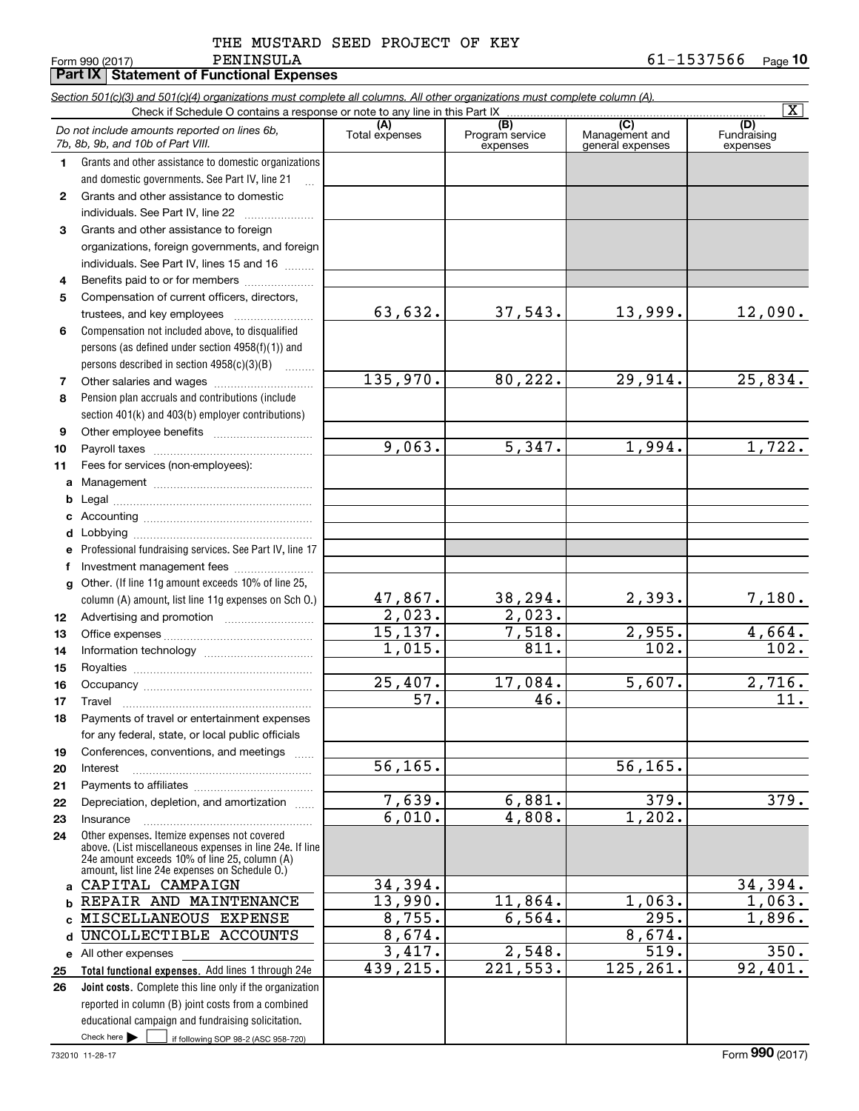|  | THE MUSTARD SEED PROJECT OF KEY |  |
|--|---------------------------------|--|
|  |                                 |  |

|              | Part IX   Statement of Functional Expenses                                                                                                                                                                  |                        |                                    |                                           |                                |
|--------------|-------------------------------------------------------------------------------------------------------------------------------------------------------------------------------------------------------------|------------------------|------------------------------------|-------------------------------------------|--------------------------------|
|              | Section 501(c)(3) and 501(c)(4) organizations must complete all columns. All other organizations must complete column (A).                                                                                  |                        |                                    |                                           |                                |
|              |                                                                                                                                                                                                             |                        |                                    |                                           | $\overline{\mathbf{X}}$        |
|              | Do not include amounts reported on lines 6b,<br>7b, 8b, 9b, and 10b of Part VIII.                                                                                                                           | (A)<br>Total expenses  | (B)<br>Program service<br>expenses | (C)<br>Management and<br>general expenses | (D)<br>Fundraising<br>expenses |
| 1            | Grants and other assistance to domestic organizations                                                                                                                                                       |                        |                                    |                                           |                                |
|              | and domestic governments. See Part IV, line 21                                                                                                                                                              |                        |                                    |                                           |                                |
| $\mathbf{2}$ | Grants and other assistance to domestic                                                                                                                                                                     |                        |                                    |                                           |                                |
|              | individuals. See Part IV, line 22                                                                                                                                                                           |                        |                                    |                                           |                                |
| 3            | Grants and other assistance to foreign                                                                                                                                                                      |                        |                                    |                                           |                                |
|              | organizations, foreign governments, and foreign                                                                                                                                                             |                        |                                    |                                           |                                |
|              | individuals. See Part IV, lines 15 and 16                                                                                                                                                                   |                        |                                    |                                           |                                |
| 4            | Benefits paid to or for members                                                                                                                                                                             |                        |                                    |                                           |                                |
| 5            | Compensation of current officers, directors,                                                                                                                                                                | 63,632.                | 37,543.                            | 13,999.                                   | 12,090.                        |
|              | trustees, and key employees                                                                                                                                                                                 |                        |                                    |                                           |                                |
| 6            | Compensation not included above, to disqualified<br>persons (as defined under section 4958(f)(1)) and                                                                                                       |                        |                                    |                                           |                                |
|              | persons described in section 4958(c)(3)(B)                                                                                                                                                                  |                        |                                    |                                           |                                |
| 7            |                                                                                                                                                                                                             | 135,970.               | 80, 222.                           | 29,914.                                   | 25,834.                        |
| 8            | Pension plan accruals and contributions (include                                                                                                                                                            |                        |                                    |                                           |                                |
|              | section 401(k) and 403(b) employer contributions)                                                                                                                                                           |                        |                                    |                                           |                                |
| 9            |                                                                                                                                                                                                             |                        |                                    |                                           |                                |
| 10           |                                                                                                                                                                                                             | 9,063.                 | 5,347.                             | 1,994.                                    | 1,722.                         |
| 11           | Fees for services (non-employees):                                                                                                                                                                          |                        |                                    |                                           |                                |
| a            |                                                                                                                                                                                                             |                        |                                    |                                           |                                |
| b            |                                                                                                                                                                                                             |                        |                                    |                                           |                                |
| c            |                                                                                                                                                                                                             |                        |                                    |                                           |                                |
| d            |                                                                                                                                                                                                             |                        |                                    |                                           |                                |
| е            | Professional fundraising services. See Part IV, line 17                                                                                                                                                     |                        |                                    |                                           |                                |
| f            | Investment management fees                                                                                                                                                                                  |                        |                                    |                                           |                                |
| g            | Other. (If line 11g amount exceeds 10% of line 25,                                                                                                                                                          |                        |                                    |                                           |                                |
|              | column (A) amount, list line 11g expenses on Sch 0.)                                                                                                                                                        | $\frac{47,867}{2,023}$ | 38,294.                            | 2,393.                                    | 7,180.                         |
| 12           |                                                                                                                                                                                                             |                        | $\overline{2,023}$ .               |                                           |                                |
| 13           |                                                                                                                                                                                                             | 15, 137.<br>1,015.     | 7,518.<br>$\overline{811}$ .       | 2,955.<br>$\overline{102}$ .              | 4,664.<br>$\overline{102.}$    |
| 14           |                                                                                                                                                                                                             |                        |                                    |                                           |                                |
| 15<br>16     |                                                                                                                                                                                                             | 25,407.                | 17,084.                            | 5,607.                                    | 2,716.                         |
|              | Travel                                                                                                                                                                                                      | $\overline{57}$ .      | 46.                                |                                           | 11.                            |
| 17<br>18     | Payments of travel or entertainment expenses                                                                                                                                                                |                        |                                    |                                           |                                |
|              | for any federal, state, or local public officials                                                                                                                                                           |                        |                                    |                                           |                                |
| 19           | Conferences, conventions, and meetings                                                                                                                                                                      |                        |                                    |                                           |                                |
| 20           | Interest                                                                                                                                                                                                    | $\overline{56, 165}$ . |                                    | 56, 165.                                  |                                |
| 21           |                                                                                                                                                                                                             |                        |                                    |                                           |                                |
| 22           | Depreciation, depletion, and amortization                                                                                                                                                                   | 7,639.                 | 6,881.                             | 379.                                      | 379.                           |
| 23           | Insurance                                                                                                                                                                                                   | 6,010.                 | 4,808.                             | 1,202.                                    |                                |
| 24           | Other expenses. Itemize expenses not covered<br>above. (List miscellaneous expenses in line 24e. If line<br>24e amount exceeds 10% of line 25, column (A)<br>amount, list line 24e expenses on Schedule O.) |                        |                                    |                                           |                                |
| a            | CAPITAL CAMPAIGN                                                                                                                                                                                            | 34,394.                |                                    |                                           | 34,394.                        |
| b            | REPAIR AND MAINTENANCE                                                                                                                                                                                      | 13,990.                | 11,864.                            | 1,063.                                    | 1,063.                         |
| C            | MISCELLANEOUS EXPENSE                                                                                                                                                                                       | 8, 755.                | 6,564.                             | $\overline{295}$ .                        | 1,896.                         |
| d            | UNCOLLECTIBLE ACCOUNTS                                                                                                                                                                                      | 8,674.                 |                                    | 8,674.                                    |                                |
|              | e All other expenses                                                                                                                                                                                        | 3,417.                 | 2,548.                             | $\overline{519}$ .                        | $\overline{350}$ .             |
| 25           | Total functional expenses. Add lines 1 through 24e                                                                                                                                                          | 439, 215.              | 221,553.                           | 125, 261.                                 | 92,401.                        |
| 26           | Joint costs. Complete this line only if the organization                                                                                                                                                    |                        |                                    |                                           |                                |
|              | reported in column (B) joint costs from a combined                                                                                                                                                          |                        |                                    |                                           |                                |
|              | educational campaign and fundraising solicitation.<br>Check here $\blacktriangleright$<br>if following SOP 98-2 (ASC 958-720)                                                                               |                        |                                    |                                           |                                |
|              |                                                                                                                                                                                                             |                        |                                    |                                           |                                |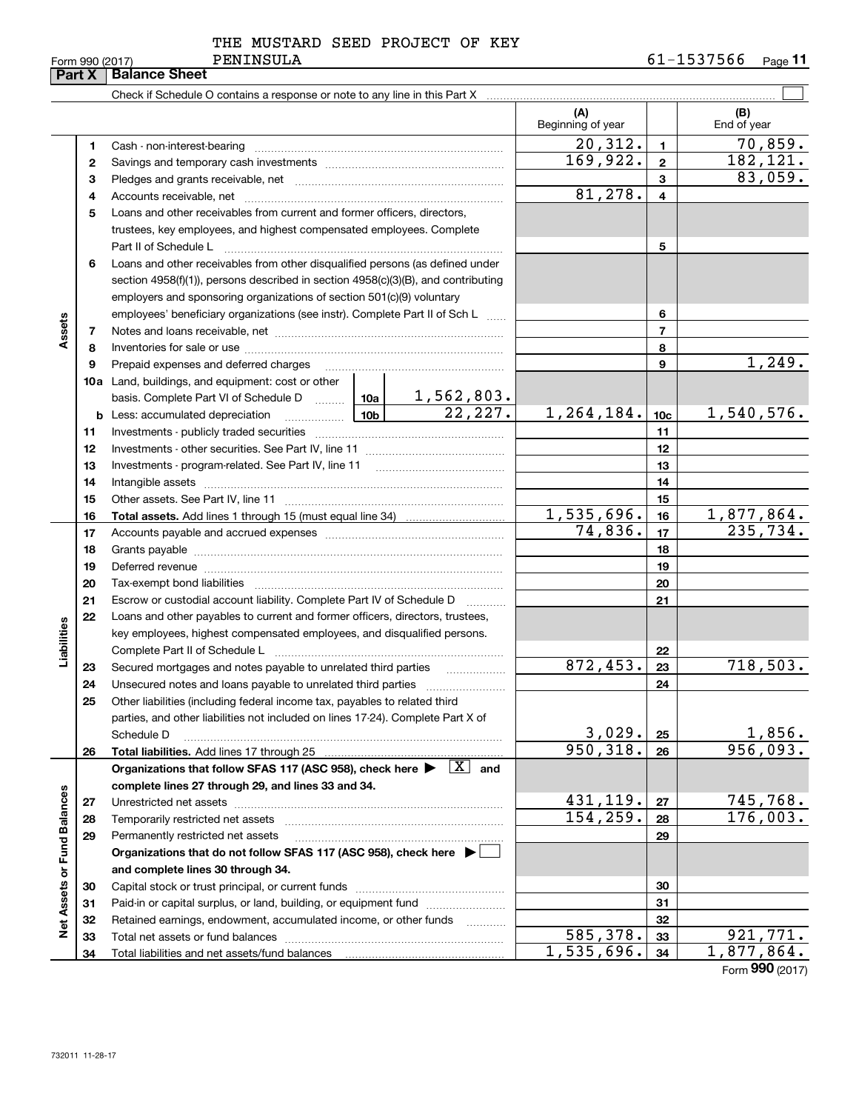|  | THE MUSTARD SEED PROJECT OF KEY |  |  |
|--|---------------------------------|--|--|
|  |                                 |  |  |

Form 990 (2017) Page **11** PENINSULA 61-1537566

| <b>UIII</b> JJJ<br>Part X   |    | <b>Balance Sheet</b>                                                                                                                                                                                                          |                       |                     |                            |                          |                           |  |  |
|-----------------------------|----|-------------------------------------------------------------------------------------------------------------------------------------------------------------------------------------------------------------------------------|-----------------------|---------------------|----------------------------|--------------------------|---------------------------|--|--|
|                             |    |                                                                                                                                                                                                                               |                       |                     |                            |                          |                           |  |  |
|                             |    |                                                                                                                                                                                                                               |                       |                     | (A)<br>Beginning of year   |                          | (B)<br>End of year        |  |  |
|                             | 1. |                                                                                                                                                                                                                               | $\overline{20,312}$ . | $\mathbf{1}$        | 70,859.                    |                          |                           |  |  |
|                             | 2  |                                                                                                                                                                                                                               |                       |                     | 169,922.                   | $\mathbf{2}$             | 182, 121.                 |  |  |
|                             | з  |                                                                                                                                                                                                                               |                       |                     | 3                          | 83,059.                  |                           |  |  |
|                             | 4  |                                                                                                                                                                                                                               |                       |                     | 81,278.                    | 4                        |                           |  |  |
|                             | 5  | Loans and other receivables from current and former officers, directors,                                                                                                                                                      |                       |                     |                            |                          |                           |  |  |
|                             |    | trustees, key employees, and highest compensated employees. Complete                                                                                                                                                          |                       |                     |                            |                          |                           |  |  |
|                             |    | Part II of Schedule L                                                                                                                                                                                                         |                       |                     |                            | 5                        |                           |  |  |
|                             | 6  | Loans and other receivables from other disqualified persons (as defined under                                                                                                                                                 |                       |                     |                            |                          |                           |  |  |
|                             |    | section 4958(f)(1)), persons described in section 4958(c)(3)(B), and contributing                                                                                                                                             |                       |                     |                            |                          |                           |  |  |
|                             |    | employers and sponsoring organizations of section 501(c)(9) voluntary                                                                                                                                                         |                       |                     |                            |                          |                           |  |  |
|                             |    | employees' beneficiary organizations (see instr). Complete Part II of Sch L                                                                                                                                                   |                       |                     |                            | 6                        |                           |  |  |
| Assets                      | 7  |                                                                                                                                                                                                                               |                       |                     |                            | $\overline{7}$           |                           |  |  |
|                             | 8  |                                                                                                                                                                                                                               |                       |                     |                            | 8                        |                           |  |  |
|                             | 9  | Prepaid expenses and deferred charges                                                                                                                                                                                         |                       |                     |                            | 9                        | 1,249.                    |  |  |
|                             |    | 10a Land, buildings, and equipment: cost or other                                                                                                                                                                             |                       |                     |                            |                          |                           |  |  |
|                             |    |                                                                                                                                                                                                                               |                       |                     |                            |                          |                           |  |  |
|                             |    | $\boxed{10b}$<br><b>b</b> Less: accumulated depreciation                                                                                                                                                                      |                       |                     | 1,264,184.                 | 10 <sub>c</sub>          | 1,540,576.                |  |  |
|                             | 11 |                                                                                                                                                                                                                               |                       |                     |                            | 11                       |                           |  |  |
|                             | 12 |                                                                                                                                                                                                                               |                       |                     |                            | 12                       |                           |  |  |
|                             | 13 | Investments - program-related. See Part IV, line 11                                                                                                                                                                           |                       |                     |                            | 13                       |                           |  |  |
|                             | 14 |                                                                                                                                                                                                                               |                       | 14                  |                            |                          |                           |  |  |
|                             | 15 |                                                                                                                                                                                                                               |                       | 15                  |                            |                          |                           |  |  |
|                             | 16 |                                                                                                                                                                                                                               |                       | 1,535,696.          | 16                         | $\overline{1,877,864}$ . |                           |  |  |
|                             | 17 |                                                                                                                                                                                                                               |                       | 74,836.             | 17                         | 235,734.                 |                           |  |  |
|                             | 18 |                                                                                                                                                                                                                               |                       |                     | 18                         |                          |                           |  |  |
|                             | 19 | Deferred revenue manual contracts and contracts are all the manual contracts and contracts are all the contracts of the contracts of the contracts of the contracts of the contracts of the contracts of the contracts of the |                       |                     | 19                         |                          |                           |  |  |
|                             | 20 |                                                                                                                                                                                                                               |                       |                     |                            | 20                       |                           |  |  |
|                             | 21 | Escrow or custodial account liability. Complete Part IV of Schedule D                                                                                                                                                         |                       | .                   |                            | 21                       |                           |  |  |
|                             | 22 | Loans and other payables to current and former officers, directors, trustees,                                                                                                                                                 |                       |                     |                            |                          |                           |  |  |
|                             |    | key employees, highest compensated employees, and disqualified persons.                                                                                                                                                       |                       |                     |                            |                          |                           |  |  |
| Liabilities                 |    | Complete Part II of Schedule L                                                                                                                                                                                                |                       |                     |                            | 22                       |                           |  |  |
|                             | 23 | Secured mortgages and notes payable to unrelated third parties                                                                                                                                                                |                       | .                   | $\overline{872, 453}$ .    | 23                       | 718,503.                  |  |  |
|                             | 24 |                                                                                                                                                                                                                               |                       |                     |                            | 24                       |                           |  |  |
|                             | 25 | Other liabilities (including federal income tax, payables to related third                                                                                                                                                    |                       |                     |                            |                          |                           |  |  |
|                             |    | parties, and other liabilities not included on lines 17-24). Complete Part X of                                                                                                                                               |                       |                     |                            |                          |                           |  |  |
|                             |    | Schedule D                                                                                                                                                                                                                    |                       |                     | <u>3,029.</u><br>950, 318. | 25                       | $\frac{1,856}{956,093}$ . |  |  |
|                             | 26 |                                                                                                                                                                                                                               |                       |                     |                            | 26                       |                           |  |  |
|                             |    | Organizations that follow SFAS 117 (ASC 958), check here $\blacktriangleright \quad \boxed{X}$ and                                                                                                                            |                       |                     |                            |                          |                           |  |  |
|                             |    | complete lines 27 through 29, and lines 33 and 34.                                                                                                                                                                            |                       |                     | 431,119.                   |                          | <u>745,768.</u>           |  |  |
|                             | 27 | Unrestricted net assets<br>Temporarily restricted net assets                                                                                                                                                                  |                       |                     | 154, 259.                  | 27<br>28                 | 176,003.                  |  |  |
|                             | 28 |                                                                                                                                                                                                                               |                       |                     |                            | 29                       |                           |  |  |
|                             | 29 | Permanently restricted net assets                                                                                                                                                                                             |                       |                     |                            |                          |                           |  |  |
|                             |    | Organizations that do not follow SFAS 117 (ASC 958), check here ▶<br>and complete lines 30 through 34.                                                                                                                        |                       |                     |                            |                          |                           |  |  |
| Net Assets or Fund Balances | 30 |                                                                                                                                                                                                                               |                       |                     |                            | 30                       |                           |  |  |
|                             | 31 | Paid-in or capital surplus, or land, building, or equipment fund                                                                                                                                                              |                       |                     |                            | 31                       |                           |  |  |
|                             | 32 | Retained earnings, endowment, accumulated income, or other funds                                                                                                                                                              |                       |                     |                            | 32                       |                           |  |  |
|                             | 33 |                                                                                                                                                                                                                               |                       | 1.1.1.1.1.1.1.1.1.1 | 585,378.                   | 33                       | 921,771.                  |  |  |
|                             | 34 |                                                                                                                                                                                                                               |                       |                     | 1,535,696.                 | 34                       | 1,877,864.                |  |  |
|                             |    |                                                                                                                                                                                                                               |                       |                     |                            |                          | $F_{\text{c}} = 990/2017$ |  |  |

Form (2017) **990**

| Form 990 (2017) |  |  |
|-----------------|--|--|
|-----------------|--|--|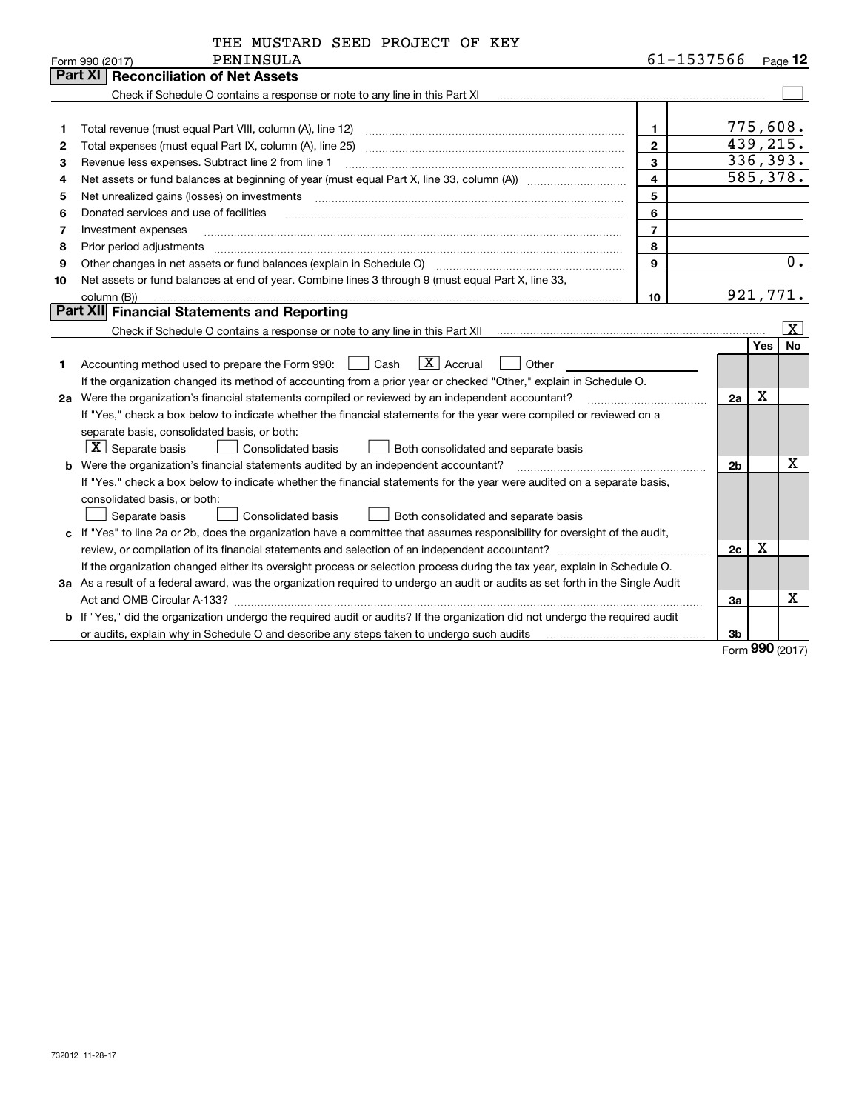| 61-1537566<br>PENINSULA<br>Form 990 (2017)<br>Part XI<br><b>Reconciliation of Net Assets</b><br>Check if Schedule O contains a response or note to any line in this Part XI [11] [12] Check if Schedule O contains a response or note to any line in this Part XI<br>1.<br>1<br>$\mathbf{2}$<br>2<br>3<br>Revenue less expenses. Subtract line 2 from line 1<br>3<br>$\overline{\mathbf{4}}$<br>4<br>5<br>Net unrealized gains (losses) on investments [11] matter contracts and the state of the state of the state of the state of the state of the state of the state of the state of the state of the state of the state of the stat<br>5 | Page 12<br>775,608.<br>439,215.<br>336,393.<br>585,378. |
|-----------------------------------------------------------------------------------------------------------------------------------------------------------------------------------------------------------------------------------------------------------------------------------------------------------------------------------------------------------------------------------------------------------------------------------------------------------------------------------------------------------------------------------------------------------------------------------------------------------------------------------------------|---------------------------------------------------------|
|                                                                                                                                                                                                                                                                                                                                                                                                                                                                                                                                                                                                                                               |                                                         |
|                                                                                                                                                                                                                                                                                                                                                                                                                                                                                                                                                                                                                                               |                                                         |
|                                                                                                                                                                                                                                                                                                                                                                                                                                                                                                                                                                                                                                               |                                                         |
|                                                                                                                                                                                                                                                                                                                                                                                                                                                                                                                                                                                                                                               |                                                         |
|                                                                                                                                                                                                                                                                                                                                                                                                                                                                                                                                                                                                                                               |                                                         |
|                                                                                                                                                                                                                                                                                                                                                                                                                                                                                                                                                                                                                                               |                                                         |
|                                                                                                                                                                                                                                                                                                                                                                                                                                                                                                                                                                                                                                               |                                                         |
|                                                                                                                                                                                                                                                                                                                                                                                                                                                                                                                                                                                                                                               |                                                         |
|                                                                                                                                                                                                                                                                                                                                                                                                                                                                                                                                                                                                                                               |                                                         |
| 6<br>Donated services and use of facilities<br>6                                                                                                                                                                                                                                                                                                                                                                                                                                                                                                                                                                                              |                                                         |
| $\overline{7}$<br>7<br>Investment expenses                                                                                                                                                                                                                                                                                                                                                                                                                                                                                                                                                                                                    |                                                         |
| 8<br>Prior period adjustments<br>8                                                                                                                                                                                                                                                                                                                                                                                                                                                                                                                                                                                                            |                                                         |
| Other changes in net assets or fund balances (explain in Schedule O)<br>9<br>9                                                                                                                                                                                                                                                                                                                                                                                                                                                                                                                                                                | $\overline{0}$ .                                        |
| Net assets or fund balances at end of year. Combine lines 3 through 9 (must equal Part X, line 33,<br>10                                                                                                                                                                                                                                                                                                                                                                                                                                                                                                                                      |                                                         |
| 10<br>column (B))                                                                                                                                                                                                                                                                                                                                                                                                                                                                                                                                                                                                                             | 921,771.                                                |
| Part XII Financial Statements and Reporting                                                                                                                                                                                                                                                                                                                                                                                                                                                                                                                                                                                                   |                                                         |
|                                                                                                                                                                                                                                                                                                                                                                                                                                                                                                                                                                                                                                               | X                                                       |
|                                                                                                                                                                                                                                                                                                                                                                                                                                                                                                                                                                                                                                               | <b>No</b><br>Yes l                                      |
| $\boxed{\text{X}}$ Accrual<br>Accounting method used to prepare the Form 990: <u>[16</u> ] Cash<br>Other<br>1                                                                                                                                                                                                                                                                                                                                                                                                                                                                                                                                 |                                                         |
| If the organization changed its method of accounting from a prior year or checked "Other," explain in Schedule O.                                                                                                                                                                                                                                                                                                                                                                                                                                                                                                                             |                                                         |
| 2a Were the organization's financial statements compiled or reviewed by an independent accountant?<br>2a                                                                                                                                                                                                                                                                                                                                                                                                                                                                                                                                      | х                                                       |
| If "Yes," check a box below to indicate whether the financial statements for the year were compiled or reviewed on a                                                                                                                                                                                                                                                                                                                                                                                                                                                                                                                          |                                                         |
| separate basis, consolidated basis, or both:                                                                                                                                                                                                                                                                                                                                                                                                                                                                                                                                                                                                  |                                                         |
| $X$ Separate basis<br>Consolidated basis<br>Both consolidated and separate basis                                                                                                                                                                                                                                                                                                                                                                                                                                                                                                                                                              |                                                         |
| Were the organization's financial statements audited by an independent accountant?<br>2 <sub>b</sub><br>b                                                                                                                                                                                                                                                                                                                                                                                                                                                                                                                                     | x                                                       |
| If "Yes," check a box below to indicate whether the financial statements for the year were audited on a separate basis,                                                                                                                                                                                                                                                                                                                                                                                                                                                                                                                       |                                                         |
| consolidated basis, or both:                                                                                                                                                                                                                                                                                                                                                                                                                                                                                                                                                                                                                  |                                                         |
| Separate basis<br><b>Consolidated basis</b><br>Both consolidated and separate basis                                                                                                                                                                                                                                                                                                                                                                                                                                                                                                                                                           |                                                         |
| c If "Yes" to line 2a or 2b, does the organization have a committee that assumes responsibility for oversight of the audit,                                                                                                                                                                                                                                                                                                                                                                                                                                                                                                                   |                                                         |
| 2c                                                                                                                                                                                                                                                                                                                                                                                                                                                                                                                                                                                                                                            | X                                                       |
| If the organization changed either its oversight process or selection process during the tax year, explain in Schedule O.                                                                                                                                                                                                                                                                                                                                                                                                                                                                                                                     |                                                         |
| 3a As a result of a federal award, was the organization required to undergo an audit or audits as set forth in the Single Audit                                                                                                                                                                                                                                                                                                                                                                                                                                                                                                               |                                                         |
| За                                                                                                                                                                                                                                                                                                                                                                                                                                                                                                                                                                                                                                            | x                                                       |
| b If "Yes," did the organization undergo the required audit or audits? If the organization did not undergo the required audit                                                                                                                                                                                                                                                                                                                                                                                                                                                                                                                 |                                                         |
| or audits, explain why in Schedule O and describe any steps taken to undergo such audits<br>3b                                                                                                                                                                                                                                                                                                                                                                                                                                                                                                                                                |                                                         |

Form (2017) **990**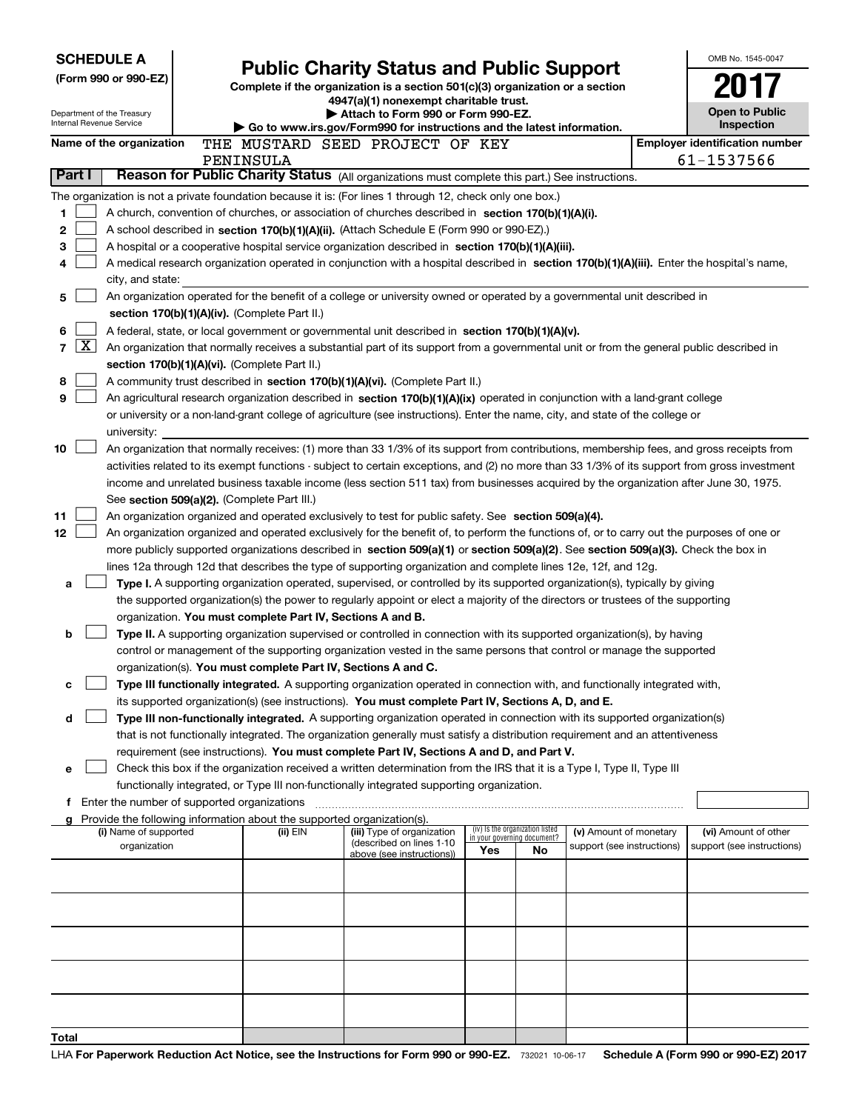| <b>SCHEDULE A</b><br><b>Public Charity Status and Public Support</b> |                                               |  |                                                                        |                                                                                                                                                                                                                                                                 |                                                                | OMB No. 1545-0047 |                            |  |                                       |
|----------------------------------------------------------------------|-----------------------------------------------|--|------------------------------------------------------------------------|-----------------------------------------------------------------------------------------------------------------------------------------------------------------------------------------------------------------------------------------------------------------|----------------------------------------------------------------|-------------------|----------------------------|--|---------------------------------------|
|                                                                      | (Form 990 or 990-EZ)                          |  |                                                                        | Complete if the organization is a section 501(c)(3) organization or a section                                                                                                                                                                                   |                                                                |                   |                            |  |                                       |
|                                                                      |                                               |  |                                                                        | 4947(a)(1) nonexempt charitable trust.                                                                                                                                                                                                                          |                                                                |                   |                            |  |                                       |
| Internal Revenue Service                                             | Department of the Treasury                    |  |                                                                        | Attach to Form 990 or Form 990-EZ.<br>Go to www.irs.gov/Form990 for instructions and the latest information.                                                                                                                                                    |                                                                |                   |                            |  | Open to Public<br>Inspection          |
|                                                                      | Name of the organization                      |  |                                                                        | THE MUSTARD SEED PROJECT OF KEY                                                                                                                                                                                                                                 |                                                                |                   |                            |  | <b>Employer identification number</b> |
|                                                                      |                                               |  | PENINSULA                                                              |                                                                                                                                                                                                                                                                 |                                                                |                   |                            |  | 61-1537566                            |
| Part I                                                               |                                               |  |                                                                        | Reason for Public Charity Status (All organizations must complete this part.) See instructions.                                                                                                                                                                 |                                                                |                   |                            |  |                                       |
|                                                                      |                                               |  |                                                                        | The organization is not a private foundation because it is: (For lines 1 through 12, check only one box.)                                                                                                                                                       |                                                                |                   |                            |  |                                       |
| 1                                                                    |                                               |  |                                                                        | A church, convention of churches, or association of churches described in section 170(b)(1)(A)(i).                                                                                                                                                              |                                                                |                   |                            |  |                                       |
| 2                                                                    |                                               |  |                                                                        | A school described in section 170(b)(1)(A)(ii). (Attach Schedule E (Form 990 or 990-EZ).)                                                                                                                                                                       |                                                                |                   |                            |  |                                       |
| 3                                                                    |                                               |  |                                                                        | A hospital or a cooperative hospital service organization described in section 170(b)(1)(A)(iii).                                                                                                                                                               |                                                                |                   |                            |  |                                       |
| 4                                                                    | city, and state:                              |  |                                                                        | A medical research organization operated in conjunction with a hospital described in section 170(b)(1)(A)(iii). Enter the hospital's name,                                                                                                                      |                                                                |                   |                            |  |                                       |
| 5                                                                    |                                               |  |                                                                        | An organization operated for the benefit of a college or university owned or operated by a governmental unit described in                                                                                                                                       |                                                                |                   |                            |  |                                       |
|                                                                      |                                               |  | section 170(b)(1)(A)(iv). (Complete Part II.)                          |                                                                                                                                                                                                                                                                 |                                                                |                   |                            |  |                                       |
| 6                                                                    |                                               |  |                                                                        | A federal, state, or local government or governmental unit described in section 170(b)(1)(A)(v).                                                                                                                                                                |                                                                |                   |                            |  |                                       |
| $\mathbf{X}$<br>7                                                    |                                               |  |                                                                        | An organization that normally receives a substantial part of its support from a governmental unit or from the general public described in                                                                                                                       |                                                                |                   |                            |  |                                       |
|                                                                      |                                               |  | section 170(b)(1)(A)(vi). (Complete Part II.)                          |                                                                                                                                                                                                                                                                 |                                                                |                   |                            |  |                                       |
| 8                                                                    |                                               |  |                                                                        | A community trust described in section 170(b)(1)(A)(vi). (Complete Part II.)                                                                                                                                                                                    |                                                                |                   |                            |  |                                       |
| 9                                                                    |                                               |  |                                                                        | An agricultural research organization described in section 170(b)(1)(A)(ix) operated in conjunction with a land-grant college<br>or university or a non-land-grant college of agriculture (see instructions). Enter the name, city, and state of the college or |                                                                |                   |                            |  |                                       |
|                                                                      | university:                                   |  |                                                                        |                                                                                                                                                                                                                                                                 |                                                                |                   |                            |  |                                       |
| 10                                                                   |                                               |  |                                                                        | An organization that normally receives: (1) more than 33 1/3% of its support from contributions, membership fees, and gross receipts from                                                                                                                       |                                                                |                   |                            |  |                                       |
|                                                                      |                                               |  |                                                                        | activities related to its exempt functions - subject to certain exceptions, and (2) no more than 33 1/3% of its support from gross investment                                                                                                                   |                                                                |                   |                            |  |                                       |
|                                                                      |                                               |  |                                                                        | income and unrelated business taxable income (less section 511 tax) from businesses acquired by the organization after June 30, 1975.                                                                                                                           |                                                                |                   |                            |  |                                       |
|                                                                      |                                               |  | See section 509(a)(2). (Complete Part III.)                            |                                                                                                                                                                                                                                                                 |                                                                |                   |                            |  |                                       |
| 11                                                                   |                                               |  |                                                                        | An organization organized and operated exclusively to test for public safety. See section 509(a)(4).                                                                                                                                                            |                                                                |                   |                            |  |                                       |
| 12                                                                   |                                               |  |                                                                        | An organization organized and operated exclusively for the benefit of, to perform the functions of, or to carry out the purposes of one or                                                                                                                      |                                                                |                   |                            |  |                                       |
|                                                                      |                                               |  |                                                                        | more publicly supported organizations described in section 509(a)(1) or section 509(a)(2). See section 509(a)(3). Check the box in<br>lines 12a through 12d that describes the type of supporting organization and complete lines 12e, 12f, and 12g.            |                                                                |                   |                            |  |                                       |
| a                                                                    |                                               |  |                                                                        | Type I. A supporting organization operated, supervised, or controlled by its supported organization(s), typically by giving                                                                                                                                     |                                                                |                   |                            |  |                                       |
|                                                                      |                                               |  |                                                                        | the supported organization(s) the power to regularly appoint or elect a majority of the directors or trustees of the supporting                                                                                                                                 |                                                                |                   |                            |  |                                       |
|                                                                      |                                               |  | organization. You must complete Part IV, Sections A and B.             |                                                                                                                                                                                                                                                                 |                                                                |                   |                            |  |                                       |
| b                                                                    |                                               |  |                                                                        | Type II. A supporting organization supervised or controlled in connection with its supported organization(s), by having                                                                                                                                         |                                                                |                   |                            |  |                                       |
|                                                                      |                                               |  |                                                                        | control or management of the supporting organization vested in the same persons that control or manage the supported                                                                                                                                            |                                                                |                   |                            |  |                                       |
|                                                                      |                                               |  | organization(s). You must complete Part IV, Sections A and C.          | Type III functionally integrated. A supporting organization operated in connection with, and functionally integrated with,                                                                                                                                      |                                                                |                   |                            |  |                                       |
| с                                                                    |                                               |  |                                                                        | its supported organization(s) (see instructions). You must complete Part IV, Sections A, D, and E.                                                                                                                                                              |                                                                |                   |                            |  |                                       |
| d                                                                    |                                               |  |                                                                        | Type III non-functionally integrated. A supporting organization operated in connection with its supported organization(s)                                                                                                                                       |                                                                |                   |                            |  |                                       |
|                                                                      |                                               |  |                                                                        | that is not functionally integrated. The organization generally must satisfy a distribution requirement and an attentiveness                                                                                                                                    |                                                                |                   |                            |  |                                       |
|                                                                      |                                               |  |                                                                        | requirement (see instructions). You must complete Part IV, Sections A and D, and Part V.                                                                                                                                                                        |                                                                |                   |                            |  |                                       |
| е                                                                    |                                               |  |                                                                        | Check this box if the organization received a written determination from the IRS that it is a Type I, Type II, Type III                                                                                                                                         |                                                                |                   |                            |  |                                       |
|                                                                      |                                               |  |                                                                        | functionally integrated, or Type III non-functionally integrated supporting organization.                                                                                                                                                                       |                                                                |                   |                            |  |                                       |
|                                                                      | f Enter the number of supported organizations |  | Provide the following information about the supported organization(s). |                                                                                                                                                                                                                                                                 |                                                                |                   |                            |  |                                       |
|                                                                      | (i) Name of supported                         |  | (ii) EIN                                                               | (iii) Type of organization                                                                                                                                                                                                                                      | (iv) Is the organization listed<br>in your governing document? |                   | (v) Amount of monetary     |  | (vi) Amount of other                  |
|                                                                      | organization                                  |  |                                                                        | (described on lines 1-10<br>above (see instructions))                                                                                                                                                                                                           | Yes                                                            | No                | support (see instructions) |  | support (see instructions)            |
|                                                                      |                                               |  |                                                                        |                                                                                                                                                                                                                                                                 |                                                                |                   |                            |  |                                       |
|                                                                      |                                               |  |                                                                        |                                                                                                                                                                                                                                                                 |                                                                |                   |                            |  |                                       |
|                                                                      |                                               |  |                                                                        |                                                                                                                                                                                                                                                                 |                                                                |                   |                            |  |                                       |
|                                                                      |                                               |  |                                                                        |                                                                                                                                                                                                                                                                 |                                                                |                   |                            |  |                                       |
|                                                                      |                                               |  |                                                                        |                                                                                                                                                                                                                                                                 |                                                                |                   |                            |  |                                       |
|                                                                      |                                               |  |                                                                        |                                                                                                                                                                                                                                                                 |                                                                |                   |                            |  |                                       |
|                                                                      |                                               |  |                                                                        |                                                                                                                                                                                                                                                                 |                                                                |                   |                            |  |                                       |
|                                                                      |                                               |  |                                                                        |                                                                                                                                                                                                                                                                 |                                                                |                   |                            |  |                                       |
|                                                                      |                                               |  |                                                                        |                                                                                                                                                                                                                                                                 |                                                                |                   |                            |  |                                       |
| Total                                                                |                                               |  |                                                                        |                                                                                                                                                                                                                                                                 |                                                                |                   |                            |  |                                       |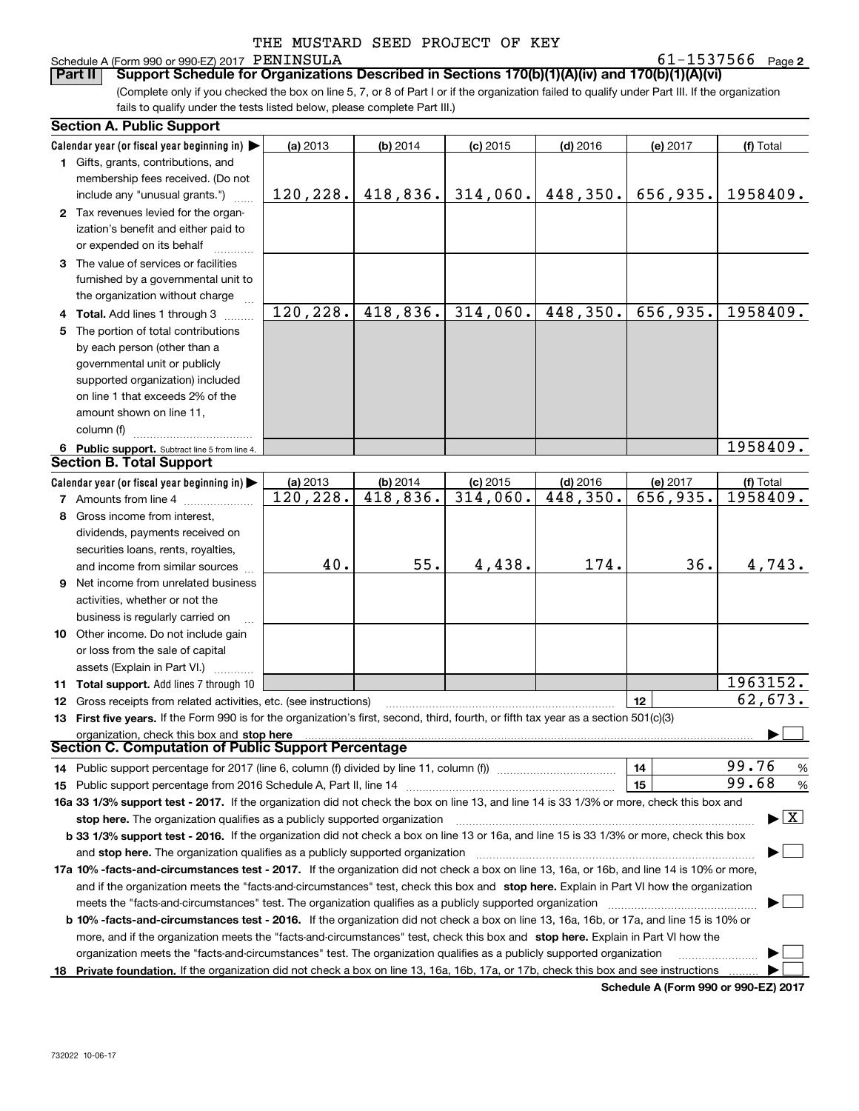### Schedule A (Form 990 or 990-EZ) 2017 PENINSULA

**2** PENINSULA 61-1537566

(Complete only if you checked the box on line 5, 7, or 8 of Part I or if the organization failed to qualify under Part III. If the organization fails to qualify under the tests listed below, please complete Part III.) **Part II** | Support Schedule for Organizations Described in Sections 170(b)(1)(A)(iv) and 170(b)(1)(A)(vi)

|    | <b>Section A. Public Support</b>                                                                                                               |           |            |            |            |          |                                          |
|----|------------------------------------------------------------------------------------------------------------------------------------------------|-----------|------------|------------|------------|----------|------------------------------------------|
|    | Calendar year (or fiscal year beginning in) $\blacktriangleright$                                                                              | (a) 2013  | (b) 2014   | $(c)$ 2015 | $(d)$ 2016 | (e) 2017 | (f) Total                                |
|    | 1 Gifts, grants, contributions, and                                                                                                            |           |            |            |            |          |                                          |
|    | membership fees received. (Do not                                                                                                              |           |            |            |            |          |                                          |
|    | include any "unusual grants.")                                                                                                                 | 120, 228. | 418,836.   | 314,060.   | 448,350.   | 656,935. | 1958409.                                 |
|    | 2 Tax revenues levied for the organ-                                                                                                           |           |            |            |            |          |                                          |
|    | ization's benefit and either paid to                                                                                                           |           |            |            |            |          |                                          |
|    | or expended on its behalf                                                                                                                      |           |            |            |            |          |                                          |
|    | 3 The value of services or facilities                                                                                                          |           |            |            |            |          |                                          |
|    | furnished by a governmental unit to                                                                                                            |           |            |            |            |          |                                          |
|    | the organization without charge                                                                                                                |           |            |            |            |          |                                          |
|    | 4 Total. Add lines 1 through 3                                                                                                                 | 120, 228. | 418,836.   | 314,060.   | 448,350.   | 656,935. | 1958409.                                 |
|    | 5 The portion of total contributions                                                                                                           |           |            |            |            |          |                                          |
|    | by each person (other than a                                                                                                                   |           |            |            |            |          |                                          |
|    | governmental unit or publicly                                                                                                                  |           |            |            |            |          |                                          |
|    | supported organization) included                                                                                                               |           |            |            |            |          |                                          |
|    | on line 1 that exceeds 2% of the                                                                                                               |           |            |            |            |          |                                          |
|    | amount shown on line 11,                                                                                                                       |           |            |            |            |          |                                          |
|    | column (f)                                                                                                                                     |           |            |            |            |          |                                          |
|    | 6 Public support. Subtract line 5 from line 4.                                                                                                 |           |            |            |            |          | 1958409.                                 |
|    | <b>Section B. Total Support</b>                                                                                                                |           |            |            |            |          |                                          |
|    | Calendar year (or fiscal year beginning in)                                                                                                    | (a) 2013  | $(b)$ 2014 | $(c)$ 2015 | $(d)$ 2016 | (e) 2017 | (f) Total                                |
|    | <b>7</b> Amounts from line 4                                                                                                                   | 120, 228. | 418,836.   | 314,060.   | 448,350.   | 656,935. | 1958409.                                 |
|    | 8 Gross income from interest,                                                                                                                  |           |            |            |            |          |                                          |
|    | dividends, payments received on                                                                                                                |           |            |            |            |          |                                          |
|    | securities loans, rents, royalties,                                                                                                            |           |            |            |            |          |                                          |
|    | and income from similar sources                                                                                                                | 40.       | 55.        | 4,438.     | 174.       | 36.      | 4,743.                                   |
|    | 9 Net income from unrelated business                                                                                                           |           |            |            |            |          |                                          |
|    | activities, whether or not the                                                                                                                 |           |            |            |            |          |                                          |
|    | business is regularly carried on                                                                                                               |           |            |            |            |          |                                          |
|    | 10 Other income. Do not include gain                                                                                                           |           |            |            |            |          |                                          |
|    | or loss from the sale of capital                                                                                                               |           |            |            |            |          |                                          |
|    | assets (Explain in Part VI.)                                                                                                                   |           |            |            |            |          |                                          |
|    | <b>11 Total support.</b> Add lines 7 through 10                                                                                                |           |            |            |            |          | 1963152.                                 |
|    | <b>12</b> Gross receipts from related activities, etc. (see instructions)                                                                      |           |            |            |            | 12       | 62,673.                                  |
|    | 13 First five years. If the Form 990 is for the organization's first, second, third, fourth, or fifth tax year as a section 501(c)(3)          |           |            |            |            |          |                                          |
|    | organization, check this box and stop here                                                                                                     |           |            |            |            |          |                                          |
|    | Section C. Computation of Public Support Percentage                                                                                            |           |            |            |            |          |                                          |
|    | 14 Public support percentage for 2017 (line 6, column (f) divided by line 11, column (f) <i>manumanomeron</i>                                  |           |            |            |            | 14       | 99.76<br>%                               |
|    |                                                                                                                                                |           |            |            |            | 15       | 99.68<br>%                               |
|    | 16a 33 1/3% support test - 2017. If the organization did not check the box on line 13, and line 14 is 33 1/3% or more, check this box and      |           |            |            |            |          |                                          |
|    | stop here. The organization qualifies as a publicly supported organization                                                                     |           |            |            |            |          | $\blacktriangleright$ $\boxed{\text{X}}$ |
|    | b 33 1/3% support test - 2016. If the organization did not check a box on line 13 or 16a, and line 15 is 33 1/3% or more, check this box       |           |            |            |            |          |                                          |
|    | and stop here. The organization qualifies as a publicly supported organization                                                                 |           |            |            |            |          |                                          |
|    | 17a 10% -facts-and-circumstances test - 2017. If the organization did not check a box on line 13, 16a, or 16b, and line 14 is 10% or more,     |           |            |            |            |          |                                          |
|    | and if the organization meets the "facts-and-circumstances" test, check this box and stop here. Explain in Part VI how the organization        |           |            |            |            |          |                                          |
|    | meets the "facts-and-circumstances" test. The organization qualifies as a publicly supported organization                                      |           |            |            |            |          |                                          |
|    | <b>b 10% -facts-and-circumstances test - 2016.</b> If the organization did not check a box on line 13, 16a, 16b, or 17a, and line 15 is 10% or |           |            |            |            |          |                                          |
|    | more, and if the organization meets the "facts-and-circumstances" test, check this box and stop here. Explain in Part VI how the               |           |            |            |            |          |                                          |
|    | organization meets the "facts-and-circumstances" test. The organization qualifies as a publicly supported organization                         |           |            |            |            |          |                                          |
| 18 | Private foundation. If the organization did not check a box on line 13, 16a, 16b, 17a, or 17b, check this box and see instructions             |           |            |            |            |          |                                          |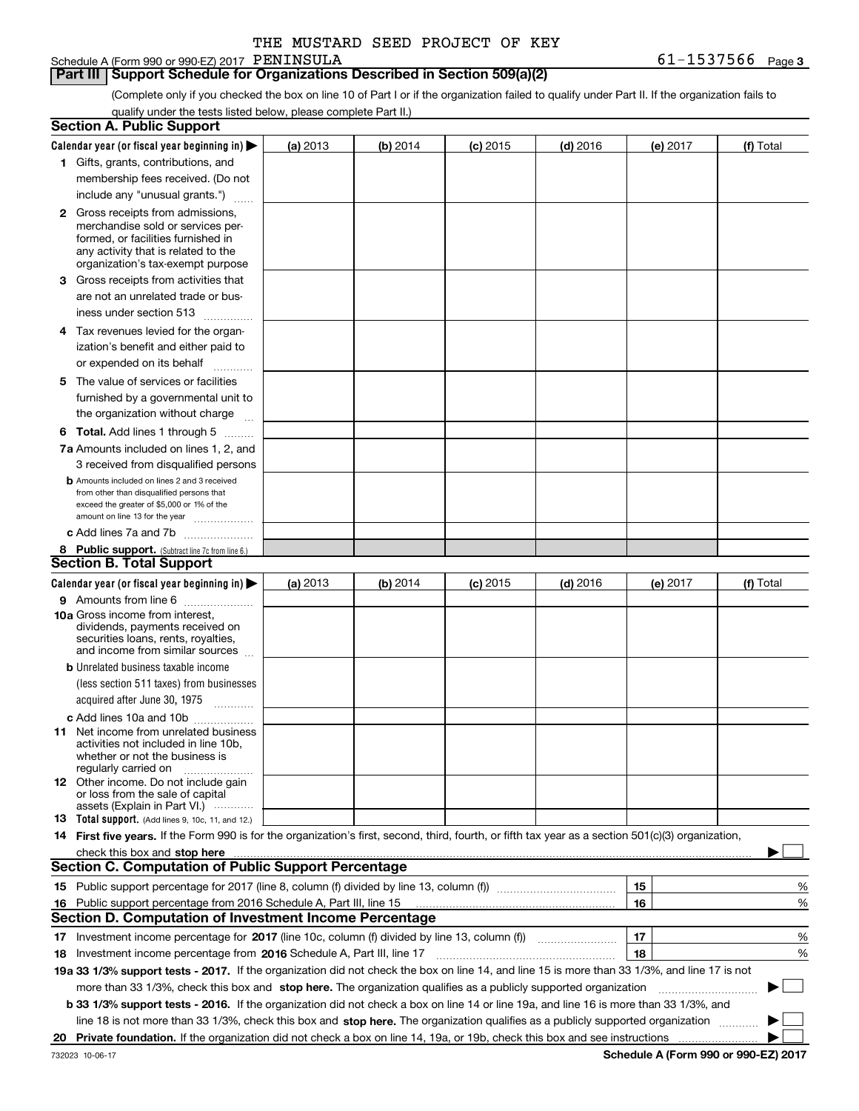| THE MUSTARD SEED PROJECT OF KEY |
|---------------------------------|
|                                 |

Schedule A (Form 990 or 990-EZ) 2017 PENINSULA

### **Part III Support Schedule for Organizations Described in Section 509(a)(2)**

**3** PENINSULA 61-1537566

(Complete only if you checked the box on line 10 of Part I or if the organization failed to qualify under Part II. If the organization fails to qualify under the tests listed below, please complete Part II.)

|    | <b>Section A. Public Support</b>                                                                                                                                                                                               |          |          |            |            |          |             |
|----|--------------------------------------------------------------------------------------------------------------------------------------------------------------------------------------------------------------------------------|----------|----------|------------|------------|----------|-------------|
|    | Calendar year (or fiscal year beginning in) $\blacktriangleright$                                                                                                                                                              | (a) 2013 | (b) 2014 | $(c)$ 2015 | $(d)$ 2016 | (e) 2017 | (f) Total   |
|    | 1 Gifts, grants, contributions, and                                                                                                                                                                                            |          |          |            |            |          |             |
|    | membership fees received. (Do not                                                                                                                                                                                              |          |          |            |            |          |             |
|    | include any "unusual grants.")                                                                                                                                                                                                 |          |          |            |            |          |             |
|    | <b>2</b> Gross receipts from admissions,                                                                                                                                                                                       |          |          |            |            |          |             |
|    | merchandise sold or services per-                                                                                                                                                                                              |          |          |            |            |          |             |
|    | formed, or facilities furnished in                                                                                                                                                                                             |          |          |            |            |          |             |
|    | any activity that is related to the<br>organization's tax-exempt purpose                                                                                                                                                       |          |          |            |            |          |             |
|    | 3 Gross receipts from activities that                                                                                                                                                                                          |          |          |            |            |          |             |
|    | are not an unrelated trade or bus-                                                                                                                                                                                             |          |          |            |            |          |             |
|    | iness under section 513                                                                                                                                                                                                        |          |          |            |            |          |             |
|    | 4 Tax revenues levied for the organ-                                                                                                                                                                                           |          |          |            |            |          |             |
|    | ization's benefit and either paid to                                                                                                                                                                                           |          |          |            |            |          |             |
|    | or expended on its behalf<br>.                                                                                                                                                                                                 |          |          |            |            |          |             |
|    | 5 The value of services or facilities                                                                                                                                                                                          |          |          |            |            |          |             |
|    | furnished by a governmental unit to                                                                                                                                                                                            |          |          |            |            |          |             |
|    | the organization without charge                                                                                                                                                                                                |          |          |            |            |          |             |
|    | <b>6 Total.</b> Add lines 1 through 5                                                                                                                                                                                          |          |          |            |            |          |             |
|    | 7a Amounts included on lines 1, 2, and                                                                                                                                                                                         |          |          |            |            |          |             |
|    | 3 received from disqualified persons                                                                                                                                                                                           |          |          |            |            |          |             |
|    | <b>b</b> Amounts included on lines 2 and 3 received                                                                                                                                                                            |          |          |            |            |          |             |
|    | from other than disqualified persons that                                                                                                                                                                                      |          |          |            |            |          |             |
|    | exceed the greater of \$5,000 or 1% of the<br>amount on line 13 for the year                                                                                                                                                   |          |          |            |            |          |             |
|    | c Add lines 7a and 7b                                                                                                                                                                                                          |          |          |            |            |          |             |
|    | 8 Public support. (Subtract line 7c from line 6.)                                                                                                                                                                              |          |          |            |            |          |             |
|    | <b>Section B. Total Support</b>                                                                                                                                                                                                |          |          |            |            |          |             |
|    | Calendar year (or fiscal year beginning in)                                                                                                                                                                                    | (a) 2013 | (b) 2014 | $(c)$ 2015 | $(d)$ 2016 | (e) 2017 | (f) Total   |
|    | 9 Amounts from line 6                                                                                                                                                                                                          |          |          |            |            |          |             |
|    | <b>10a</b> Gross income from interest,                                                                                                                                                                                         |          |          |            |            |          |             |
|    | dividends, payments received on                                                                                                                                                                                                |          |          |            |            |          |             |
|    | securities loans, rents, royalties,<br>and income from similar sources                                                                                                                                                         |          |          |            |            |          |             |
|    | <b>b</b> Unrelated business taxable income                                                                                                                                                                                     |          |          |            |            |          |             |
|    | (less section 511 taxes) from businesses                                                                                                                                                                                       |          |          |            |            |          |             |
|    | acquired after June 30, 1975 [10001]                                                                                                                                                                                           |          |          |            |            |          |             |
|    | c Add lines 10a and 10b                                                                                                                                                                                                        |          |          |            |            |          |             |
|    | 11 Net income from unrelated business                                                                                                                                                                                          |          |          |            |            |          |             |
|    | activities not included in line 10b,                                                                                                                                                                                           |          |          |            |            |          |             |
|    | whether or not the business is<br>regularly carried on                                                                                                                                                                         |          |          |            |            |          |             |
|    | <b>12</b> Other income. Do not include gain                                                                                                                                                                                    |          |          |            |            |          |             |
|    | or loss from the sale of capital<br>assets (Explain in Part VI.)                                                                                                                                                               |          |          |            |            |          |             |
|    | <b>13</b> Total support. (Add lines 9, 10c, 11, and 12.)                                                                                                                                                                       |          |          |            |            |          |             |
|    | 14 First five years. If the Form 990 is for the organization's first, second, third, fourth, or fifth tax year as a section 501(c)(3) organization,                                                                            |          |          |            |            |          |             |
|    | check this box and stop here measurements are all the state of the state of the state of the state of the state of the state of the state of the state of the state of the state of the state of the state of the state of the |          |          |            |            |          |             |
|    | <b>Section C. Computation of Public Support Percentage</b>                                                                                                                                                                     |          |          |            |            |          |             |
|    |                                                                                                                                                                                                                                |          |          |            |            | 15       | %           |
|    | 16 Public support percentage from 2016 Schedule A, Part III, line 15                                                                                                                                                           |          |          |            |            | 16       | %           |
|    | <b>Section D. Computation of Investment Income Percentage</b>                                                                                                                                                                  |          |          |            |            |          |             |
|    | 17 Investment income percentage for 2017 (line 10c, column (f) divided by line 13, column (f))                                                                                                                                 |          |          |            |            | 17       | %           |
|    | <b>18</b> Investment income percentage from <b>2016</b> Schedule A, Part III, line 17                                                                                                                                          |          |          |            |            | 18       | %           |
|    | 19a 33 1/3% support tests - 2017. If the organization did not check the box on line 14, and line 15 is more than 33 1/3%, and line 17 is not                                                                                   |          |          |            |            |          |             |
|    | more than 33 1/3%, check this box and stop here. The organization qualifies as a publicly supported organization                                                                                                               |          |          |            |            |          | $\sim$<br>▶ |
|    | b 33 1/3% support tests - 2016. If the organization did not check a box on line 14 or line 19a, and line 16 is more than 33 1/3%, and                                                                                          |          |          |            |            |          |             |
|    | line 18 is not more than 33 1/3%, check this box and stop here. The organization qualifies as a publicly supported organization                                                                                                |          |          |            |            |          |             |
| 20 |                                                                                                                                                                                                                                |          |          |            |            |          |             |
|    |                                                                                                                                                                                                                                |          |          |            |            |          |             |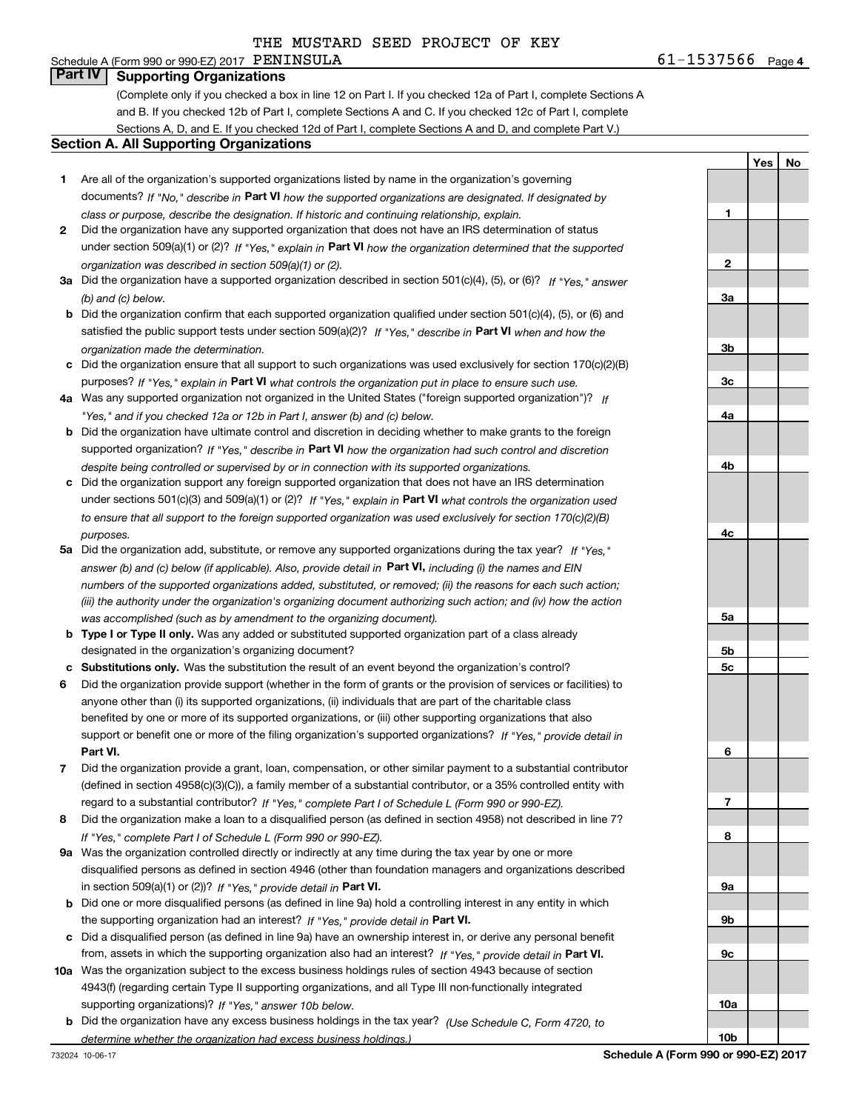# Schedule A (Form 990 or 990-EZ) 2017  $\overline{PBNINSULA}$

**Part IV Supporting Organizations**

(Complete only if you checked a box in line 12 on Part I. If you checked 12a of Part I, complete Sections A and B. If you checked 12b of Part I, complete Sections A and C. If you checked 12c of Part I, complete Sections A, D, and E. If you checked 12d of Part I, complete Sections A and D, and complete Part V.)

### **Section A. All Supporting Organizations**

- **1** Are all of the organization's supported organizations listed by name in the organization's governing documents? If "No," describe in **Part VI** how the supported organizations are designated. If designated by *class or purpose, describe the designation. If historic and continuing relationship, explain.*
- **2** Did the organization have any supported organization that does not have an IRS determination of status under section 509(a)(1) or (2)? If "Yes," explain in Part VI how the organization determined that the supported *organization was described in section 509(a)(1) or (2).*
- **3a** Did the organization have a supported organization described in section 501(c)(4), (5), or (6)? If "Yes," answer *(b) and (c) below.*
- **b** Did the organization confirm that each supported organization qualified under section 501(c)(4), (5), or (6) and satisfied the public support tests under section 509(a)(2)? If "Yes," describe in **Part VI** when and how the *organization made the determination.*
- **c**Did the organization ensure that all support to such organizations was used exclusively for section 170(c)(2)(B) purposes? If "Yes," explain in **Part VI** what controls the organization put in place to ensure such use.
- **4a***If* Was any supported organization not organized in the United States ("foreign supported organization")? *"Yes," and if you checked 12a or 12b in Part I, answer (b) and (c) below.*
- **b** Did the organization have ultimate control and discretion in deciding whether to make grants to the foreign supported organization? If "Yes," describe in **Part VI** how the organization had such control and discretion *despite being controlled or supervised by or in connection with its supported organizations.*
- **c** Did the organization support any foreign supported organization that does not have an IRS determination under sections 501(c)(3) and 509(a)(1) or (2)? If "Yes," explain in **Part VI** what controls the organization used *to ensure that all support to the foreign supported organization was used exclusively for section 170(c)(2)(B) purposes.*
- **5a***If "Yes,"* Did the organization add, substitute, or remove any supported organizations during the tax year? answer (b) and (c) below (if applicable). Also, provide detail in **Part VI,** including (i) the names and EIN *numbers of the supported organizations added, substituted, or removed; (ii) the reasons for each such action; (iii) the authority under the organization's organizing document authorizing such action; and (iv) how the action was accomplished (such as by amendment to the organizing document).*
- **b** Type I or Type II only. Was any added or substituted supported organization part of a class already designated in the organization's organizing document?
- **cSubstitutions only.**  Was the substitution the result of an event beyond the organization's control?
- **6** Did the organization provide support (whether in the form of grants or the provision of services or facilities) to **Part VI.** *If "Yes," provide detail in* support or benefit one or more of the filing organization's supported organizations? anyone other than (i) its supported organizations, (ii) individuals that are part of the charitable class benefited by one or more of its supported organizations, or (iii) other supporting organizations that also
- **7**Did the organization provide a grant, loan, compensation, or other similar payment to a substantial contributor *If "Yes," complete Part I of Schedule L (Form 990 or 990-EZ).* regard to a substantial contributor? (defined in section 4958(c)(3)(C)), a family member of a substantial contributor, or a 35% controlled entity with
- **8** Did the organization make a loan to a disqualified person (as defined in section 4958) not described in line 7? *If "Yes," complete Part I of Schedule L (Form 990 or 990-EZ).*
- **9a** Was the organization controlled directly or indirectly at any time during the tax year by one or more in section 509(a)(1) or (2))? If "Yes," *provide detail in* <code>Part VI.</code> disqualified persons as defined in section 4946 (other than foundation managers and organizations described
- **b** Did one or more disqualified persons (as defined in line 9a) hold a controlling interest in any entity in which the supporting organization had an interest? If "Yes," provide detail in P**art VI**.
- **c**Did a disqualified person (as defined in line 9a) have an ownership interest in, or derive any personal benefit from, assets in which the supporting organization also had an interest? If "Yes," provide detail in P**art VI.**
- **10a** Was the organization subject to the excess business holdings rules of section 4943 because of section supporting organizations)? If "Yes," answer 10b below. 4943(f) (regarding certain Type II supporting organizations, and all Type III non-functionally integrated
- **b** Did the organization have any excess business holdings in the tax year? (Use Schedule C, Form 4720, to *determine whether the organization had excess business holdings.)*

732024 10-06-17

**1**

**Yes**

**No**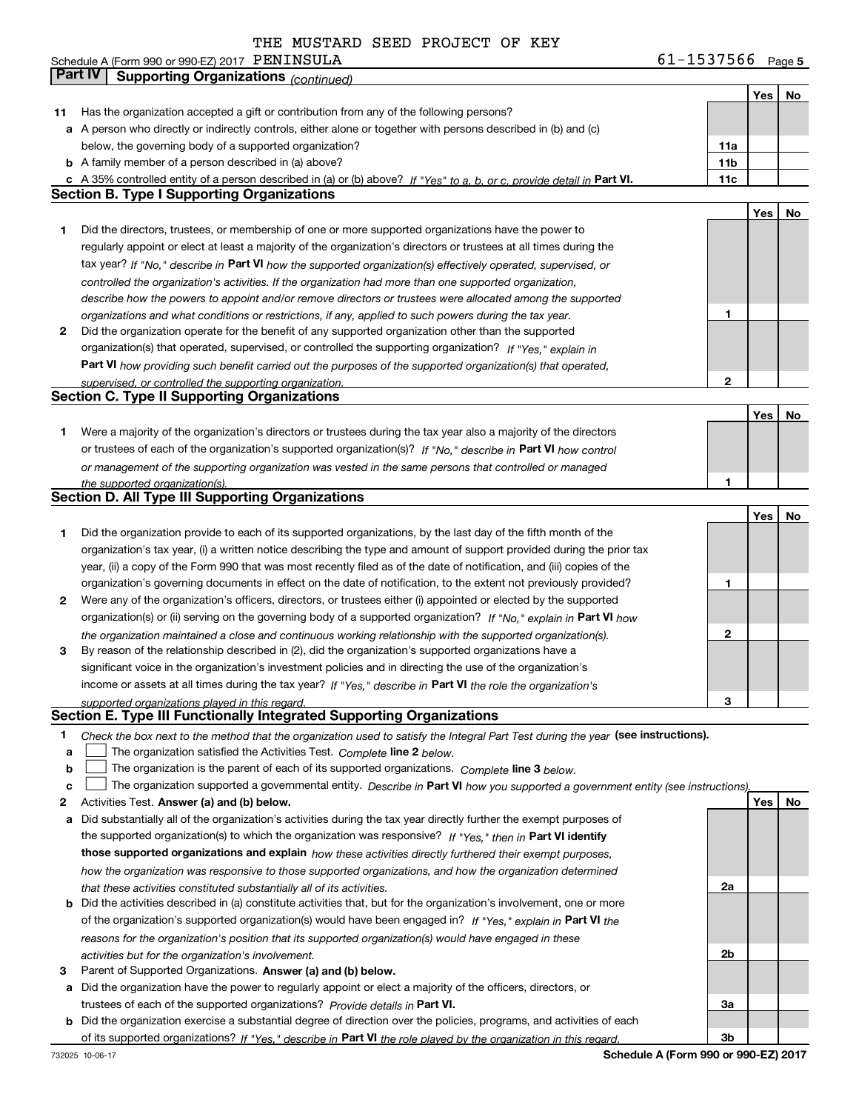**5** Schedule A (Form 990 or 990-EZ) 2017 Page PENINSULA 61-1537566

|        | Part IV<br><b>Supporting Organizations (continued)</b>                                                                                                                       |                 |     |    |
|--------|------------------------------------------------------------------------------------------------------------------------------------------------------------------------------|-----------------|-----|----|
|        |                                                                                                                                                                              |                 | Yes | No |
| 11     | Has the organization accepted a gift or contribution from any of the following persons?                                                                                      |                 |     |    |
|        | a A person who directly or indirectly controls, either alone or together with persons described in (b) and (c)                                                               |                 |     |    |
|        | below, the governing body of a supported organization?                                                                                                                       | 11a             |     |    |
|        | <b>b</b> A family member of a person described in (a) above?                                                                                                                 | 11 <sub>b</sub> |     |    |
|        | c A 35% controlled entity of a person described in (a) or (b) above? If "Yes" to a, b, or c, provide detail in Part VI.                                                      | 11c             |     |    |
|        | <b>Section B. Type I Supporting Organizations</b>                                                                                                                            |                 |     |    |
|        |                                                                                                                                                                              |                 | Yes | No |
| 1      | Did the directors, trustees, or membership of one or more supported organizations have the power to                                                                          |                 |     |    |
|        | regularly appoint or elect at least a majority of the organization's directors or trustees at all times during the                                                           |                 |     |    |
|        | tax year? If "No," describe in Part VI how the supported organization(s) effectively operated, supervised, or                                                                |                 |     |    |
|        | controlled the organization's activities. If the organization had more than one supported organization,                                                                      |                 |     |    |
|        | describe how the powers to appoint and/or remove directors or trustees were allocated among the supported                                                                    |                 |     |    |
|        | organizations and what conditions or restrictions, if any, applied to such powers during the tax year.                                                                       | 1               |     |    |
| 2      | Did the organization operate for the benefit of any supported organization other than the supported                                                                          |                 |     |    |
|        | organization(s) that operated, supervised, or controlled the supporting organization? If "Yes," explain in                                                                   |                 |     |    |
|        | Part VI how providing such benefit carried out the purposes of the supported organization(s) that operated,                                                                  |                 |     |    |
|        | supervised, or controlled the supporting organization.<br><b>Section C. Type II Supporting Organizations</b>                                                                 | $\mathbf{2}$    |     |    |
|        |                                                                                                                                                                              |                 | Yes | No |
| 1      | Were a majority of the organization's directors or trustees during the tax year also a majority of the directors                                                             |                 |     |    |
|        | or trustees of each of the organization's supported organization(s)? If "No," describe in Part VI how control                                                                |                 |     |    |
|        | or management of the supporting organization was vested in the same persons that controlled or managed                                                                       |                 |     |    |
|        | the supported organization(s).                                                                                                                                               | 1               |     |    |
|        | <b>Section D. All Type III Supporting Organizations</b>                                                                                                                      |                 |     |    |
|        |                                                                                                                                                                              |                 | Yes | No |
| 1      | Did the organization provide to each of its supported organizations, by the last day of the fifth month of the                                                               |                 |     |    |
|        | organization's tax year, (i) a written notice describing the type and amount of support provided during the prior tax                                                        |                 |     |    |
|        | year, (ii) a copy of the Form 990 that was most recently filed as of the date of notification, and (iii) copies of the                                                       |                 |     |    |
|        | organization's governing documents in effect on the date of notification, to the extent not previously provided?                                                             | 1               |     |    |
| 2      | Were any of the organization's officers, directors, or trustees either (i) appointed or elected by the supported                                                             |                 |     |    |
|        | organization(s) or (ii) serving on the governing body of a supported organization? If "No," explain in Part VI how                                                           |                 |     |    |
|        | the organization maintained a close and continuous working relationship with the supported organization(s).                                                                  | $\mathbf{2}$    |     |    |
| 3      | By reason of the relationship described in (2), did the organization's supported organizations have a                                                                        |                 |     |    |
|        | significant voice in the organization's investment policies and in directing the use of the organization's                                                                   |                 |     |    |
|        | income or assets at all times during the tax year? If "Yes," describe in Part VI the role the organization's                                                                 |                 |     |    |
|        | supported organizations played in this regard.                                                                                                                               | 3               |     |    |
|        | Section E. Type III Functionally Integrated Supporting Organizations                                                                                                         |                 |     |    |
| 1      | Check the box next to the method that the organization used to satisfy the Integral Part Test during the year (see instructions).                                            |                 |     |    |
| a      | The organization satisfied the Activities Test. Complete line 2 below.                                                                                                       |                 |     |    |
| b      | The organization is the parent of each of its supported organizations. Complete line 3 below.                                                                                |                 |     |    |
| c<br>2 | The organization supported a governmental entity. Describe in Part VI how you supported a government entity (see instructions)<br>Activities Test. Answer (a) and (b) below. |                 | Yes | No |
| а      | Did substantially all of the organization's activities during the tax year directly further the exempt purposes of                                                           |                 |     |    |
|        | the supported organization(s) to which the organization was responsive? If "Yes," then in Part VI identify                                                                   |                 |     |    |
|        | those supported organizations and explain how these activities directly furthered their exempt purposes,                                                                     |                 |     |    |
|        | how the organization was responsive to those supported organizations, and how the organization determined                                                                    |                 |     |    |
|        | that these activities constituted substantially all of its activities.                                                                                                       | 2a              |     |    |
| b      | Did the activities described in (a) constitute activities that, but for the organization's involvement, one or more                                                          |                 |     |    |
|        | of the organization's supported organization(s) would have been engaged in? If "Yes," explain in Part VI the                                                                 |                 |     |    |
|        | reasons for the organization's position that its supported organization(s) would have engaged in these                                                                       |                 |     |    |
|        | activities but for the organization's involvement.                                                                                                                           | 2b              |     |    |
| з      | Parent of Supported Organizations. Answer (a) and (b) below.                                                                                                                 |                 |     |    |
| а      | Did the organization have the power to regularly appoint or elect a majority of the officers, directors, or                                                                  |                 |     |    |
|        | trustees of each of the supported organizations? Provide details in Part VI.                                                                                                 | За              |     |    |
|        | <b>b</b> Did the organization exercise a substantial degree of direction over the policies, programs, and activities of each                                                 |                 |     |    |
|        | of its supported organizations? If "Yes." describe in Part VI the role played by the organization in this regard.                                                            | Зb              |     |    |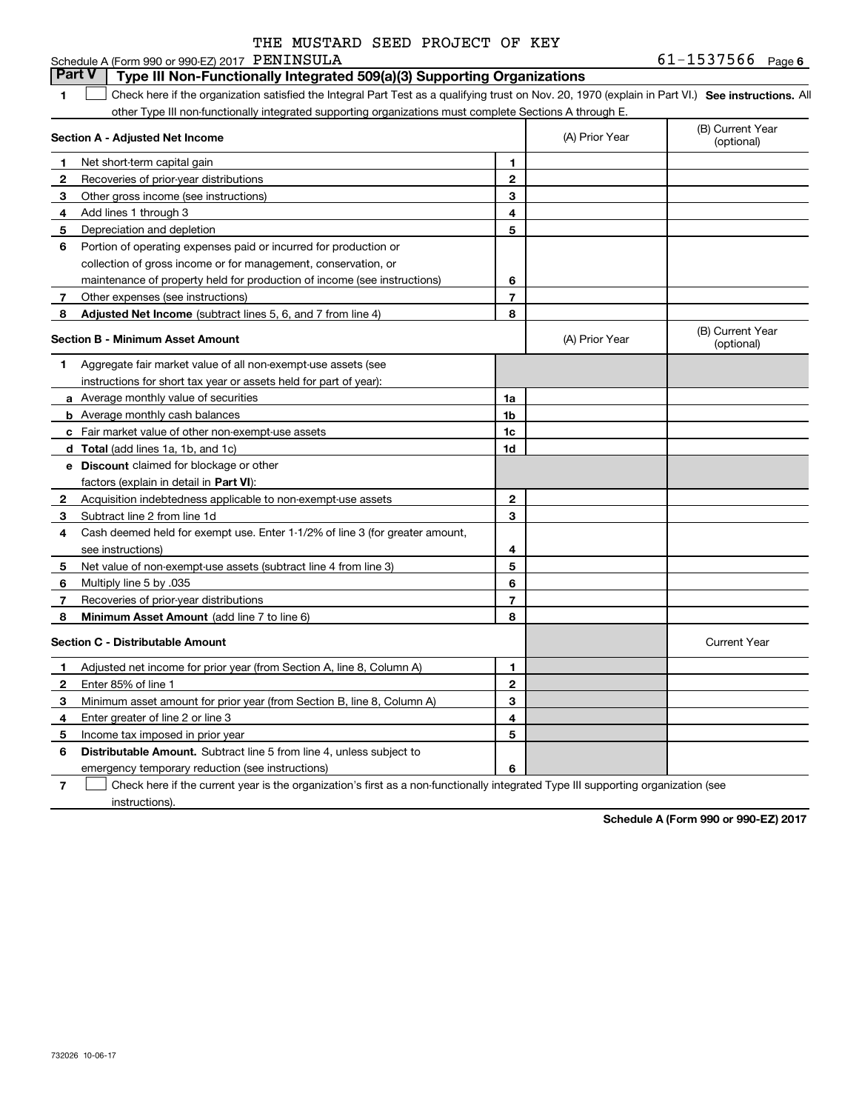|  | THE MUSTARD SEED PROJECT OF KEY |  |
|--|---------------------------------|--|
|  |                                 |  |

### **1SEP 10. See instructions.** All antegral Part Test as a qualifying trust on Nov. 20, 1970 (explain in Part VI.) See instructions. All **Section A - Adjusted Net Income 123** Other gross income (see instructions) **4**Add lines 1 through 3 **56** Portion of operating expenses paid or incurred for production or **78** Adjusted Net Income (subtract lines 5, 6, and 7 from line 4) **8 8 1234567Section B - Minimum Asset Amount 1**Aggregate fair market value of all non-exempt-use assets (see **2**Acquisition indebtedness applicable to non-exempt-use assets **3** Subtract line 2 from line 1d **4**Cash deemed held for exempt use. Enter 1-1/2% of line 3 (for greater amount, **5** Net value of non-exempt-use assets (subtract line 4 from line 3) **678a** Average monthly value of securities **b** Average monthly cash balances **c**Fair market value of other non-exempt-use assets **dTotal**  (add lines 1a, 1b, and 1c) **eDiscount** claimed for blockage or other **1a1b1c1d2345678**factors (explain in detail in **Part VI**): **Minimum Asset Amount**  (add line 7 to line 6) **Section C - Distributable Amount 123456123456Distributable Amount.** Subtract line 5 from line 4, unless subject to Schedule A (Form 990 or 990-EZ) 2017 PENINSULA other Type III non-functionally integrated supporting organizations must complete Sections A through E. (B) Current Year (optional)(A) Prior Year Net short-term capital gain Recoveries of prior-year distributions Depreciation and depletion collection of gross income or for management, conservation, or maintenance of property held for production of income (see instructions) Other expenses (see instructions) (B) Current Year (optional)(A) Prior Year instructions for short tax year or assets held for part of year): see instructions) Multiply line 5 by .035 Recoveries of prior-year distributions Current Year Adjusted net income for prior year (from Section A, line 8, Column A) Enter 85% of line 1 Minimum asset amount for prior year (from Section B, line 8, Column A) Enter greater of line 2 or line 3 Income tax imposed in prior year emergency temporary reduction (see instructions) **Part V** Type III Non-Functionally Integrated 509(a)(3) Supporting Organizations  $\mathcal{L}^{\text{max}}$

**7**Check here if the current year is the organization's first as a non-functionally integrated Type III supporting organization (see instructions). $\mathcal{L}^{\text{max}}$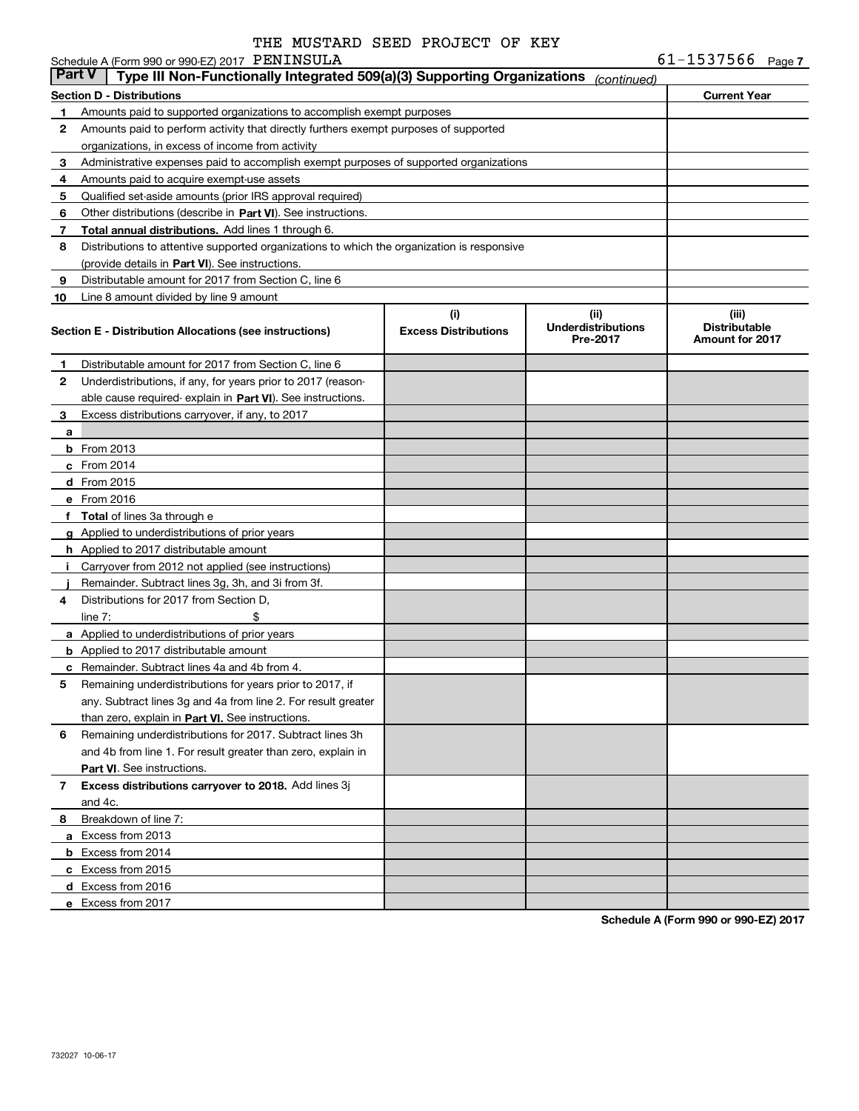Schedule A (Form 990 or 990-EZ) 2017 PENINSULA

| <b>Part V</b> | Type III Non-Functionally Integrated 509(a)(3) Supporting Organizations                    |                             | (continued)                           |                                                |
|---------------|--------------------------------------------------------------------------------------------|-----------------------------|---------------------------------------|------------------------------------------------|
|               | Section D - Distributions                                                                  |                             |                                       | <b>Current Year</b>                            |
| 1             | Amounts paid to supported organizations to accomplish exempt purposes                      |                             |                                       |                                                |
| 2             | Amounts paid to perform activity that directly furthers exempt purposes of supported       |                             |                                       |                                                |
|               | organizations, in excess of income from activity                                           |                             |                                       |                                                |
| 3             | Administrative expenses paid to accomplish exempt purposes of supported organizations      |                             |                                       |                                                |
| 4             | Amounts paid to acquire exempt-use assets                                                  |                             |                                       |                                                |
| 5             | Qualified set-aside amounts (prior IRS approval required)                                  |                             |                                       |                                                |
| 6             | Other distributions (describe in Part VI). See instructions.                               |                             |                                       |                                                |
| 7             | <b>Total annual distributions.</b> Add lines 1 through 6.                                  |                             |                                       |                                                |
| 8             | Distributions to attentive supported organizations to which the organization is responsive |                             |                                       |                                                |
|               | (provide details in Part VI). See instructions.                                            |                             |                                       |                                                |
| 9             | Distributable amount for 2017 from Section C, line 6                                       |                             |                                       |                                                |
| 10            | Line 8 amount divided by line 9 amount                                                     |                             |                                       |                                                |
|               |                                                                                            | (i)                         | (ii)                                  | (iii)                                          |
|               | Section E - Distribution Allocations (see instructions)                                    | <b>Excess Distributions</b> | <b>Underdistributions</b><br>Pre-2017 | <b>Distributable</b><br><b>Amount for 2017</b> |
| 1             | Distributable amount for 2017 from Section C, line 6                                       |                             |                                       |                                                |
| 2             | Underdistributions, if any, for years prior to 2017 (reason-                               |                             |                                       |                                                |
|               | able cause required- explain in Part VI). See instructions.                                |                             |                                       |                                                |
| 3             | Excess distributions carryover, if any, to 2017                                            |                             |                                       |                                                |
| a             |                                                                                            |                             |                                       |                                                |
|               | <b>b</b> From 2013                                                                         |                             |                                       |                                                |
|               | c From 2014                                                                                |                             |                                       |                                                |
|               | <b>d</b> From 2015                                                                         |                             |                                       |                                                |
|               | e From 2016                                                                                |                             |                                       |                                                |
|               | f Total of lines 3a through e                                                              |                             |                                       |                                                |
|               | g Applied to underdistributions of prior years                                             |                             |                                       |                                                |
|               | <b>h</b> Applied to 2017 distributable amount                                              |                             |                                       |                                                |
| Ī.            | Carryover from 2012 not applied (see instructions)                                         |                             |                                       |                                                |
|               | Remainder. Subtract lines 3g, 3h, and 3i from 3f.                                          |                             |                                       |                                                |
| 4             | Distributions for 2017 from Section D,                                                     |                             |                                       |                                                |
|               | \$<br>line $7:$                                                                            |                             |                                       |                                                |
|               | <b>a</b> Applied to underdistributions of prior years                                      |                             |                                       |                                                |
|               | <b>b</b> Applied to 2017 distributable amount                                              |                             |                                       |                                                |
|               | <b>c</b> Remainder. Subtract lines 4a and 4b from 4.                                       |                             |                                       |                                                |
| 5             | Remaining underdistributions for years prior to 2017, if                                   |                             |                                       |                                                |
|               | any. Subtract lines 3g and 4a from line 2. For result greater                              |                             |                                       |                                                |
|               | than zero, explain in Part VI. See instructions.                                           |                             |                                       |                                                |
| 6             | Remaining underdistributions for 2017. Subtract lines 3h                                   |                             |                                       |                                                |
|               | and 4b from line 1. For result greater than zero, explain in                               |                             |                                       |                                                |
|               | Part VI. See instructions.                                                                 |                             |                                       |                                                |
| 7             | Excess distributions carryover to 2018. Add lines 3j                                       |                             |                                       |                                                |
|               | and 4c.                                                                                    |                             |                                       |                                                |
| 8             | Breakdown of line 7:                                                                       |                             |                                       |                                                |
|               | a Excess from 2013                                                                         |                             |                                       |                                                |
|               | <b>b</b> Excess from 2014                                                                  |                             |                                       |                                                |
|               | c Excess from 2015                                                                         |                             |                                       |                                                |
|               | d Excess from 2016                                                                         |                             |                                       |                                                |
|               | e Excess from 2017                                                                         |                             |                                       |                                                |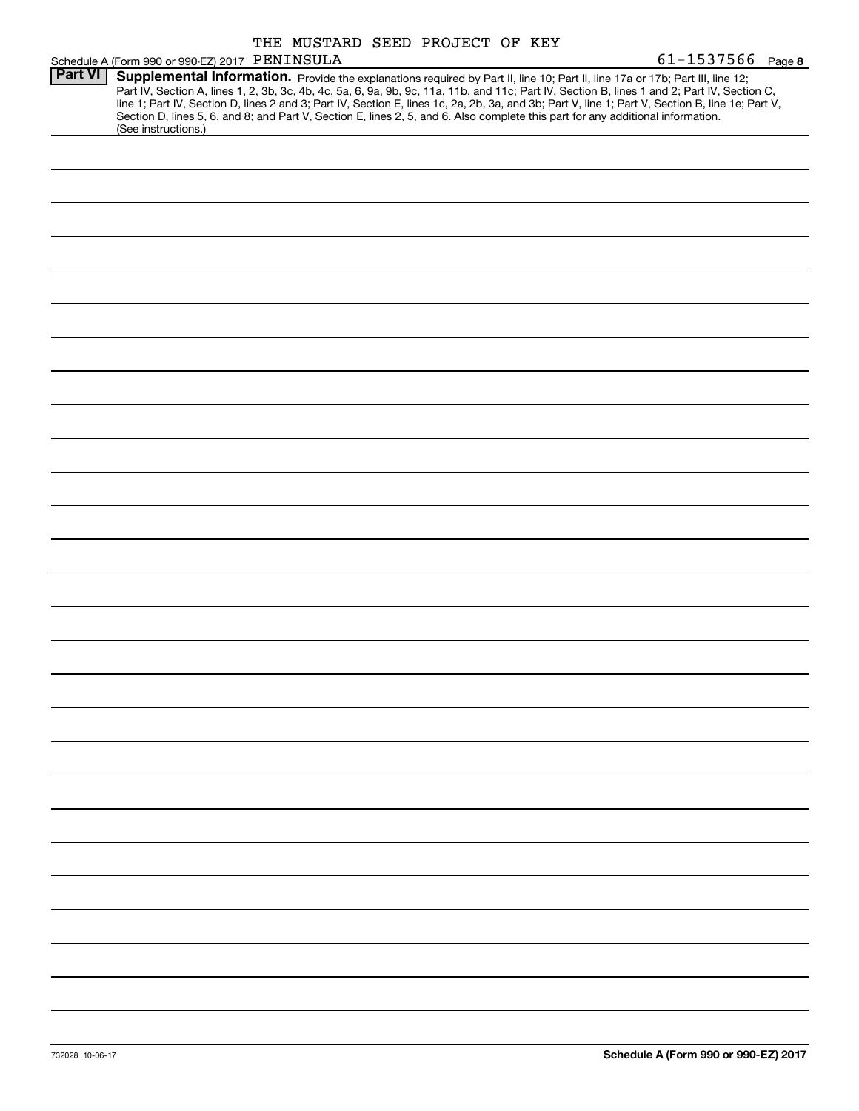|                |                                                                                                                                                                                                                                                                                         | THE MUSTARD SEED PROJECT OF KEY |  |  |                                                                                                                                                                                                                                                                                                  |
|----------------|-----------------------------------------------------------------------------------------------------------------------------------------------------------------------------------------------------------------------------------------------------------------------------------------|---------------------------------|--|--|--------------------------------------------------------------------------------------------------------------------------------------------------------------------------------------------------------------------------------------------------------------------------------------------------|
|                | Schedule A (Form 990 or 990-EZ) 2017 PENINSULA                                                                                                                                                                                                                                          |                                 |  |  | $61 - 1537566$ Page 8                                                                                                                                                                                                                                                                            |
| <b>Part VI</b> | Supplemental Information. Provide the explanations required by Part II, line 10; Part II, line 17a or 17b; Part III, line 12;<br>Section D, lines 5, 6, and 8; and Part V, Section E, lines 2, 5, and 6. Also complete this part for any additional information.<br>(See instructions.) |                                 |  |  | Part IV, Section A, lines 1, 2, 3b, 3c, 4b, 4c, 5a, 6, 9a, 9b, 9c, 11a, 11b, and 11c; Part IV, Section B, lines 1 and 2; Part IV, Section C,<br>line 1; Part IV, Section D, lines 2 and 3; Part IV, Section E, lines 1c, 2a, 2b, 3a, and 3b; Part V, line 1; Part V, Section B, line 1e; Part V, |
|                |                                                                                                                                                                                                                                                                                         |                                 |  |  |                                                                                                                                                                                                                                                                                                  |
|                |                                                                                                                                                                                                                                                                                         |                                 |  |  |                                                                                                                                                                                                                                                                                                  |
|                |                                                                                                                                                                                                                                                                                         |                                 |  |  |                                                                                                                                                                                                                                                                                                  |
|                |                                                                                                                                                                                                                                                                                         |                                 |  |  |                                                                                                                                                                                                                                                                                                  |
|                |                                                                                                                                                                                                                                                                                         |                                 |  |  |                                                                                                                                                                                                                                                                                                  |
|                |                                                                                                                                                                                                                                                                                         |                                 |  |  |                                                                                                                                                                                                                                                                                                  |
|                |                                                                                                                                                                                                                                                                                         |                                 |  |  |                                                                                                                                                                                                                                                                                                  |
|                |                                                                                                                                                                                                                                                                                         |                                 |  |  |                                                                                                                                                                                                                                                                                                  |
|                |                                                                                                                                                                                                                                                                                         |                                 |  |  |                                                                                                                                                                                                                                                                                                  |
|                |                                                                                                                                                                                                                                                                                         |                                 |  |  |                                                                                                                                                                                                                                                                                                  |
|                |                                                                                                                                                                                                                                                                                         |                                 |  |  |                                                                                                                                                                                                                                                                                                  |
|                |                                                                                                                                                                                                                                                                                         |                                 |  |  |                                                                                                                                                                                                                                                                                                  |
|                |                                                                                                                                                                                                                                                                                         |                                 |  |  |                                                                                                                                                                                                                                                                                                  |
|                |                                                                                                                                                                                                                                                                                         |                                 |  |  |                                                                                                                                                                                                                                                                                                  |
|                |                                                                                                                                                                                                                                                                                         |                                 |  |  |                                                                                                                                                                                                                                                                                                  |
|                |                                                                                                                                                                                                                                                                                         |                                 |  |  |                                                                                                                                                                                                                                                                                                  |
|                |                                                                                                                                                                                                                                                                                         |                                 |  |  |                                                                                                                                                                                                                                                                                                  |
|                |                                                                                                                                                                                                                                                                                         |                                 |  |  |                                                                                                                                                                                                                                                                                                  |
|                |                                                                                                                                                                                                                                                                                         |                                 |  |  |                                                                                                                                                                                                                                                                                                  |
|                |                                                                                                                                                                                                                                                                                         |                                 |  |  |                                                                                                                                                                                                                                                                                                  |
|                |                                                                                                                                                                                                                                                                                         |                                 |  |  |                                                                                                                                                                                                                                                                                                  |
|                |                                                                                                                                                                                                                                                                                         |                                 |  |  |                                                                                                                                                                                                                                                                                                  |
|                |                                                                                                                                                                                                                                                                                         |                                 |  |  |                                                                                                                                                                                                                                                                                                  |
|                |                                                                                                                                                                                                                                                                                         |                                 |  |  |                                                                                                                                                                                                                                                                                                  |
|                |                                                                                                                                                                                                                                                                                         |                                 |  |  |                                                                                                                                                                                                                                                                                                  |
|                |                                                                                                                                                                                                                                                                                         |                                 |  |  |                                                                                                                                                                                                                                                                                                  |
|                |                                                                                                                                                                                                                                                                                         |                                 |  |  |                                                                                                                                                                                                                                                                                                  |
|                |                                                                                                                                                                                                                                                                                         |                                 |  |  |                                                                                                                                                                                                                                                                                                  |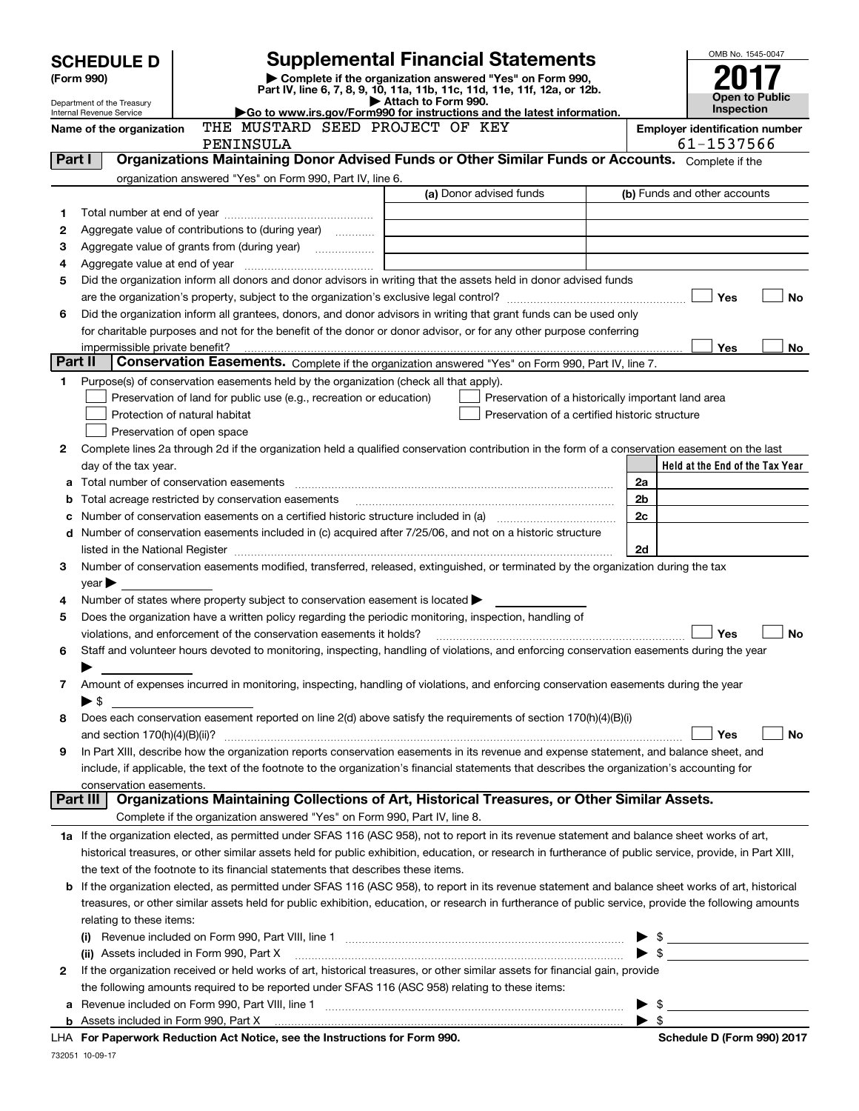|         |                                                                                                                                         |                                                                                                                                                                                                             |                     |                                                    |    |                         | OMB No. 1545-0047                                   |  |  |  |
|---------|-----------------------------------------------------------------------------------------------------------------------------------------|-------------------------------------------------------------------------------------------------------------------------------------------------------------------------------------------------------------|---------------------|----------------------------------------------------|----|-------------------------|-----------------------------------------------------|--|--|--|
|         | <b>Supplemental Financial Statements</b><br><b>SCHEDULE D</b><br>Complete if the organization answered "Yes" on Form 990,<br>(Form 990) |                                                                                                                                                                                                             |                     |                                                    |    |                         |                                                     |  |  |  |
|         |                                                                                                                                         | Part IV, line 6, 7, 8, 9, 10, 11a, 11b, 11c, 11d, 11e, 11f, 12a, or 12b.                                                                                                                                    |                     |                                                    |    |                         | <b>Open to Public</b>                               |  |  |  |
|         | Department of the Treasury<br>Internal Revenue Service                                                                                  | Go to www.irs.gov/Form990 for instructions and the latest information.                                                                                                                                      | Attach to Form 990. |                                                    |    |                         | <b>Inspection</b>                                   |  |  |  |
|         | Name of the organization                                                                                                                | THE MUSTARD SEED PROJECT OF KEY<br>PENINSULA                                                                                                                                                                |                     |                                                    |    |                         | <b>Employer identification number</b><br>61-1537566 |  |  |  |
| Part I  |                                                                                                                                         | Organizations Maintaining Donor Advised Funds or Other Similar Funds or Accounts. Complete if the                                                                                                           |                     |                                                    |    |                         |                                                     |  |  |  |
|         |                                                                                                                                         | organization answered "Yes" on Form 990, Part IV, line 6.                                                                                                                                                   |                     |                                                    |    |                         |                                                     |  |  |  |
|         |                                                                                                                                         |                                                                                                                                                                                                             |                     | (a) Donor advised funds                            |    |                         | (b) Funds and other accounts                        |  |  |  |
| 1       | Aggregate value of contributions to (during year)                                                                                       |                                                                                                                                                                                                             |                     |                                                    |    |                         |                                                     |  |  |  |
| 2       |                                                                                                                                         |                                                                                                                                                                                                             |                     |                                                    |    |                         |                                                     |  |  |  |
| з       |                                                                                                                                         |                                                                                                                                                                                                             |                     |                                                    |    |                         |                                                     |  |  |  |
| 4<br>5  |                                                                                                                                         | Did the organization inform all donors and donor advisors in writing that the assets held in donor advised funds                                                                                            |                     |                                                    |    |                         |                                                     |  |  |  |
|         |                                                                                                                                         |                                                                                                                                                                                                             |                     |                                                    |    |                         | Yes<br><b>No</b>                                    |  |  |  |
| 6       |                                                                                                                                         | Did the organization inform all grantees, donors, and donor advisors in writing that grant funds can be used only                                                                                           |                     |                                                    |    |                         |                                                     |  |  |  |
|         |                                                                                                                                         | for charitable purposes and not for the benefit of the donor or donor advisor, or for any other purpose conferring                                                                                          |                     |                                                    |    |                         |                                                     |  |  |  |
|         |                                                                                                                                         |                                                                                                                                                                                                             |                     |                                                    |    |                         | Yes<br>No                                           |  |  |  |
| Part II |                                                                                                                                         | Conservation Easements. Complete if the organization answered "Yes" on Form 990, Part IV, line 7.                                                                                                           |                     |                                                    |    |                         |                                                     |  |  |  |
| 1       |                                                                                                                                         | Purpose(s) of conservation easements held by the organization (check all that apply).                                                                                                                       |                     |                                                    |    |                         |                                                     |  |  |  |
|         |                                                                                                                                         | Preservation of land for public use (e.g., recreation or education)                                                                                                                                         |                     | Preservation of a historically important land area |    |                         |                                                     |  |  |  |
|         |                                                                                                                                         | Protection of natural habitat                                                                                                                                                                               |                     | Preservation of a certified historic structure     |    |                         |                                                     |  |  |  |
| 2       |                                                                                                                                         | Preservation of open space<br>Complete lines 2a through 2d if the organization held a qualified conservation contribution in the form of a conservation easement on the last                                |                     |                                                    |    |                         |                                                     |  |  |  |
|         | day of the tax year.                                                                                                                    |                                                                                                                                                                                                             |                     |                                                    |    |                         | Held at the End of the Tax Year                     |  |  |  |
| a       |                                                                                                                                         |                                                                                                                                                                                                             |                     |                                                    | 2a |                         |                                                     |  |  |  |
| b       |                                                                                                                                         | Total acreage restricted by conservation easements                                                                                                                                                          |                     |                                                    | 2b |                         |                                                     |  |  |  |
| с       |                                                                                                                                         |                                                                                                                                                                                                             |                     |                                                    | 2c |                         |                                                     |  |  |  |
|         |                                                                                                                                         | d Number of conservation easements included in (c) acquired after 7/25/06, and not on a historic structure                                                                                                  |                     |                                                    |    |                         |                                                     |  |  |  |
|         |                                                                                                                                         |                                                                                                                                                                                                             |                     |                                                    | 2d |                         |                                                     |  |  |  |
| 3       |                                                                                                                                         | Number of conservation easements modified, transferred, released, extinguished, or terminated by the organization during the tax                                                                            |                     |                                                    |    |                         |                                                     |  |  |  |
|         | $\gamma$ ear $\blacktriangleright$                                                                                                      |                                                                                                                                                                                                             |                     |                                                    |    |                         |                                                     |  |  |  |
| 4<br>5  |                                                                                                                                         | Number of states where property subject to conservation easement is located $\blacktriangleright$<br>Does the organization have a written policy regarding the periodic monitoring, inspection, handling of |                     |                                                    |    |                         |                                                     |  |  |  |
|         |                                                                                                                                         | violations, and enforcement of the conservation easements it holds?                                                                                                                                         |                     |                                                    |    |                         | Yes<br><b>No</b>                                    |  |  |  |
| 6       |                                                                                                                                         | Staff and volunteer hours devoted to monitoring, inspecting, handling of violations, and enforcing conservation easements during the year                                                                   |                     |                                                    |    |                         |                                                     |  |  |  |
|         |                                                                                                                                         |                                                                                                                                                                                                             |                     |                                                    |    |                         |                                                     |  |  |  |
| 7       |                                                                                                                                         | Amount of expenses incurred in monitoring, inspecting, handling of violations, and enforcing conservation easements during the year                                                                         |                     |                                                    |    |                         |                                                     |  |  |  |
|         | $\blacktriangleright$ \$                                                                                                                |                                                                                                                                                                                                             |                     |                                                    |    |                         |                                                     |  |  |  |
| 8       |                                                                                                                                         | Does each conservation easement reported on line 2(d) above satisfy the requirements of section 170(h)(4)(B)(i)                                                                                             |                     |                                                    |    |                         |                                                     |  |  |  |
|         |                                                                                                                                         |                                                                                                                                                                                                             |                     |                                                    |    |                         | Yes<br>No                                           |  |  |  |
| 9       |                                                                                                                                         | In Part XIII, describe how the organization reports conservation easements in its revenue and expense statement, and balance sheet, and                                                                     |                     |                                                    |    |                         |                                                     |  |  |  |
|         | conservation easements.                                                                                                                 | include, if applicable, the text of the footnote to the organization's financial statements that describes the organization's accounting for                                                                |                     |                                                    |    |                         |                                                     |  |  |  |
|         | <b>Part III</b>                                                                                                                         | Organizations Maintaining Collections of Art, Historical Treasures, or Other Similar Assets.                                                                                                                |                     |                                                    |    |                         |                                                     |  |  |  |
|         |                                                                                                                                         | Complete if the organization answered "Yes" on Form 990, Part IV, line 8.                                                                                                                                   |                     |                                                    |    |                         |                                                     |  |  |  |
|         |                                                                                                                                         | 1a If the organization elected, as permitted under SFAS 116 (ASC 958), not to report in its revenue statement and balance sheet works of art,                                                               |                     |                                                    |    |                         |                                                     |  |  |  |
|         |                                                                                                                                         | historical treasures, or other similar assets held for public exhibition, education, or research in furtherance of public service, provide, in Part XIII,                                                   |                     |                                                    |    |                         |                                                     |  |  |  |
|         |                                                                                                                                         | the text of the footnote to its financial statements that describes these items.                                                                                                                            |                     |                                                    |    |                         |                                                     |  |  |  |
|         |                                                                                                                                         | <b>b</b> If the organization elected, as permitted under SFAS 116 (ASC 958), to report in its revenue statement and balance sheet works of art, historical                                                  |                     |                                                    |    |                         |                                                     |  |  |  |
|         |                                                                                                                                         | treasures, or other similar assets held for public exhibition, education, or research in furtherance of public service, provide the following amounts                                                       |                     |                                                    |    |                         |                                                     |  |  |  |
|         | relating to these items:                                                                                                                |                                                                                                                                                                                                             |                     |                                                    |    |                         |                                                     |  |  |  |
|         |                                                                                                                                         |                                                                                                                                                                                                             |                     |                                                    |    |                         | $\triangleright$ \$                                 |  |  |  |
|         |                                                                                                                                         | (ii) Assets included in Form 990, Part X<br>If the organization received or held works of art, historical treasures, or other similar assets for financial gain, provide                                    |                     |                                                    |    |                         | $\bullet$ \$                                        |  |  |  |
| 2       |                                                                                                                                         | the following amounts required to be reported under SFAS 116 (ASC 958) relating to these items:                                                                                                             |                     |                                                    |    |                         |                                                     |  |  |  |
| а       |                                                                                                                                         |                                                                                                                                                                                                             |                     |                                                    |    | $\blacktriangleright$ s |                                                     |  |  |  |
|         |                                                                                                                                         |                                                                                                                                                                                                             |                     |                                                    |    | $\blacktriangleright$ s |                                                     |  |  |  |
|         |                                                                                                                                         |                                                                                                                                                                                                             |                     |                                                    |    |                         |                                                     |  |  |  |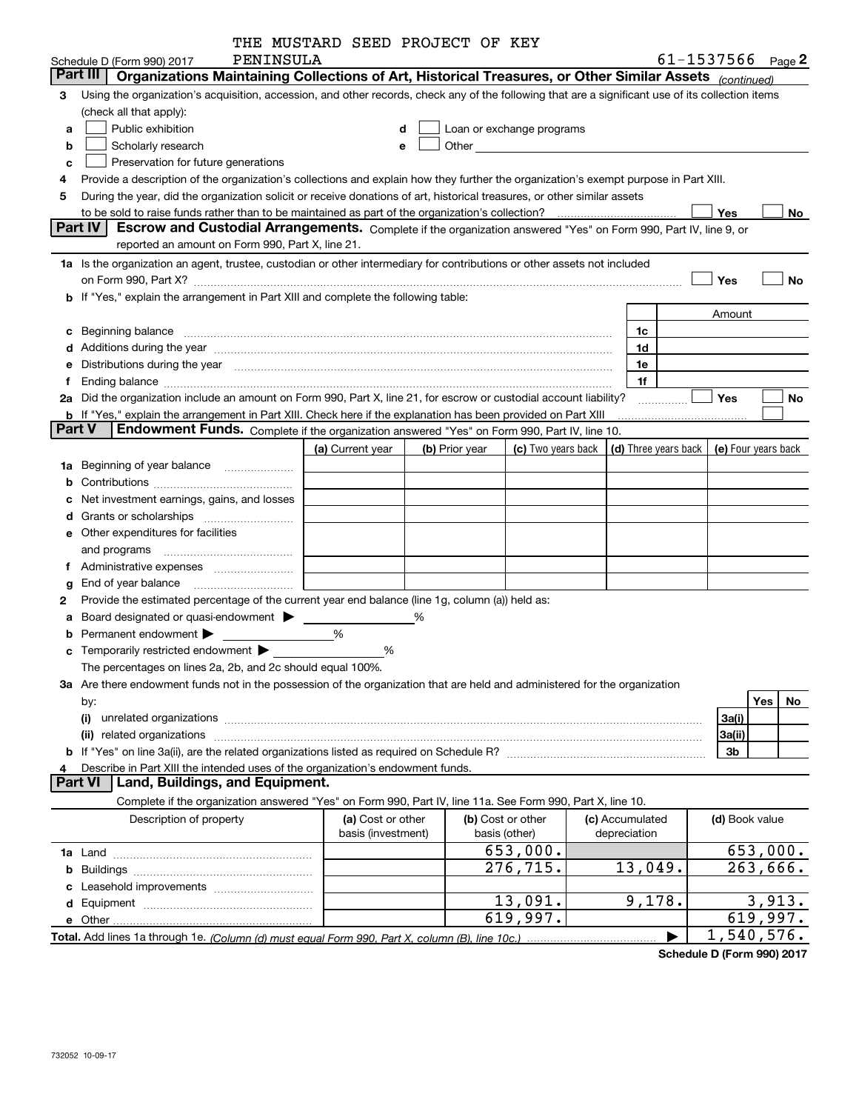|               |                                                                                                                                                                                                                                      | THE MUSTARD SEED PROJECT OF KEY |   |                |                                                                                                                                                                                                                                     |                                                         |                |                        |
|---------------|--------------------------------------------------------------------------------------------------------------------------------------------------------------------------------------------------------------------------------------|---------------------------------|---|----------------|-------------------------------------------------------------------------------------------------------------------------------------------------------------------------------------------------------------------------------------|---------------------------------------------------------|----------------|------------------------|
|               | PENINSULA<br>Schedule D (Form 990) 2017                                                                                                                                                                                              |                                 |   |                |                                                                                                                                                                                                                                     |                                                         |                | 61-1537566 $_{Page}$ 2 |
|               | Organizations Maintaining Collections of Art, Historical Treasures, or Other Similar Assets (continued)<br>Part III                                                                                                                  |                                 |   |                |                                                                                                                                                                                                                                     |                                                         |                |                        |
| 3             | Using the organization's acquisition, accession, and other records, check any of the following that are a significant use of its collection items                                                                                    |                                 |   |                |                                                                                                                                                                                                                                     |                                                         |                |                        |
|               | (check all that apply):                                                                                                                                                                                                              |                                 |   |                |                                                                                                                                                                                                                                     |                                                         |                |                        |
| a             | Public exhibition                                                                                                                                                                                                                    |                                 | d |                | Loan or exchange programs                                                                                                                                                                                                           |                                                         |                |                        |
| b             | Scholarly research                                                                                                                                                                                                                   |                                 | e |                | Other <b>Community</b> Change of the Community of the Community of the Community of the Community of the Community of the Community of the Community of the Community of the Community of the Community of the Community of the Com |                                                         |                |                        |
| c             | Preservation for future generations                                                                                                                                                                                                  |                                 |   |                |                                                                                                                                                                                                                                     |                                                         |                |                        |
| 4             | Provide a description of the organization's collections and explain how they further the organization's exempt purpose in Part XIII.                                                                                                 |                                 |   |                |                                                                                                                                                                                                                                     |                                                         |                |                        |
| 5             | During the year, did the organization solicit or receive donations of art, historical treasures, or other similar assets                                                                                                             |                                 |   |                |                                                                                                                                                                                                                                     |                                                         |                |                        |
|               |                                                                                                                                                                                                                                      |                                 |   |                |                                                                                                                                                                                                                                     |                                                         | Yes            | No.                    |
|               | Part IV<br>Escrow and Custodial Arrangements. Complete if the organization answered "Yes" on Form 990, Part IV, line 9, or                                                                                                           |                                 |   |                |                                                                                                                                                                                                                                     |                                                         |                |                        |
|               | reported an amount on Form 990, Part X, line 21.                                                                                                                                                                                     |                                 |   |                |                                                                                                                                                                                                                                     |                                                         |                |                        |
|               | 1a Is the organization an agent, trustee, custodian or other intermediary for contributions or other assets not included                                                                                                             |                                 |   |                |                                                                                                                                                                                                                                     |                                                         |                |                        |
|               | on Form 990, Part X? [11] matter and the contract of the contract of the contract of the contract of the contract of the contract of the contract of the contract of the contract of the contract of the contract of the contr       |                                 |   |                |                                                                                                                                                                                                                                     |                                                         | Yes            | No                     |
|               | <b>b</b> If "Yes," explain the arrangement in Part XIII and complete the following table:                                                                                                                                            |                                 |   |                |                                                                                                                                                                                                                                     |                                                         |                |                        |
|               |                                                                                                                                                                                                                                      |                                 |   |                |                                                                                                                                                                                                                                     |                                                         | Amount         |                        |
| с             | Beginning balance                                                                                                                                                                                                                    |                                 |   |                |                                                                                                                                                                                                                                     | 1c                                                      |                |                        |
| d             | Additions during the year manufactured and an annual contract of the year manufactured and a set of the year manufactured and a set of the year manufactured and a set of the year manufactured and set of the set of the set        |                                 |   |                |                                                                                                                                                                                                                                     | 1d                                                      |                |                        |
| е             | Distributions during the year manufactured and continuum control of the year manufactured and the year manufactured and the year manufactured and the year manufactured and the year manufactured and the year manufactured an       |                                 |   |                |                                                                                                                                                                                                                                     | 1e                                                      |                |                        |
| Ť.            | Ending balance manufactured and contract the contract of the contract of the contract of the contract of the contract of the contract of the contract of the contract of the contract of the contract of the contract of the c       |                                 |   |                |                                                                                                                                                                                                                                     | 1f                                                      |                |                        |
|               | 2a Did the organization include an amount on Form 990, Part X, line 21, for escrow or custodial account liability?                                                                                                                   |                                 |   |                |                                                                                                                                                                                                                                     |                                                         | <b>Yes</b>     | No                     |
|               | b If "Yes," explain the arrangement in Part XIII. Check here if the explanation has been provided on Part XIII                                                                                                                       |                                 |   |                |                                                                                                                                                                                                                                     |                                                         |                |                        |
| <b>Part V</b> | Endowment Funds. Complete if the organization answered "Yes" on Form 990, Part IV, line 10.                                                                                                                                          |                                 |   |                |                                                                                                                                                                                                                                     |                                                         |                |                        |
|               |                                                                                                                                                                                                                                      | (a) Current year                |   | (b) Prior year |                                                                                                                                                                                                                                     | (c) Two years back $\vert$ (d) Three years back $\vert$ |                | (e) Four years back    |
|               | 1a Beginning of year balance                                                                                                                                                                                                         |                                 |   |                |                                                                                                                                                                                                                                     |                                                         |                |                        |
| b             |                                                                                                                                                                                                                                      |                                 |   |                |                                                                                                                                                                                                                                     |                                                         |                |                        |
|               | Net investment earnings, gains, and losses                                                                                                                                                                                           |                                 |   |                |                                                                                                                                                                                                                                     |                                                         |                |                        |
| d             | Grants or scholarships                                                                                                                                                                                                               |                                 |   |                |                                                                                                                                                                                                                                     |                                                         |                |                        |
|               | <b>e</b> Other expenditures for facilities                                                                                                                                                                                           |                                 |   |                |                                                                                                                                                                                                                                     |                                                         |                |                        |
|               | and programs                                                                                                                                                                                                                         |                                 |   |                |                                                                                                                                                                                                                                     |                                                         |                |                        |
|               |                                                                                                                                                                                                                                      |                                 |   |                |                                                                                                                                                                                                                                     |                                                         |                |                        |
| g             | End of year balance                                                                                                                                                                                                                  |                                 |   |                |                                                                                                                                                                                                                                     |                                                         |                |                        |
| 2             | Provide the estimated percentage of the current year end balance (line 1g, column (a)) held as:                                                                                                                                      |                                 |   |                |                                                                                                                                                                                                                                     |                                                         |                |                        |
| а             | Board designated or quasi-endowment >                                                                                                                                                                                                |                                 | % |                |                                                                                                                                                                                                                                     |                                                         |                |                        |
| b             | Permanent endowment                                                                                                                                                                                                                  | %                               |   |                |                                                                                                                                                                                                                                     |                                                         |                |                        |
| с             | Temporarily restricted endowment                                                                                                                                                                                                     | ℅                               |   |                |                                                                                                                                                                                                                                     |                                                         |                |                        |
|               | The percentages on lines 2a, 2b, and 2c should equal 100%.                                                                                                                                                                           |                                 |   |                |                                                                                                                                                                                                                                     |                                                         |                |                        |
|               | 3a Are there endowment funds not in the possession of the organization that are held and administered for the organization                                                                                                           |                                 |   |                |                                                                                                                                                                                                                                     |                                                         |                |                        |
|               | by:                                                                                                                                                                                                                                  |                                 |   |                |                                                                                                                                                                                                                                     |                                                         |                | Yes<br>No.             |
|               | (i)<br>unrelated organizations [111] material contracts and contracts are the contract of the contracts and contracts are the contracts of the contracts of the contracts are the contracts of the contracts of the contracts of the |                                 |   |                |                                                                                                                                                                                                                                     |                                                         | 3a(i)          |                        |
|               | (ii) related organizations                                                                                                                                                                                                           |                                 |   |                |                                                                                                                                                                                                                                     |                                                         | 3a(ii)         |                        |
|               |                                                                                                                                                                                                                                      |                                 |   |                |                                                                                                                                                                                                                                     |                                                         | 3b             |                        |
| 4             | Describe in Part XIII the intended uses of the organization's endowment funds.                                                                                                                                                       |                                 |   |                |                                                                                                                                                                                                                                     |                                                         |                |                        |
|               | Land, Buildings, and Equipment.<br><b>Part VI</b>                                                                                                                                                                                    |                                 |   |                |                                                                                                                                                                                                                                     |                                                         |                |                        |
|               | Complete if the organization answered "Yes" on Form 990, Part IV, line 11a. See Form 990, Part X, line 10.                                                                                                                           |                                 |   |                |                                                                                                                                                                                                                                     |                                                         |                |                        |
|               | Description of property                                                                                                                                                                                                              | (a) Cost or other               |   |                | (b) Cost or other                                                                                                                                                                                                                   | (c) Accumulated                                         | (d) Book value |                        |
|               |                                                                                                                                                                                                                                      | basis (investment)              |   |                | basis (other)                                                                                                                                                                                                                       | depreciation                                            |                |                        |
|               |                                                                                                                                                                                                                                      |                                 |   |                | 653,000.                                                                                                                                                                                                                            |                                                         |                | 653,000.               |
|               |                                                                                                                                                                                                                                      |                                 |   |                | 276,715.                                                                                                                                                                                                                            | 13,049.                                                 |                | 263,666.               |
|               |                                                                                                                                                                                                                                      |                                 |   |                |                                                                                                                                                                                                                                     |                                                         |                |                        |
|               |                                                                                                                                                                                                                                      |                                 |   |                | 13,091.                                                                                                                                                                                                                             | 9,178.                                                  |                | 3,913.                 |
|               |                                                                                                                                                                                                                                      |                                 |   |                | 619,997.                                                                                                                                                                                                                            |                                                         |                | 619,997.               |
|               |                                                                                                                                                                                                                                      |                                 |   |                |                                                                                                                                                                                                                                     |                                                         |                | 1,540,576.             |
|               |                                                                                                                                                                                                                                      |                                 |   |                |                                                                                                                                                                                                                                     |                                                         |                |                        |

**Schedule D (Form 990) 2017**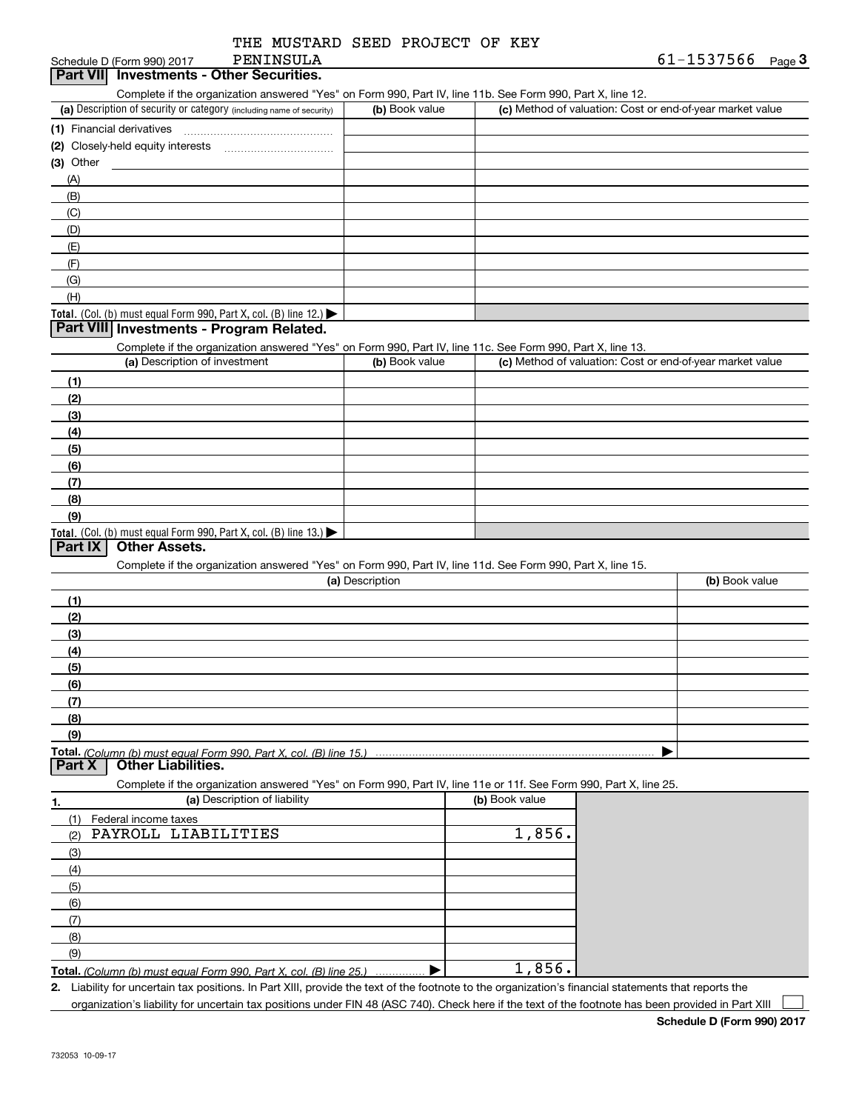| THE MUSTARD SEED PROJECT OF KEY |  |  |
|---------------------------------|--|--|
| PENINSULA                       |  |  |

### Schedule D (Form 990) 2017 **Part VII Investments - Other Securities.**

| Complete if the organization answered "Yes" on Form 990, Part IV, line 11b, See Form 990, Part X, line 12, |  |  |  |  |
|------------------------------------------------------------------------------------------------------------|--|--|--|--|
|                                                                                                            |  |  |  |  |

| (a) Description of security or category (including name of security)                   | (b) Book value | (c) Method of valuation: Cost or end-of-year market value |
|----------------------------------------------------------------------------------------|----------------|-----------------------------------------------------------|
| (1) Financial derivatives                                                              |                |                                                           |
| (2) Closely-held equity interests                                                      |                |                                                           |
| $(3)$ Other                                                                            |                |                                                           |
| (A)                                                                                    |                |                                                           |
| (B)                                                                                    |                |                                                           |
| (C)                                                                                    |                |                                                           |
| (D)                                                                                    |                |                                                           |
| (E)                                                                                    |                |                                                           |
| (F)                                                                                    |                |                                                           |
| (G)                                                                                    |                |                                                           |
| (H)                                                                                    |                |                                                           |
| Total. (Col. (b) must equal Form 990, Part X, col. (B) line 12.) $\blacktriangleright$ |                |                                                           |

### **Part VIII Investments - Program Related.**

Complete if the organization answered "Yes" on Form 990, Part IV, line 11c. See Form 990, Part X, line 13.

| (a) Description of investment                                                                 | (b) Book value | (c) Method of valuation: Cost or end-of-year market value |
|-----------------------------------------------------------------------------------------------|----------------|-----------------------------------------------------------|
| (1)                                                                                           |                |                                                           |
| (2)                                                                                           |                |                                                           |
| (3)                                                                                           |                |                                                           |
| (4)                                                                                           |                |                                                           |
| $\left(5\right)$                                                                              |                |                                                           |
| (6)                                                                                           |                |                                                           |
| (7)                                                                                           |                |                                                           |
| (8)                                                                                           |                |                                                           |
| (9)                                                                                           |                |                                                           |
| <b>Total.</b> (Col. (b) must equal Form 990, Part X, col. (B) line 13.) $\blacktriangleright$ |                |                                                           |

### **Part IX Other Assets.**

Complete if the organization answered "Yes" on Form 990, Part IV, line 11d. See Form 990, Part X, line 15.

| (a) Description      | (b) Book value |
|----------------------|----------------|
| (1)                  |                |
| (2)                  |                |
| $\frac{1}{2}$        |                |
| (4)                  |                |
| $\frac{1}{\sqrt{5}}$ |                |
| (6)                  |                |
| (7)                  |                |
| (8)                  |                |
| (9)                  |                |
|                      |                |

**Part X Other Liabilities.**

Complete if the organization answered "Yes" on Form 990, Part IV, line 11e or 11f. See Form 990, Part X, line 25.

| 1.         | (a) Description of liability                                       | (b) Book value |
|------------|--------------------------------------------------------------------|----------------|
| (1)        | Federal income taxes                                               |                |
| (2)        | PAYROLL LIABILITIES                                                | 1,856.         |
| (3)        |                                                                    |                |
| (4)        |                                                                    |                |
| (5)        |                                                                    |                |
| (6)        |                                                                    |                |
| $\sqrt{7}$ |                                                                    |                |
| (8)        |                                                                    |                |
| (9)        |                                                                    |                |
|            | Total. (Column (b) must equal Form 990, Part X, col. (B) line 25.) | 1,856.         |

*(Column (b) must equal Form 990, Part X, col. (B) line 25.)* . . . . . . . . . . . . . . .

**2.**Liability for uncertain tax positions. In Part XIII, provide the text of the footnote to the organization's financial statements that reports the organization's liability for uncertain tax positions under FIN 48 (ASC 740). Check here if the text of the footnote has been provided in Part XIII

 $\mathcal{L}^{\text{max}}$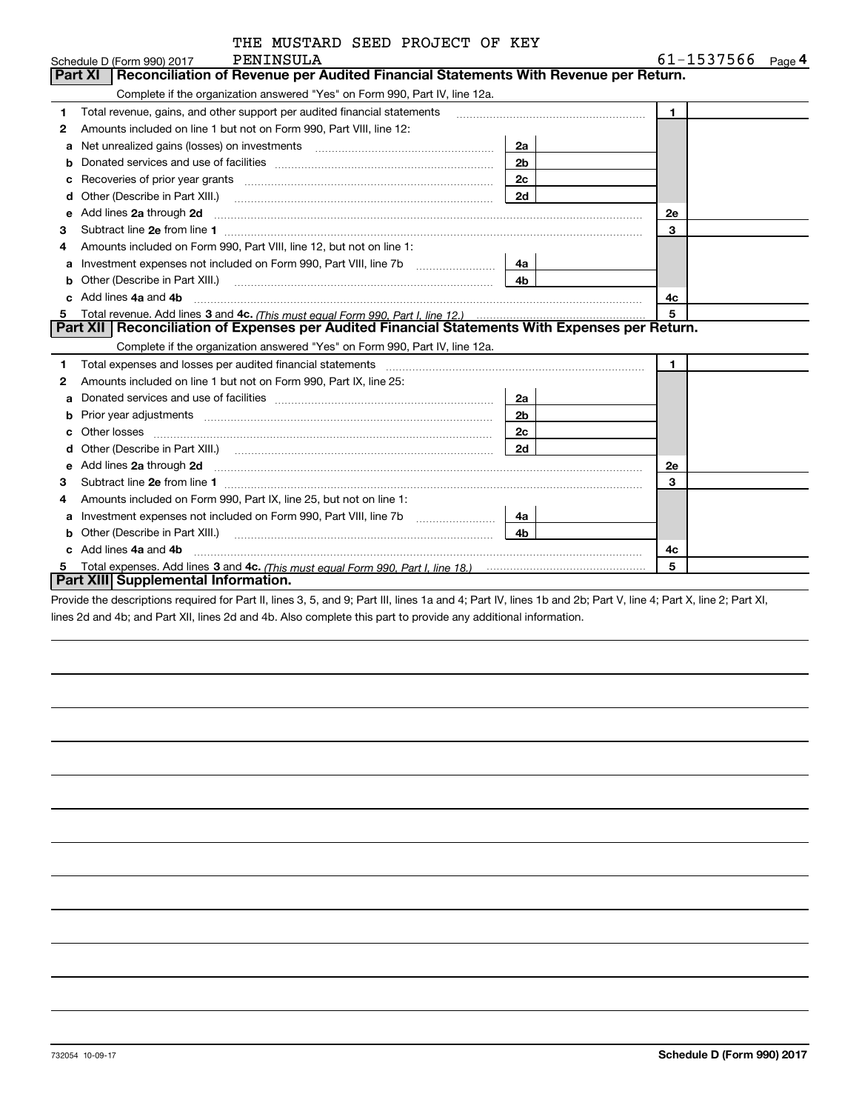| THE MUSTARD SEED PROJECT OF KEY |  |  |
|---------------------------------|--|--|
|                                 |  |  |

|   | PENINSULA<br>Schedule D (Form 990) 2017                                                                                                                                                                                                       |                | 61-1537566     | Page 4 |
|---|-----------------------------------------------------------------------------------------------------------------------------------------------------------------------------------------------------------------------------------------------|----------------|----------------|--------|
|   | Reconciliation of Revenue per Audited Financial Statements With Revenue per Return.<br>Part XI                                                                                                                                                |                |                |        |
|   | Complete if the organization answered "Yes" on Form 990, Part IV, line 12a.                                                                                                                                                                   |                |                |        |
| 1 | Total revenue, gains, and other support per audited financial statements                                                                                                                                                                      |                | $\mathbf{1}$   |        |
| 2 | Amounts included on line 1 but not on Form 990, Part VIII, line 12:                                                                                                                                                                           |                |                |        |
| a | Net unrealized gains (losses) on investments [11] matter contracts and the unrealized gains (losses) on investments                                                                                                                           | 2a             |                |        |
| b |                                                                                                                                                                                                                                               | 2 <sub>b</sub> |                |        |
| c | Recoveries of prior year grants [111] matter contracts and prior year grants and continuum matter of prior year                                                                                                                               | 2c             |                |        |
| d | Other (Describe in Part XIII.)                                                                                                                                                                                                                | 2d             |                |        |
| е |                                                                                                                                                                                                                                               |                | 2e             |        |
| 3 |                                                                                                                                                                                                                                               |                | 3              |        |
|   | Amounts included on Form 990, Part VIII, line 12, but not on line 1:                                                                                                                                                                          |                |                |        |
| a | Investment expenses not included on Form 990, Part VIII, line 7b [11, 111, 111, 111]                                                                                                                                                          | 4a             |                |        |
|   | Other (Describe in Part XIII.) <b>COLOGIST: (2014)</b> (2014) <b>COLOGIST: (2014)</b> (2014) <b>COLOGIST: (2014)</b> (2014) (2014) (2014) (2014) (2014) (2014) (2014) (2014) (2014) (2014) (2014) (2014) (2014) (2014) (2014) (2014) (2014) ( | 4 <sub>b</sub> |                |        |
|   | Add lines 4a and 4b                                                                                                                                                                                                                           |                | 4c             |        |
| 5 |                                                                                                                                                                                                                                               |                | 5              |        |
|   | Part XII   Reconciliation of Expenses per Audited Financial Statements With Expenses per Return.                                                                                                                                              |                |                |        |
|   | Complete if the organization answered "Yes" on Form 990, Part IV, line 12a.                                                                                                                                                                   |                |                |        |
| 1 | Total expenses and losses per audited financial statements                                                                                                                                                                                    |                | $\blacksquare$ |        |
| 2 | Amounts included on line 1 but not on Form 990, Part IX, line 25:                                                                                                                                                                             |                |                |        |
| a |                                                                                                                                                                                                                                               | 2a             |                |        |
| b |                                                                                                                                                                                                                                               | 2 <sub>b</sub> |                |        |
| c |                                                                                                                                                                                                                                               | 2c             |                |        |
|   |                                                                                                                                                                                                                                               | 2d             |                |        |
| е | Add lines 2a through 2d <b>must be a constructed as the constant of the constant of the constant of the construction</b>                                                                                                                      |                | 2e             |        |
| З |                                                                                                                                                                                                                                               |                | 3              |        |
| 4 | Amounts included on Form 990, Part IX, line 25, but not on line 1:                                                                                                                                                                            |                |                |        |
| a |                                                                                                                                                                                                                                               | 4a             |                |        |
| b |                                                                                                                                                                                                                                               | 4b             |                |        |
|   | Add lines 4a and 4b                                                                                                                                                                                                                           |                | 4c             |        |
| 5 |                                                                                                                                                                                                                                               |                | 5              |        |
|   | Part XIII Supplemental Information.                                                                                                                                                                                                           |                |                |        |

Provide the descriptions required for Part II, lines 3, 5, and 9; Part III, lines 1a and 4; Part IV, lines 1b and 2b; Part V, line 4; Part X, line 2; Part XI, lines 2d and 4b; and Part XII, lines 2d and 4b. Also complete this part to provide any additional information.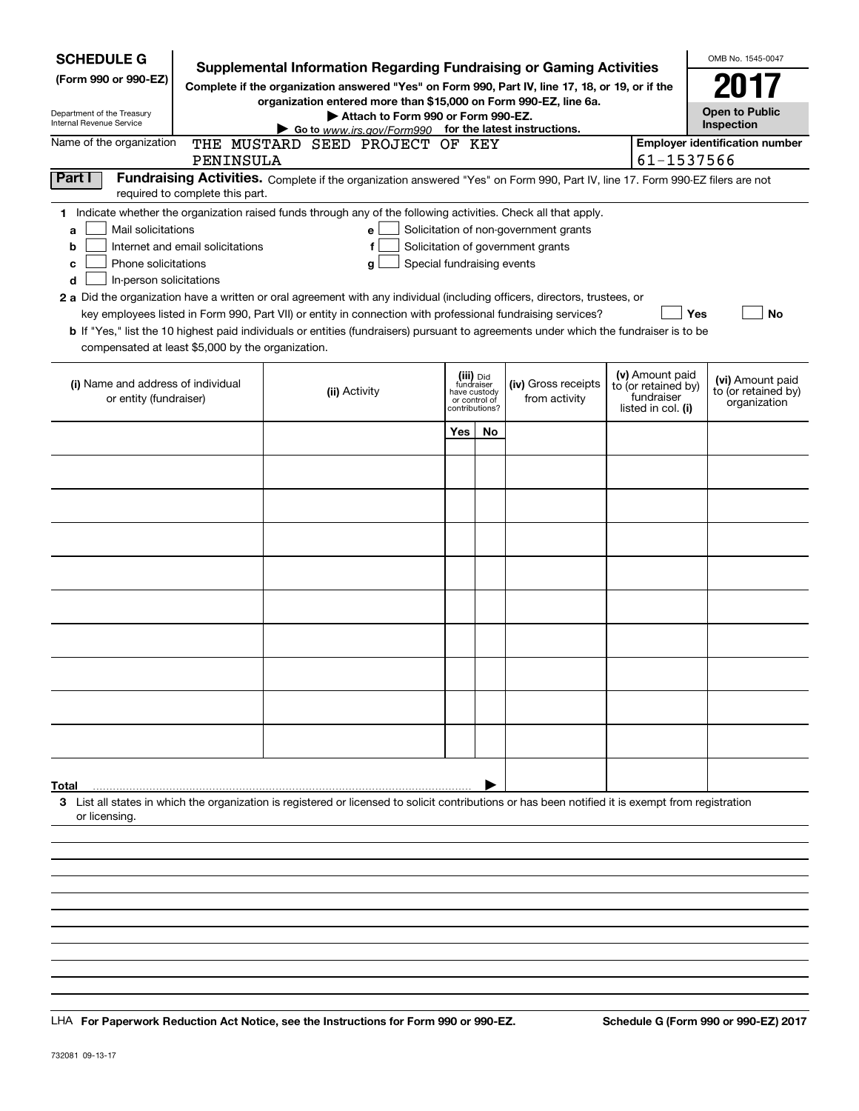| <b>SCHEDULE G</b><br>(Form 990 or 990-EZ)<br>Department of the Treasury<br>Internal Revenue Service                                           |                                  | <b>Supplemental Information Regarding Fundraising or Gaming Activities</b><br>Complete if the organization answered "Yes" on Form 990, Part IV, line 17, 18, or 19, or if the<br>organization entered more than \$15,000 on Form 990-EZ, line 6a.<br>Attach to Form 990 or Form 990-EZ.<br>Go to www.irs.gov/Form990 for the latest instructions.                                                                                                                                                                                                  |              |                                                            |                                                                            |                                                                            | OMB No. 1545-0047<br><b>Open to Public</b><br>Inspection |
|-----------------------------------------------------------------------------------------------------------------------------------------------|----------------------------------|----------------------------------------------------------------------------------------------------------------------------------------------------------------------------------------------------------------------------------------------------------------------------------------------------------------------------------------------------------------------------------------------------------------------------------------------------------------------------------------------------------------------------------------------------|--------------|------------------------------------------------------------|----------------------------------------------------------------------------|----------------------------------------------------------------------------|----------------------------------------------------------|
| Name of the organization                                                                                                                      |                                  | THE MUSTARD SEED PROJECT OF KEY                                                                                                                                                                                                                                                                                                                                                                                                                                                                                                                    |              |                                                            |                                                                            |                                                                            | <b>Employer identification number</b>                    |
|                                                                                                                                               | PENINSULA                        |                                                                                                                                                                                                                                                                                                                                                                                                                                                                                                                                                    |              |                                                            |                                                                            | 61-1537566                                                                 |                                                          |
| Part I                                                                                                                                        | required to complete this part.  | Fundraising Activities. Complete if the organization answered "Yes" on Form 990, Part IV, line 17. Form 990-EZ filers are not                                                                                                                                                                                                                                                                                                                                                                                                                      |              |                                                            |                                                                            |                                                                            |                                                          |
| Mail solicitations<br>a<br>b<br>Phone solicitations<br>c<br>In-person solicitations<br>d<br>compensated at least \$5,000 by the organization. | Internet and email solicitations | 1 Indicate whether the organization raised funds through any of the following activities. Check all that apply.<br>e<br>f<br>Special fundraising events<br>g<br>2 a Did the organization have a written or oral agreement with any individual (including officers, directors, trustees, or<br>key employees listed in Form 990, Part VII) or entity in connection with professional fundraising services?<br>b If "Yes," list the 10 highest paid individuals or entities (fundraisers) pursuant to agreements under which the fundraiser is to be |              |                                                            | Solicitation of non-government grants<br>Solicitation of government grants |                                                                            | Yes<br>No                                                |
| (i) Name and address of individual<br>or entity (fundraiser)                                                                                  |                                  | (ii) Activity                                                                                                                                                                                                                                                                                                                                                                                                                                                                                                                                      | have custody | (iii) Did<br>fundraiser<br>or control of<br>contributions? | (iv) Gross receipts<br>from activity                                       | (v) Amount paid<br>to (or retained by)<br>fundraiser<br>listed in col. (i) | (vi) Amount paid<br>to (or retained by)<br>organization  |
|                                                                                                                                               |                                  |                                                                                                                                                                                                                                                                                                                                                                                                                                                                                                                                                    | Yes          | No                                                         |                                                                            |                                                                            |                                                          |
|                                                                                                                                               |                                  |                                                                                                                                                                                                                                                                                                                                                                                                                                                                                                                                                    |              |                                                            |                                                                            |                                                                            |                                                          |
|                                                                                                                                               |                                  |                                                                                                                                                                                                                                                                                                                                                                                                                                                                                                                                                    |              |                                                            |                                                                            |                                                                            |                                                          |
|                                                                                                                                               |                                  |                                                                                                                                                                                                                                                                                                                                                                                                                                                                                                                                                    |              |                                                            |                                                                            |                                                                            |                                                          |
|                                                                                                                                               |                                  |                                                                                                                                                                                                                                                                                                                                                                                                                                                                                                                                                    |              |                                                            |                                                                            |                                                                            |                                                          |
|                                                                                                                                               |                                  |                                                                                                                                                                                                                                                                                                                                                                                                                                                                                                                                                    |              |                                                            |                                                                            |                                                                            |                                                          |
|                                                                                                                                               |                                  |                                                                                                                                                                                                                                                                                                                                                                                                                                                                                                                                                    |              |                                                            |                                                                            |                                                                            |                                                          |
|                                                                                                                                               |                                  |                                                                                                                                                                                                                                                                                                                                                                                                                                                                                                                                                    |              |                                                            |                                                                            |                                                                            |                                                          |
|                                                                                                                                               |                                  |                                                                                                                                                                                                                                                                                                                                                                                                                                                                                                                                                    |              |                                                            |                                                                            |                                                                            |                                                          |
|                                                                                                                                               |                                  |                                                                                                                                                                                                                                                                                                                                                                                                                                                                                                                                                    |              |                                                            |                                                                            |                                                                            |                                                          |
|                                                                                                                                               |                                  |                                                                                                                                                                                                                                                                                                                                                                                                                                                                                                                                                    |              |                                                            |                                                                            |                                                                            |                                                          |
| Total<br>or licensing.                                                                                                                        |                                  | 3 List all states in which the organization is registered or licensed to solicit contributions or has been notified it is exempt from registration                                                                                                                                                                                                                                                                                                                                                                                                 |              |                                                            |                                                                            |                                                                            |                                                          |
|                                                                                                                                               |                                  |                                                                                                                                                                                                                                                                                                                                                                                                                                                                                                                                                    |              |                                                            |                                                                            |                                                                            |                                                          |
|                                                                                                                                               |                                  |                                                                                                                                                                                                                                                                                                                                                                                                                                                                                                                                                    |              |                                                            |                                                                            |                                                                            |                                                          |
|                                                                                                                                               |                                  |                                                                                                                                                                                                                                                                                                                                                                                                                                                                                                                                                    |              |                                                            |                                                                            |                                                                            |                                                          |

LHA For Paperwork Reduction Act Notice, see the Instructions for Form 990 or 990-EZ. Schedule G (Form 990 or 990-EZ) 2017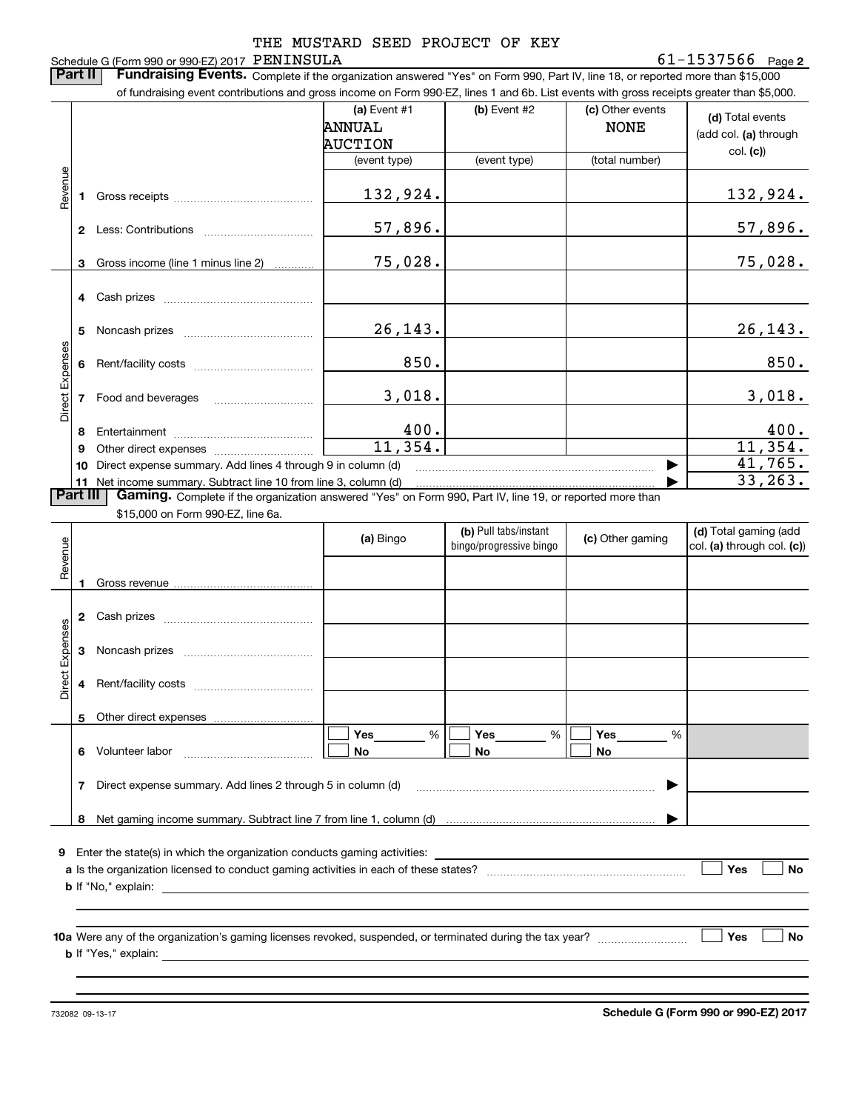### Schedule G (Form 990 or 990-EZ) 2017 PENINSULA THE MUSTARD SEED PROJECT OF KEY

### **2** PENINSULA 61-1537566

**Part II** | Fundraising Events. Complete if the organization answered "Yes" on Form 990, Part IV, line 18, or reported more than \$15,000 of fundraising event contributions and gross income on Form 990-EZ, lines 1 and 6b. List events with gross receipts greater than \$5,000.

|                 |                 | OF INTERFERIE: CONTROLLOIS AND QUOSS INCOME ON FOND SSUEZ, IMES TRAND OD. LIST EVENTS WILL QUOSS RECEIDIS QREATER THAN \$5,000.                                             |                |                |                  |                       |
|-----------------|-----------------|-----------------------------------------------------------------------------------------------------------------------------------------------------------------------------|----------------|----------------|------------------|-----------------------|
|                 |                 |                                                                                                                                                                             | (a) Event $#1$ | $(b)$ Event #2 | (c) Other events |                       |
|                 |                 |                                                                                                                                                                             | <b>ANNUAL</b>  |                | <b>NONE</b>      | (d) Total events      |
|                 |                 |                                                                                                                                                                             |                |                |                  | (add col. (a) through |
|                 |                 |                                                                                                                                                                             | <b>AUCTION</b> |                |                  | col. (c)              |
|                 |                 |                                                                                                                                                                             | (event type)   | (event type)   | (total number)   |                       |
|                 |                 |                                                                                                                                                                             |                |                |                  |                       |
| Revenue         |                 |                                                                                                                                                                             | 132,924.       |                |                  | 132,924.              |
|                 |                 |                                                                                                                                                                             |                |                |                  |                       |
|                 |                 |                                                                                                                                                                             |                |                |                  |                       |
|                 | $\mathbf{2}$    |                                                                                                                                                                             | 57,896.        |                |                  | 57,896.               |
|                 |                 |                                                                                                                                                                             |                |                |                  |                       |
|                 | 3               | Gross income (line 1 minus line 2)                                                                                                                                          | 75,028.        |                |                  | 75,028.               |
|                 |                 |                                                                                                                                                                             |                |                |                  |                       |
|                 |                 |                                                                                                                                                                             |                |                |                  |                       |
|                 |                 |                                                                                                                                                                             |                |                |                  |                       |
|                 |                 |                                                                                                                                                                             |                |                |                  |                       |
|                 | 5               |                                                                                                                                                                             | 26,143.        |                |                  | 26, 143.              |
|                 |                 |                                                                                                                                                                             |                |                |                  |                       |
|                 | 6               |                                                                                                                                                                             | 850.           |                |                  | 850.                  |
|                 |                 |                                                                                                                                                                             |                |                |                  |                       |
|                 |                 |                                                                                                                                                                             | 3,018.         |                |                  | 3,018.                |
| Direct Expenses |                 | Food and beverages                                                                                                                                                          |                |                |                  |                       |
|                 |                 |                                                                                                                                                                             |                |                |                  |                       |
|                 | 8               |                                                                                                                                                                             | 400.           |                |                  | 400.                  |
|                 | 9               |                                                                                                                                                                             | 11,354.        |                |                  | 11,354.               |
|                 | 10              | Direct expense summary. Add lines 4 through 9 in column (d)                                                                                                                 |                |                |                  | 41,765.               |
|                 |                 |                                                                                                                                                                             |                |                |                  | 33, 263.              |
|                 | <b>Part III</b> | 11 Net income summary. Subtract line 10 from line 3, column (d)<br>Gaming. Complete if the organization answered "Yes" on Form 990, Part IV, line 19, or reported more than |                |                |                  |                       |
|                 |                 |                                                                                                                                                                             |                |                |                  |                       |
|                 |                 | $$15,000$ on Form $990.F7$ line $$2$                                                                                                                                        |                |                |                  |                       |

\$15,000 on Form 990-EZ, line 6a.

| Revenue         |                |                                                                                                                  | (a) Bingo          | (b) Pull tabs/instant<br>bingo/progressive bingo | (c) Other gaming | (d) Total gaming (add<br>col. (a) through col. (c)) |
|-----------------|----------------|------------------------------------------------------------------------------------------------------------------|--------------------|--------------------------------------------------|------------------|-----------------------------------------------------|
|                 |                |                                                                                                                  |                    |                                                  |                  |                                                     |
|                 | $\overline{2}$ |                                                                                                                  |                    |                                                  |                  |                                                     |
| Direct Expenses | 3              |                                                                                                                  |                    |                                                  |                  |                                                     |
|                 | 4              |                                                                                                                  |                    |                                                  |                  |                                                     |
|                 |                |                                                                                                                  |                    |                                                  |                  |                                                     |
|                 | 6              |                                                                                                                  | Yes %<br><b>No</b> | $Yes$ %<br>No.                                   | %<br><b>No</b>   |                                                     |
|                 | 7              | Direct expense summary. Add lines 2 through 5 in column (d)                                                      |                    |                                                  |                  |                                                     |
|                 | 8              |                                                                                                                  |                    |                                                  |                  |                                                     |
| 9               |                |                                                                                                                  |                    |                                                  |                  |                                                     |
|                 |                |                                                                                                                  |                    |                                                  |                  | Yes<br><b>No</b>                                    |
|                 |                |                                                                                                                  |                    |                                                  |                  |                                                     |
|                 |                | <b>10a</b> Were any of the organization's gaming licenses revoked, suspended, or terminated during the tax year? |                    |                                                  |                  | <b>No</b><br>Yes                                    |
|                 |                |                                                                                                                  |                    |                                                  |                  |                                                     |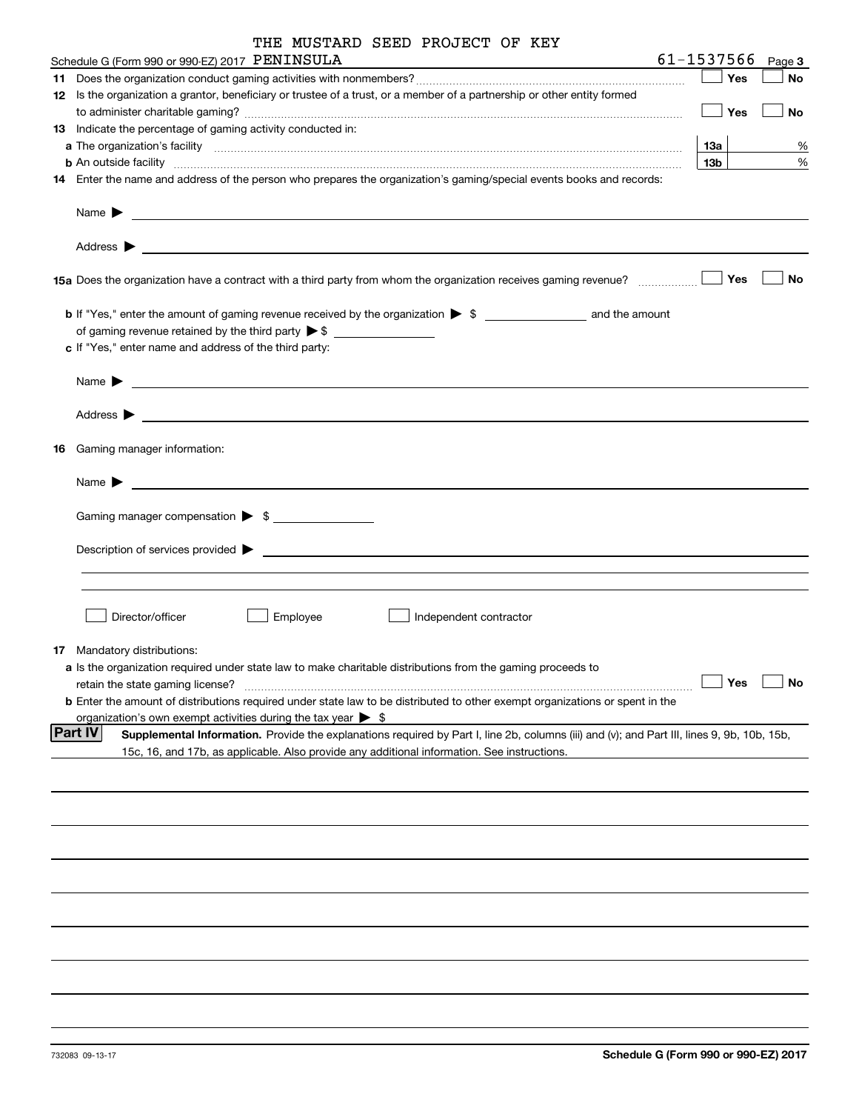|  | THE MUSTARD SEED PROJECT OF KEY |  |
|--|---------------------------------|--|
|  |                                 |  |

| Schedule G (Form 990 or 990-EZ) 2017 PENINSULA                                                                                                                | 61-1537566      | Page 3    |
|---------------------------------------------------------------------------------------------------------------------------------------------------------------|-----------------|-----------|
|                                                                                                                                                               | Yes             | No        |
| 12 Is the organization a grantor, beneficiary or trustee of a trust, or a member of a partnership or other entity formed                                      |                 |           |
|                                                                                                                                                               | Yes             | No        |
| 13 Indicate the percentage of gaming activity conducted in:                                                                                                   |                 |           |
|                                                                                                                                                               | 13а             | %         |
| <b>b</b> An outside facility <i>www.communicality www.communicality.communicality www.communicality www.communicality.communicality www.communicality.com</i> | 13 <sub>b</sub> | $\%$      |
| 14 Enter the name and address of the person who prepares the organization's gaming/special events books and records:                                          |                 |           |
|                                                                                                                                                               |                 |           |
|                                                                                                                                                               |                 |           |
|                                                                                                                                                               | Yes             | No        |
| <b>b</b> If "Yes," enter the amount of gaming revenue received by the organization $\triangleright$ \$ ___________________ and the amount                     |                 |           |
|                                                                                                                                                               |                 |           |
| c If "Yes," enter name and address of the third party:                                                                                                        |                 |           |
| Name $\sum_{n=1}^{\infty}$                                                                                                                                    |                 |           |
|                                                                                                                                                               |                 |           |
|                                                                                                                                                               |                 |           |
| 16 Gaming manager information:                                                                                                                                |                 |           |
|                                                                                                                                                               |                 |           |
| Gaming manager compensation > \$                                                                                                                              |                 |           |
|                                                                                                                                                               |                 |           |
|                                                                                                                                                               |                 |           |
|                                                                                                                                                               |                 |           |
| Director/officer<br>Employee<br>Independent contractor                                                                                                        |                 |           |
| 17 Mandatory distributions:                                                                                                                                   |                 |           |
| a Is the organization required under state law to make charitable distributions from the gaming proceeds to                                                   |                 |           |
| retain the state gaming license?                                                                                                                              | $\Box$ Yes      | $\Box$ No |
| <b>b</b> Enter the amount of distributions required under state law to be distributed to other exempt organizations or spent in the                           |                 |           |
| organization's own exempt activities during the tax year $\triangleright$ \$                                                                                  |                 |           |
| <b>Part IV</b><br>Supplemental Information. Provide the explanations required by Part I, line 2b, columns (iii) and (v); and Part III, lines 9, 9b, 10b, 15b, |                 |           |
| 15c, 16, and 17b, as applicable. Also provide any additional information. See instructions.                                                                   |                 |           |
|                                                                                                                                                               |                 |           |
|                                                                                                                                                               |                 |           |
|                                                                                                                                                               |                 |           |
|                                                                                                                                                               |                 |           |
|                                                                                                                                                               |                 |           |
|                                                                                                                                                               |                 |           |
|                                                                                                                                                               |                 |           |
|                                                                                                                                                               |                 |           |
|                                                                                                                                                               |                 |           |
|                                                                                                                                                               |                 |           |
|                                                                                                                                                               |                 |           |
|                                                                                                                                                               |                 |           |
|                                                                                                                                                               |                 |           |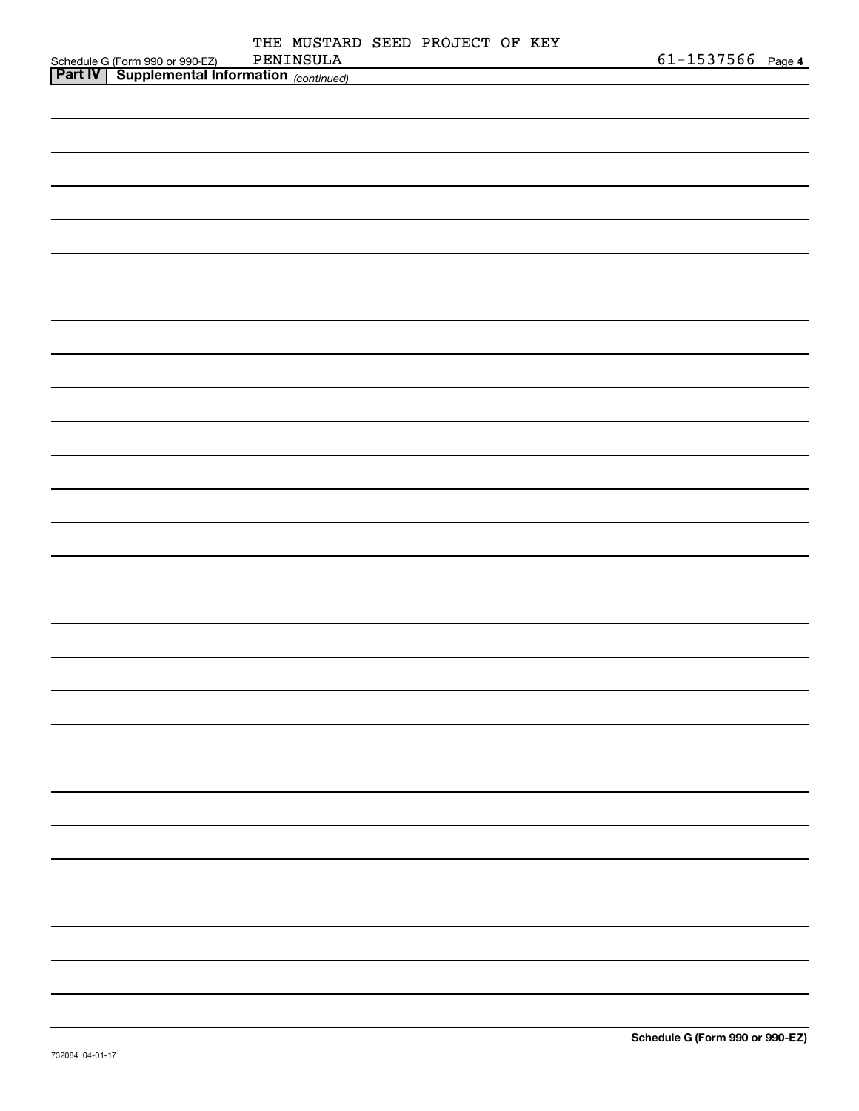|                                                                                                  |  | THE MUSTARD SEED PROJECT OF KEY |  |                       |  |
|--------------------------------------------------------------------------------------------------|--|---------------------------------|--|-----------------------|--|
| Schedule G (Form 990 or 990-EZ) PENINSULA<br><b>Part IV</b> Supplemental Information (continued) |  |                                 |  | $61 - 1537566$ Page 4 |  |
|                                                                                                  |  |                                 |  |                       |  |
|                                                                                                  |  |                                 |  |                       |  |
|                                                                                                  |  |                                 |  |                       |  |
|                                                                                                  |  |                                 |  |                       |  |
|                                                                                                  |  |                                 |  |                       |  |
|                                                                                                  |  |                                 |  |                       |  |
|                                                                                                  |  |                                 |  |                       |  |
|                                                                                                  |  |                                 |  |                       |  |
|                                                                                                  |  |                                 |  |                       |  |
|                                                                                                  |  |                                 |  |                       |  |
|                                                                                                  |  |                                 |  |                       |  |
|                                                                                                  |  |                                 |  |                       |  |
|                                                                                                  |  |                                 |  |                       |  |
|                                                                                                  |  |                                 |  |                       |  |
|                                                                                                  |  |                                 |  |                       |  |
|                                                                                                  |  |                                 |  |                       |  |
|                                                                                                  |  |                                 |  |                       |  |
|                                                                                                  |  |                                 |  |                       |  |
|                                                                                                  |  |                                 |  |                       |  |
|                                                                                                  |  |                                 |  |                       |  |
|                                                                                                  |  |                                 |  |                       |  |
|                                                                                                  |  |                                 |  |                       |  |
|                                                                                                  |  |                                 |  |                       |  |
|                                                                                                  |  |                                 |  |                       |  |
|                                                                                                  |  |                                 |  |                       |  |
|                                                                                                  |  |                                 |  |                       |  |
|                                                                                                  |  |                                 |  |                       |  |
|                                                                                                  |  |                                 |  |                       |  |
|                                                                                                  |  |                                 |  |                       |  |
|                                                                                                  |  |                                 |  |                       |  |
|                                                                                                  |  |                                 |  |                       |  |
|                                                                                                  |  |                                 |  |                       |  |
|                                                                                                  |  |                                 |  |                       |  |
|                                                                                                  |  |                                 |  |                       |  |
|                                                                                                  |  |                                 |  |                       |  |
|                                                                                                  |  |                                 |  |                       |  |
|                                                                                                  |  |                                 |  |                       |  |
|                                                                                                  |  |                                 |  |                       |  |
|                                                                                                  |  |                                 |  |                       |  |
|                                                                                                  |  |                                 |  |                       |  |
|                                                                                                  |  |                                 |  |                       |  |
|                                                                                                  |  |                                 |  |                       |  |
|                                                                                                  |  |                                 |  |                       |  |
|                                                                                                  |  |                                 |  |                       |  |
|                                                                                                  |  |                                 |  |                       |  |
|                                                                                                  |  |                                 |  |                       |  |
|                                                                                                  |  |                                 |  |                       |  |
|                                                                                                  |  |                                 |  |                       |  |
|                                                                                                  |  |                                 |  |                       |  |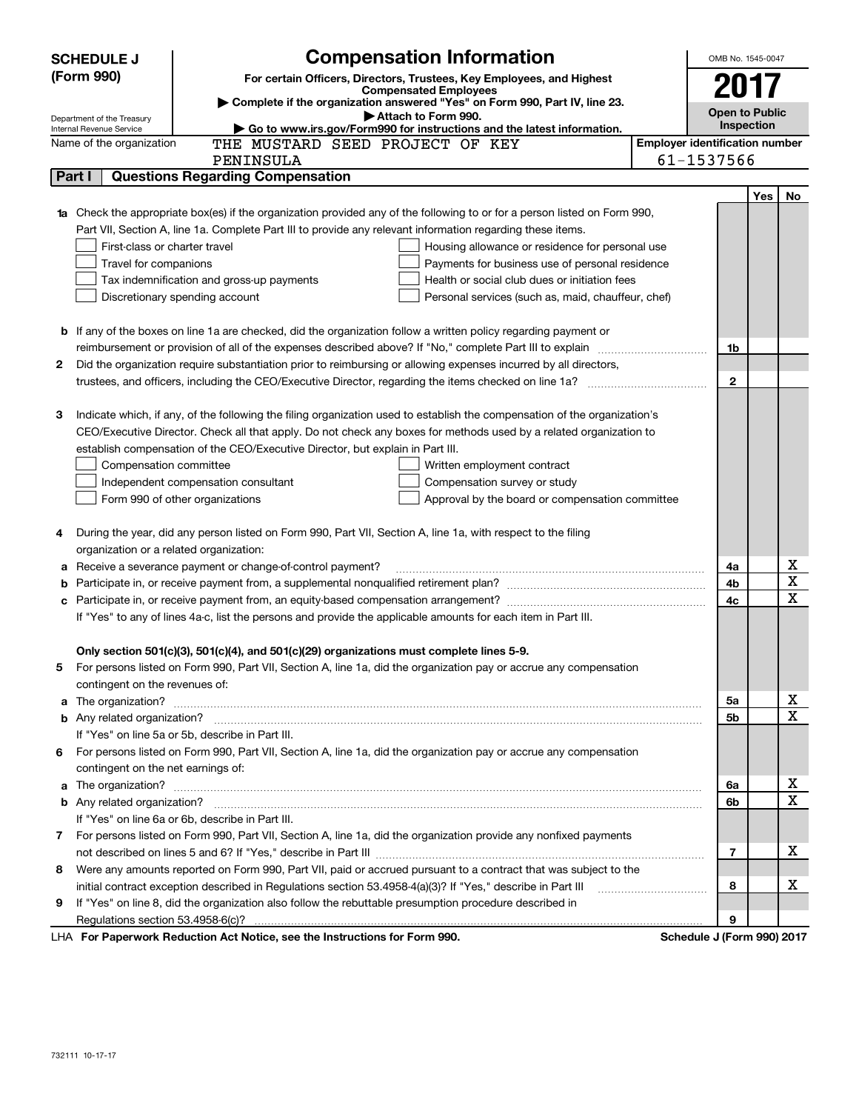| (Form 990)<br>For certain Officers, Directors, Trustees, Key Employees, and Highest<br>2017<br><b>Compensated Employees</b><br>Complete if the organization answered "Yes" on Form 990, Part IV, line 23.<br><b>Open to Public</b><br>Attach to Form 990.<br>Department of the Treasury<br>Inspection<br>Internal Revenue Service<br>Go to www.irs.gov/Form990 for instructions and the latest information.<br><b>Employer identification number</b><br>THE MUSTARD SEED PROJECT OF KEY<br>Name of the organization<br>61-1537566<br>PENINSULA<br><b>Questions Regarding Compensation</b><br>Part I<br>Yes<br>No<br>Check the appropriate box(es) if the organization provided any of the following to or for a person listed on Form 990,<br>Part VII, Section A, line 1a. Complete Part III to provide any relevant information regarding these items.<br>First-class or charter travel<br>Housing allowance or residence for personal use<br>Travel for companions<br>Payments for business use of personal residence<br>Health or social club dues or initiation fees<br>Tax indemnification and gross-up payments<br>Discretionary spending account<br>Personal services (such as, maid, chauffeur, chef)<br><b>b</b> If any of the boxes on line 1a are checked, did the organization follow a written policy regarding payment or<br>1b<br>Did the organization require substantiation prior to reimbursing or allowing expenses incurred by all directors,<br>2<br>$\mathbf{2}$<br>Indicate which, if any, of the following the filing organization used to establish the compensation of the organization's<br>з<br>CEO/Executive Director. Check all that apply. Do not check any boxes for methods used by a related organization to<br>establish compensation of the CEO/Executive Director, but explain in Part III.<br>Compensation committee<br>Written employment contract<br>Compensation survey or study<br>Independent compensation consultant<br>Form 990 of other organizations<br>Approval by the board or compensation committee<br>During the year, did any person listed on Form 990, Part VII, Section A, line 1a, with respect to the filing<br>4<br>organization or a related organization:<br>х<br>Receive a severance payment or change-of-control payment?<br>4a<br>а<br>$\mathbf X$<br>4b<br>X<br>4c<br>If "Yes" to any of lines 4a-c, list the persons and provide the applicable amounts for each item in Part III.<br>Only section 501(c)(3), 501(c)(4), and 501(c)(29) organizations must complete lines 5-9.<br>For persons listed on Form 990, Part VII, Section A, line 1a, did the organization pay or accrue any compensation<br>contingent on the revenues of:<br>х<br>5a<br>a<br>$\mathbf X$<br>5b<br>If "Yes" on line 5a or 5b, describe in Part III.<br>For persons listed on Form 990, Part VII, Section A, line 1a, did the organization pay or accrue any compensation<br>6.<br>contingent on the net earnings of:<br>х<br>6a<br>a<br>$\mathbf X$<br>6b<br>If "Yes" on line 6a or 6b, describe in Part III.<br>7 For persons listed on Form 990, Part VII, Section A, line 1a, did the organization provide any nonfixed payments<br>х<br>7<br>Were any amounts reported on Form 990, Part VII, paid or accrued pursuant to a contract that was subject to the<br>8<br>х<br>initial contract exception described in Regulations section 53.4958-4(a)(3)? If "Yes," describe in Part III<br>8<br>If "Yes" on line 8, did the organization also follow the rebuttable presumption procedure described in<br>9<br>9 | <b>Compensation Information</b><br><b>SCHEDULE J</b>                   | OMB No. 1545-0047 |  |
|------------------------------------------------------------------------------------------------------------------------------------------------------------------------------------------------------------------------------------------------------------------------------------------------------------------------------------------------------------------------------------------------------------------------------------------------------------------------------------------------------------------------------------------------------------------------------------------------------------------------------------------------------------------------------------------------------------------------------------------------------------------------------------------------------------------------------------------------------------------------------------------------------------------------------------------------------------------------------------------------------------------------------------------------------------------------------------------------------------------------------------------------------------------------------------------------------------------------------------------------------------------------------------------------------------------------------------------------------------------------------------------------------------------------------------------------------------------------------------------------------------------------------------------------------------------------------------------------------------------------------------------------------------------------------------------------------------------------------------------------------------------------------------------------------------------------------------------------------------------------------------------------------------------------------------------------------------------------------------------------------------------------------------------------------------------------------------------------------------------------------------------------------------------------------------------------------------------------------------------------------------------------------------------------------------------------------------------------------------------------------------------------------------------------------------------------------------------------------------------------------------------------------------------------------------------------------------------------------------------------------------------------------------------------------------------------------------------------------------------------------------------------------------------------------------------------------------------------------------------------------------------------------------------------------------------------------------------------------------------------------------------------------------------------------------------------------------------------------------------------------------------------------------------------------------------------------------------------------------------------------------------------------------------------------------------------------------------------------------------------------------------------------------------------------------------------------------------------------------------------------------------------------------------------------------------|------------------------------------------------------------------------|-------------------|--|
|                                                                                                                                                                                                                                                                                                                                                                                                                                                                                                                                                                                                                                                                                                                                                                                                                                                                                                                                                                                                                                                                                                                                                                                                                                                                                                                                                                                                                                                                                                                                                                                                                                                                                                                                                                                                                                                                                                                                                                                                                                                                                                                                                                                                                                                                                                                                                                                                                                                                                                                                                                                                                                                                                                                                                                                                                                                                                                                                                                                                                                                                                                                                                                                                                                                                                                                                                                                                                                                                                                                                                                  |                                                                        |                   |  |
|                                                                                                                                                                                                                                                                                                                                                                                                                                                                                                                                                                                                                                                                                                                                                                                                                                                                                                                                                                                                                                                                                                                                                                                                                                                                                                                                                                                                                                                                                                                                                                                                                                                                                                                                                                                                                                                                                                                                                                                                                                                                                                                                                                                                                                                                                                                                                                                                                                                                                                                                                                                                                                                                                                                                                                                                                                                                                                                                                                                                                                                                                                                                                                                                                                                                                                                                                                                                                                                                                                                                                                  |                                                                        |                   |  |
|                                                                                                                                                                                                                                                                                                                                                                                                                                                                                                                                                                                                                                                                                                                                                                                                                                                                                                                                                                                                                                                                                                                                                                                                                                                                                                                                                                                                                                                                                                                                                                                                                                                                                                                                                                                                                                                                                                                                                                                                                                                                                                                                                                                                                                                                                                                                                                                                                                                                                                                                                                                                                                                                                                                                                                                                                                                                                                                                                                                                                                                                                                                                                                                                                                                                                                                                                                                                                                                                                                                                                                  |                                                                        |                   |  |
|                                                                                                                                                                                                                                                                                                                                                                                                                                                                                                                                                                                                                                                                                                                                                                                                                                                                                                                                                                                                                                                                                                                                                                                                                                                                                                                                                                                                                                                                                                                                                                                                                                                                                                                                                                                                                                                                                                                                                                                                                                                                                                                                                                                                                                                                                                                                                                                                                                                                                                                                                                                                                                                                                                                                                                                                                                                                                                                                                                                                                                                                                                                                                                                                                                                                                                                                                                                                                                                                                                                                                                  |                                                                        |                   |  |
|                                                                                                                                                                                                                                                                                                                                                                                                                                                                                                                                                                                                                                                                                                                                                                                                                                                                                                                                                                                                                                                                                                                                                                                                                                                                                                                                                                                                                                                                                                                                                                                                                                                                                                                                                                                                                                                                                                                                                                                                                                                                                                                                                                                                                                                                                                                                                                                                                                                                                                                                                                                                                                                                                                                                                                                                                                                                                                                                                                                                                                                                                                                                                                                                                                                                                                                                                                                                                                                                                                                                                                  |                                                                        |                   |  |
|                                                                                                                                                                                                                                                                                                                                                                                                                                                                                                                                                                                                                                                                                                                                                                                                                                                                                                                                                                                                                                                                                                                                                                                                                                                                                                                                                                                                                                                                                                                                                                                                                                                                                                                                                                                                                                                                                                                                                                                                                                                                                                                                                                                                                                                                                                                                                                                                                                                                                                                                                                                                                                                                                                                                                                                                                                                                                                                                                                                                                                                                                                                                                                                                                                                                                                                                                                                                                                                                                                                                                                  |                                                                        |                   |  |
|                                                                                                                                                                                                                                                                                                                                                                                                                                                                                                                                                                                                                                                                                                                                                                                                                                                                                                                                                                                                                                                                                                                                                                                                                                                                                                                                                                                                                                                                                                                                                                                                                                                                                                                                                                                                                                                                                                                                                                                                                                                                                                                                                                                                                                                                                                                                                                                                                                                                                                                                                                                                                                                                                                                                                                                                                                                                                                                                                                                                                                                                                                                                                                                                                                                                                                                                                                                                                                                                                                                                                                  |                                                                        |                   |  |
|                                                                                                                                                                                                                                                                                                                                                                                                                                                                                                                                                                                                                                                                                                                                                                                                                                                                                                                                                                                                                                                                                                                                                                                                                                                                                                                                                                                                                                                                                                                                                                                                                                                                                                                                                                                                                                                                                                                                                                                                                                                                                                                                                                                                                                                                                                                                                                                                                                                                                                                                                                                                                                                                                                                                                                                                                                                                                                                                                                                                                                                                                                                                                                                                                                                                                                                                                                                                                                                                                                                                                                  |                                                                        |                   |  |
|                                                                                                                                                                                                                                                                                                                                                                                                                                                                                                                                                                                                                                                                                                                                                                                                                                                                                                                                                                                                                                                                                                                                                                                                                                                                                                                                                                                                                                                                                                                                                                                                                                                                                                                                                                                                                                                                                                                                                                                                                                                                                                                                                                                                                                                                                                                                                                                                                                                                                                                                                                                                                                                                                                                                                                                                                                                                                                                                                                                                                                                                                                                                                                                                                                                                                                                                                                                                                                                                                                                                                                  |                                                                        |                   |  |
|                                                                                                                                                                                                                                                                                                                                                                                                                                                                                                                                                                                                                                                                                                                                                                                                                                                                                                                                                                                                                                                                                                                                                                                                                                                                                                                                                                                                                                                                                                                                                                                                                                                                                                                                                                                                                                                                                                                                                                                                                                                                                                                                                                                                                                                                                                                                                                                                                                                                                                                                                                                                                                                                                                                                                                                                                                                                                                                                                                                                                                                                                                                                                                                                                                                                                                                                                                                                                                                                                                                                                                  |                                                                        |                   |  |
|                                                                                                                                                                                                                                                                                                                                                                                                                                                                                                                                                                                                                                                                                                                                                                                                                                                                                                                                                                                                                                                                                                                                                                                                                                                                                                                                                                                                                                                                                                                                                                                                                                                                                                                                                                                                                                                                                                                                                                                                                                                                                                                                                                                                                                                                                                                                                                                                                                                                                                                                                                                                                                                                                                                                                                                                                                                                                                                                                                                                                                                                                                                                                                                                                                                                                                                                                                                                                                                                                                                                                                  |                                                                        |                   |  |
|                                                                                                                                                                                                                                                                                                                                                                                                                                                                                                                                                                                                                                                                                                                                                                                                                                                                                                                                                                                                                                                                                                                                                                                                                                                                                                                                                                                                                                                                                                                                                                                                                                                                                                                                                                                                                                                                                                                                                                                                                                                                                                                                                                                                                                                                                                                                                                                                                                                                                                                                                                                                                                                                                                                                                                                                                                                                                                                                                                                                                                                                                                                                                                                                                                                                                                                                                                                                                                                                                                                                                                  |                                                                        |                   |  |
|                                                                                                                                                                                                                                                                                                                                                                                                                                                                                                                                                                                                                                                                                                                                                                                                                                                                                                                                                                                                                                                                                                                                                                                                                                                                                                                                                                                                                                                                                                                                                                                                                                                                                                                                                                                                                                                                                                                                                                                                                                                                                                                                                                                                                                                                                                                                                                                                                                                                                                                                                                                                                                                                                                                                                                                                                                                                                                                                                                                                                                                                                                                                                                                                                                                                                                                                                                                                                                                                                                                                                                  |                                                                        |                   |  |
|                                                                                                                                                                                                                                                                                                                                                                                                                                                                                                                                                                                                                                                                                                                                                                                                                                                                                                                                                                                                                                                                                                                                                                                                                                                                                                                                                                                                                                                                                                                                                                                                                                                                                                                                                                                                                                                                                                                                                                                                                                                                                                                                                                                                                                                                                                                                                                                                                                                                                                                                                                                                                                                                                                                                                                                                                                                                                                                                                                                                                                                                                                                                                                                                                                                                                                                                                                                                                                                                                                                                                                  |                                                                        |                   |  |
|                                                                                                                                                                                                                                                                                                                                                                                                                                                                                                                                                                                                                                                                                                                                                                                                                                                                                                                                                                                                                                                                                                                                                                                                                                                                                                                                                                                                                                                                                                                                                                                                                                                                                                                                                                                                                                                                                                                                                                                                                                                                                                                                                                                                                                                                                                                                                                                                                                                                                                                                                                                                                                                                                                                                                                                                                                                                                                                                                                                                                                                                                                                                                                                                                                                                                                                                                                                                                                                                                                                                                                  |                                                                        |                   |  |
|                                                                                                                                                                                                                                                                                                                                                                                                                                                                                                                                                                                                                                                                                                                                                                                                                                                                                                                                                                                                                                                                                                                                                                                                                                                                                                                                                                                                                                                                                                                                                                                                                                                                                                                                                                                                                                                                                                                                                                                                                                                                                                                                                                                                                                                                                                                                                                                                                                                                                                                                                                                                                                                                                                                                                                                                                                                                                                                                                                                                                                                                                                                                                                                                                                                                                                                                                                                                                                                                                                                                                                  |                                                                        |                   |  |
|                                                                                                                                                                                                                                                                                                                                                                                                                                                                                                                                                                                                                                                                                                                                                                                                                                                                                                                                                                                                                                                                                                                                                                                                                                                                                                                                                                                                                                                                                                                                                                                                                                                                                                                                                                                                                                                                                                                                                                                                                                                                                                                                                                                                                                                                                                                                                                                                                                                                                                                                                                                                                                                                                                                                                                                                                                                                                                                                                                                                                                                                                                                                                                                                                                                                                                                                                                                                                                                                                                                                                                  |                                                                        |                   |  |
|                                                                                                                                                                                                                                                                                                                                                                                                                                                                                                                                                                                                                                                                                                                                                                                                                                                                                                                                                                                                                                                                                                                                                                                                                                                                                                                                                                                                                                                                                                                                                                                                                                                                                                                                                                                                                                                                                                                                                                                                                                                                                                                                                                                                                                                                                                                                                                                                                                                                                                                                                                                                                                                                                                                                                                                                                                                                                                                                                                                                                                                                                                                                                                                                                                                                                                                                                                                                                                                                                                                                                                  |                                                                        |                   |  |
|                                                                                                                                                                                                                                                                                                                                                                                                                                                                                                                                                                                                                                                                                                                                                                                                                                                                                                                                                                                                                                                                                                                                                                                                                                                                                                                                                                                                                                                                                                                                                                                                                                                                                                                                                                                                                                                                                                                                                                                                                                                                                                                                                                                                                                                                                                                                                                                                                                                                                                                                                                                                                                                                                                                                                                                                                                                                                                                                                                                                                                                                                                                                                                                                                                                                                                                                                                                                                                                                                                                                                                  |                                                                        |                   |  |
|                                                                                                                                                                                                                                                                                                                                                                                                                                                                                                                                                                                                                                                                                                                                                                                                                                                                                                                                                                                                                                                                                                                                                                                                                                                                                                                                                                                                                                                                                                                                                                                                                                                                                                                                                                                                                                                                                                                                                                                                                                                                                                                                                                                                                                                                                                                                                                                                                                                                                                                                                                                                                                                                                                                                                                                                                                                                                                                                                                                                                                                                                                                                                                                                                                                                                                                                                                                                                                                                                                                                                                  |                                                                        |                   |  |
|                                                                                                                                                                                                                                                                                                                                                                                                                                                                                                                                                                                                                                                                                                                                                                                                                                                                                                                                                                                                                                                                                                                                                                                                                                                                                                                                                                                                                                                                                                                                                                                                                                                                                                                                                                                                                                                                                                                                                                                                                                                                                                                                                                                                                                                                                                                                                                                                                                                                                                                                                                                                                                                                                                                                                                                                                                                                                                                                                                                                                                                                                                                                                                                                                                                                                                                                                                                                                                                                                                                                                                  |                                                                        |                   |  |
|                                                                                                                                                                                                                                                                                                                                                                                                                                                                                                                                                                                                                                                                                                                                                                                                                                                                                                                                                                                                                                                                                                                                                                                                                                                                                                                                                                                                                                                                                                                                                                                                                                                                                                                                                                                                                                                                                                                                                                                                                                                                                                                                                                                                                                                                                                                                                                                                                                                                                                                                                                                                                                                                                                                                                                                                                                                                                                                                                                                                                                                                                                                                                                                                                                                                                                                                                                                                                                                                                                                                                                  |                                                                        |                   |  |
|                                                                                                                                                                                                                                                                                                                                                                                                                                                                                                                                                                                                                                                                                                                                                                                                                                                                                                                                                                                                                                                                                                                                                                                                                                                                                                                                                                                                                                                                                                                                                                                                                                                                                                                                                                                                                                                                                                                                                                                                                                                                                                                                                                                                                                                                                                                                                                                                                                                                                                                                                                                                                                                                                                                                                                                                                                                                                                                                                                                                                                                                                                                                                                                                                                                                                                                                                                                                                                                                                                                                                                  |                                                                        |                   |  |
|                                                                                                                                                                                                                                                                                                                                                                                                                                                                                                                                                                                                                                                                                                                                                                                                                                                                                                                                                                                                                                                                                                                                                                                                                                                                                                                                                                                                                                                                                                                                                                                                                                                                                                                                                                                                                                                                                                                                                                                                                                                                                                                                                                                                                                                                                                                                                                                                                                                                                                                                                                                                                                                                                                                                                                                                                                                                                                                                                                                                                                                                                                                                                                                                                                                                                                                                                                                                                                                                                                                                                                  |                                                                        |                   |  |
|                                                                                                                                                                                                                                                                                                                                                                                                                                                                                                                                                                                                                                                                                                                                                                                                                                                                                                                                                                                                                                                                                                                                                                                                                                                                                                                                                                                                                                                                                                                                                                                                                                                                                                                                                                                                                                                                                                                                                                                                                                                                                                                                                                                                                                                                                                                                                                                                                                                                                                                                                                                                                                                                                                                                                                                                                                                                                                                                                                                                                                                                                                                                                                                                                                                                                                                                                                                                                                                                                                                                                                  |                                                                        |                   |  |
|                                                                                                                                                                                                                                                                                                                                                                                                                                                                                                                                                                                                                                                                                                                                                                                                                                                                                                                                                                                                                                                                                                                                                                                                                                                                                                                                                                                                                                                                                                                                                                                                                                                                                                                                                                                                                                                                                                                                                                                                                                                                                                                                                                                                                                                                                                                                                                                                                                                                                                                                                                                                                                                                                                                                                                                                                                                                                                                                                                                                                                                                                                                                                                                                                                                                                                                                                                                                                                                                                                                                                                  |                                                                        |                   |  |
|                                                                                                                                                                                                                                                                                                                                                                                                                                                                                                                                                                                                                                                                                                                                                                                                                                                                                                                                                                                                                                                                                                                                                                                                                                                                                                                                                                                                                                                                                                                                                                                                                                                                                                                                                                                                                                                                                                                                                                                                                                                                                                                                                                                                                                                                                                                                                                                                                                                                                                                                                                                                                                                                                                                                                                                                                                                                                                                                                                                                                                                                                                                                                                                                                                                                                                                                                                                                                                                                                                                                                                  |                                                                        |                   |  |
|                                                                                                                                                                                                                                                                                                                                                                                                                                                                                                                                                                                                                                                                                                                                                                                                                                                                                                                                                                                                                                                                                                                                                                                                                                                                                                                                                                                                                                                                                                                                                                                                                                                                                                                                                                                                                                                                                                                                                                                                                                                                                                                                                                                                                                                                                                                                                                                                                                                                                                                                                                                                                                                                                                                                                                                                                                                                                                                                                                                                                                                                                                                                                                                                                                                                                                                                                                                                                                                                                                                                                                  |                                                                        |                   |  |
|                                                                                                                                                                                                                                                                                                                                                                                                                                                                                                                                                                                                                                                                                                                                                                                                                                                                                                                                                                                                                                                                                                                                                                                                                                                                                                                                                                                                                                                                                                                                                                                                                                                                                                                                                                                                                                                                                                                                                                                                                                                                                                                                                                                                                                                                                                                                                                                                                                                                                                                                                                                                                                                                                                                                                                                                                                                                                                                                                                                                                                                                                                                                                                                                                                                                                                                                                                                                                                                                                                                                                                  |                                                                        |                   |  |
|                                                                                                                                                                                                                                                                                                                                                                                                                                                                                                                                                                                                                                                                                                                                                                                                                                                                                                                                                                                                                                                                                                                                                                                                                                                                                                                                                                                                                                                                                                                                                                                                                                                                                                                                                                                                                                                                                                                                                                                                                                                                                                                                                                                                                                                                                                                                                                                                                                                                                                                                                                                                                                                                                                                                                                                                                                                                                                                                                                                                                                                                                                                                                                                                                                                                                                                                                                                                                                                                                                                                                                  |                                                                        |                   |  |
|                                                                                                                                                                                                                                                                                                                                                                                                                                                                                                                                                                                                                                                                                                                                                                                                                                                                                                                                                                                                                                                                                                                                                                                                                                                                                                                                                                                                                                                                                                                                                                                                                                                                                                                                                                                                                                                                                                                                                                                                                                                                                                                                                                                                                                                                                                                                                                                                                                                                                                                                                                                                                                                                                                                                                                                                                                                                                                                                                                                                                                                                                                                                                                                                                                                                                                                                                                                                                                                                                                                                                                  |                                                                        |                   |  |
|                                                                                                                                                                                                                                                                                                                                                                                                                                                                                                                                                                                                                                                                                                                                                                                                                                                                                                                                                                                                                                                                                                                                                                                                                                                                                                                                                                                                                                                                                                                                                                                                                                                                                                                                                                                                                                                                                                                                                                                                                                                                                                                                                                                                                                                                                                                                                                                                                                                                                                                                                                                                                                                                                                                                                                                                                                                                                                                                                                                                                                                                                                                                                                                                                                                                                                                                                                                                                                                                                                                                                                  |                                                                        |                   |  |
|                                                                                                                                                                                                                                                                                                                                                                                                                                                                                                                                                                                                                                                                                                                                                                                                                                                                                                                                                                                                                                                                                                                                                                                                                                                                                                                                                                                                                                                                                                                                                                                                                                                                                                                                                                                                                                                                                                                                                                                                                                                                                                                                                                                                                                                                                                                                                                                                                                                                                                                                                                                                                                                                                                                                                                                                                                                                                                                                                                                                                                                                                                                                                                                                                                                                                                                                                                                                                                                                                                                                                                  |                                                                        |                   |  |
|                                                                                                                                                                                                                                                                                                                                                                                                                                                                                                                                                                                                                                                                                                                                                                                                                                                                                                                                                                                                                                                                                                                                                                                                                                                                                                                                                                                                                                                                                                                                                                                                                                                                                                                                                                                                                                                                                                                                                                                                                                                                                                                                                                                                                                                                                                                                                                                                                                                                                                                                                                                                                                                                                                                                                                                                                                                                                                                                                                                                                                                                                                                                                                                                                                                                                                                                                                                                                                                                                                                                                                  |                                                                        |                   |  |
|                                                                                                                                                                                                                                                                                                                                                                                                                                                                                                                                                                                                                                                                                                                                                                                                                                                                                                                                                                                                                                                                                                                                                                                                                                                                                                                                                                                                                                                                                                                                                                                                                                                                                                                                                                                                                                                                                                                                                                                                                                                                                                                                                                                                                                                                                                                                                                                                                                                                                                                                                                                                                                                                                                                                                                                                                                                                                                                                                                                                                                                                                                                                                                                                                                                                                                                                                                                                                                                                                                                                                                  |                                                                        |                   |  |
|                                                                                                                                                                                                                                                                                                                                                                                                                                                                                                                                                                                                                                                                                                                                                                                                                                                                                                                                                                                                                                                                                                                                                                                                                                                                                                                                                                                                                                                                                                                                                                                                                                                                                                                                                                                                                                                                                                                                                                                                                                                                                                                                                                                                                                                                                                                                                                                                                                                                                                                                                                                                                                                                                                                                                                                                                                                                                                                                                                                                                                                                                                                                                                                                                                                                                                                                                                                                                                                                                                                                                                  |                                                                        |                   |  |
|                                                                                                                                                                                                                                                                                                                                                                                                                                                                                                                                                                                                                                                                                                                                                                                                                                                                                                                                                                                                                                                                                                                                                                                                                                                                                                                                                                                                                                                                                                                                                                                                                                                                                                                                                                                                                                                                                                                                                                                                                                                                                                                                                                                                                                                                                                                                                                                                                                                                                                                                                                                                                                                                                                                                                                                                                                                                                                                                                                                                                                                                                                                                                                                                                                                                                                                                                                                                                                                                                                                                                                  |                                                                        |                   |  |
|                                                                                                                                                                                                                                                                                                                                                                                                                                                                                                                                                                                                                                                                                                                                                                                                                                                                                                                                                                                                                                                                                                                                                                                                                                                                                                                                                                                                                                                                                                                                                                                                                                                                                                                                                                                                                                                                                                                                                                                                                                                                                                                                                                                                                                                                                                                                                                                                                                                                                                                                                                                                                                                                                                                                                                                                                                                                                                                                                                                                                                                                                                                                                                                                                                                                                                                                                                                                                                                                                                                                                                  |                                                                        |                   |  |
|                                                                                                                                                                                                                                                                                                                                                                                                                                                                                                                                                                                                                                                                                                                                                                                                                                                                                                                                                                                                                                                                                                                                                                                                                                                                                                                                                                                                                                                                                                                                                                                                                                                                                                                                                                                                                                                                                                                                                                                                                                                                                                                                                                                                                                                                                                                                                                                                                                                                                                                                                                                                                                                                                                                                                                                                                                                                                                                                                                                                                                                                                                                                                                                                                                                                                                                                                                                                                                                                                                                                                                  |                                                                        |                   |  |
|                                                                                                                                                                                                                                                                                                                                                                                                                                                                                                                                                                                                                                                                                                                                                                                                                                                                                                                                                                                                                                                                                                                                                                                                                                                                                                                                                                                                                                                                                                                                                                                                                                                                                                                                                                                                                                                                                                                                                                                                                                                                                                                                                                                                                                                                                                                                                                                                                                                                                                                                                                                                                                                                                                                                                                                                                                                                                                                                                                                                                                                                                                                                                                                                                                                                                                                                                                                                                                                                                                                                                                  |                                                                        |                   |  |
|                                                                                                                                                                                                                                                                                                                                                                                                                                                                                                                                                                                                                                                                                                                                                                                                                                                                                                                                                                                                                                                                                                                                                                                                                                                                                                                                                                                                                                                                                                                                                                                                                                                                                                                                                                                                                                                                                                                                                                                                                                                                                                                                                                                                                                                                                                                                                                                                                                                                                                                                                                                                                                                                                                                                                                                                                                                                                                                                                                                                                                                                                                                                                                                                                                                                                                                                                                                                                                                                                                                                                                  |                                                                        |                   |  |
|                                                                                                                                                                                                                                                                                                                                                                                                                                                                                                                                                                                                                                                                                                                                                                                                                                                                                                                                                                                                                                                                                                                                                                                                                                                                                                                                                                                                                                                                                                                                                                                                                                                                                                                                                                                                                                                                                                                                                                                                                                                                                                                                                                                                                                                                                                                                                                                                                                                                                                                                                                                                                                                                                                                                                                                                                                                                                                                                                                                                                                                                                                                                                                                                                                                                                                                                                                                                                                                                                                                                                                  |                                                                        |                   |  |
|                                                                                                                                                                                                                                                                                                                                                                                                                                                                                                                                                                                                                                                                                                                                                                                                                                                                                                                                                                                                                                                                                                                                                                                                                                                                                                                                                                                                                                                                                                                                                                                                                                                                                                                                                                                                                                                                                                                                                                                                                                                                                                                                                                                                                                                                                                                                                                                                                                                                                                                                                                                                                                                                                                                                                                                                                                                                                                                                                                                                                                                                                                                                                                                                                                                                                                                                                                                                                                                                                                                                                                  |                                                                        |                   |  |
|                                                                                                                                                                                                                                                                                                                                                                                                                                                                                                                                                                                                                                                                                                                                                                                                                                                                                                                                                                                                                                                                                                                                                                                                                                                                                                                                                                                                                                                                                                                                                                                                                                                                                                                                                                                                                                                                                                                                                                                                                                                                                                                                                                                                                                                                                                                                                                                                                                                                                                                                                                                                                                                                                                                                                                                                                                                                                                                                                                                                                                                                                                                                                                                                                                                                                                                                                                                                                                                                                                                                                                  |                                                                        |                   |  |
|                                                                                                                                                                                                                                                                                                                                                                                                                                                                                                                                                                                                                                                                                                                                                                                                                                                                                                                                                                                                                                                                                                                                                                                                                                                                                                                                                                                                                                                                                                                                                                                                                                                                                                                                                                                                                                                                                                                                                                                                                                                                                                                                                                                                                                                                                                                                                                                                                                                                                                                                                                                                                                                                                                                                                                                                                                                                                                                                                                                                                                                                                                                                                                                                                                                                                                                                                                                                                                                                                                                                                                  |                                                                        |                   |  |
|                                                                                                                                                                                                                                                                                                                                                                                                                                                                                                                                                                                                                                                                                                                                                                                                                                                                                                                                                                                                                                                                                                                                                                                                                                                                                                                                                                                                                                                                                                                                                                                                                                                                                                                                                                                                                                                                                                                                                                                                                                                                                                                                                                                                                                                                                                                                                                                                                                                                                                                                                                                                                                                                                                                                                                                                                                                                                                                                                                                                                                                                                                                                                                                                                                                                                                                                                                                                                                                                                                                                                                  |                                                                        |                   |  |
|                                                                                                                                                                                                                                                                                                                                                                                                                                                                                                                                                                                                                                                                                                                                                                                                                                                                                                                                                                                                                                                                                                                                                                                                                                                                                                                                                                                                                                                                                                                                                                                                                                                                                                                                                                                                                                                                                                                                                                                                                                                                                                                                                                                                                                                                                                                                                                                                                                                                                                                                                                                                                                                                                                                                                                                                                                                                                                                                                                                                                                                                                                                                                                                                                                                                                                                                                                                                                                                                                                                                                                  |                                                                        |                   |  |
|                                                                                                                                                                                                                                                                                                                                                                                                                                                                                                                                                                                                                                                                                                                                                                                                                                                                                                                                                                                                                                                                                                                                                                                                                                                                                                                                                                                                                                                                                                                                                                                                                                                                                                                                                                                                                                                                                                                                                                                                                                                                                                                                                                                                                                                                                                                                                                                                                                                                                                                                                                                                                                                                                                                                                                                                                                                                                                                                                                                                                                                                                                                                                                                                                                                                                                                                                                                                                                                                                                                                                                  |                                                                        |                   |  |
|                                                                                                                                                                                                                                                                                                                                                                                                                                                                                                                                                                                                                                                                                                                                                                                                                                                                                                                                                                                                                                                                                                                                                                                                                                                                                                                                                                                                                                                                                                                                                                                                                                                                                                                                                                                                                                                                                                                                                                                                                                                                                                                                                                                                                                                                                                                                                                                                                                                                                                                                                                                                                                                                                                                                                                                                                                                                                                                                                                                                                                                                                                                                                                                                                                                                                                                                                                                                                                                                                                                                                                  |                                                                        |                   |  |
|                                                                                                                                                                                                                                                                                                                                                                                                                                                                                                                                                                                                                                                                                                                                                                                                                                                                                                                                                                                                                                                                                                                                                                                                                                                                                                                                                                                                                                                                                                                                                                                                                                                                                                                                                                                                                                                                                                                                                                                                                                                                                                                                                                                                                                                                                                                                                                                                                                                                                                                                                                                                                                                                                                                                                                                                                                                                                                                                                                                                                                                                                                                                                                                                                                                                                                                                                                                                                                                                                                                                                                  |                                                                        |                   |  |
| Cohodulo I (Form 000) 2017<br><b>ILIA</b>                                                                                                                                                                                                                                                                                                                                                                                                                                                                                                                                                                                                                                                                                                                                                                                                                                                                                                                                                                                                                                                                                                                                                                                                                                                                                                                                                                                                                                                                                                                                                                                                                                                                                                                                                                                                                                                                                                                                                                                                                                                                                                                                                                                                                                                                                                                                                                                                                                                                                                                                                                                                                                                                                                                                                                                                                                                                                                                                                                                                                                                                                                                                                                                                                                                                                                                                                                                                                                                                                                                        | For Department Reduction Act Notice, and the Instructions for Ferm 000 |                   |  |

LHA For Paperwork Reduction Act Notice, see the Instructions for Form 990. Schedule J (Form 990) 2017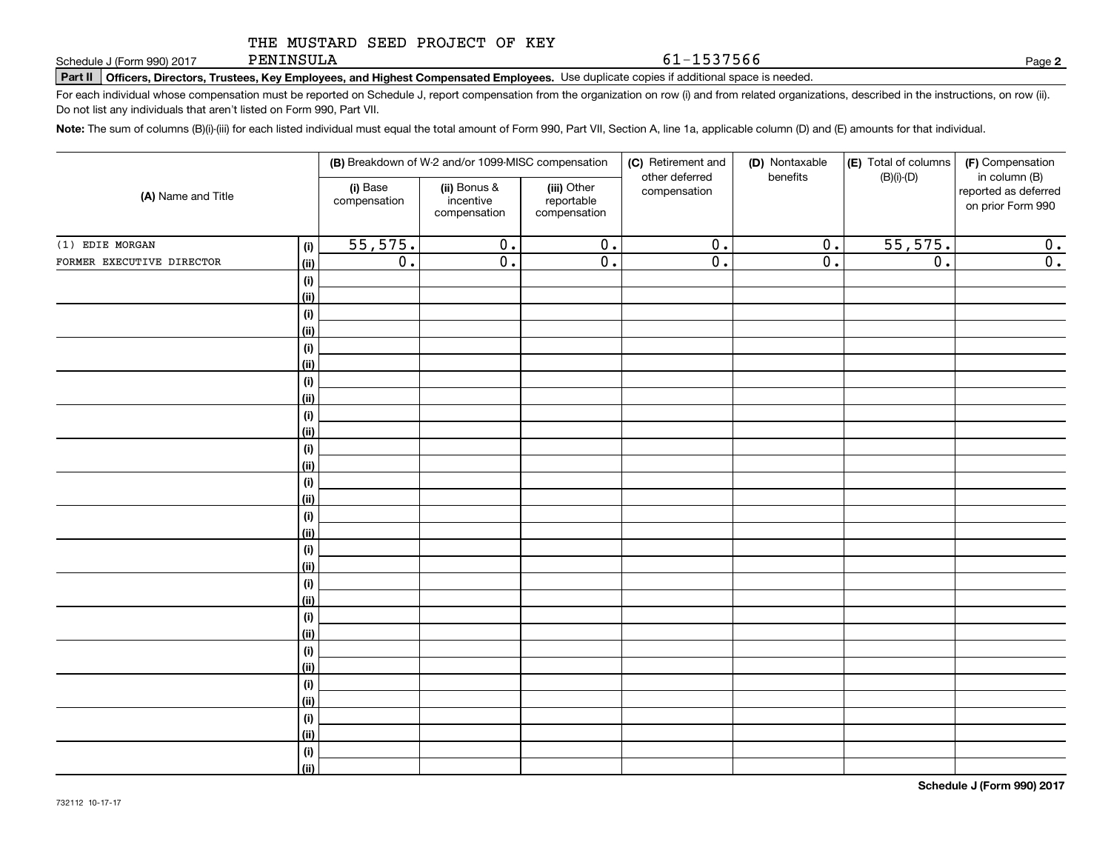PENINSULA

**Part II Officers, Directors, Trustees, Key Employees, and Highest Compensated Employees.**  Schedule J (Form 990) 2017 Page Use duplicate copies if additional space is needed.

For each individual whose compensation must be reported on Schedule J, report compensation from the organization on row (i) and from related organizations, described in the instructions, on row (ii). Do not list any individuals that aren't listed on Form 990, Part VII.

**Note:**  The sum of columns (B)(i)-(iii) for each listed individual must equal the total amount of Form 990, Part VII, Section A, line 1a, applicable column (D) and (E) amounts for that individual.

| (A) Name and Title        |                              |                          | (B) Breakdown of W-2 and/or 1099-MISC compensation |                                           | (C) Retirement and<br>other deferred | (D) Nontaxable<br>benefits | (E) Total of columns<br>$(B)(i)$ - $(D)$ | (F) Compensation<br>in column (B)         |
|---------------------------|------------------------------|--------------------------|----------------------------------------------------|-------------------------------------------|--------------------------------------|----------------------------|------------------------------------------|-------------------------------------------|
|                           |                              | (i) Base<br>compensation | (ii) Bonus &<br>incentive<br>compensation          | (iii) Other<br>reportable<br>compensation | compensation                         |                            |                                          | reported as deferred<br>on prior Form 990 |
| $(1)$ EDIE MORGAN         | (i)                          | 55,575.                  | $\overline{0}$ .                                   | $\overline{0}$ .                          | $\overline{0}$ .                     | $\overline{0}$ .           | 55,575.                                  | 0.                                        |
| FORMER EXECUTIVE DIRECTOR | (ii)                         | $\overline{0}$ .         | $\overline{0}$ .                                   | $\overline{0}$ .                          | $\overline{0}$ .                     | $\overline{0}$ .           | $\overline{0}$ .                         | $\overline{0}$ .                          |
|                           | $\qquad \qquad \textbf{(i)}$ |                          |                                                    |                                           |                                      |                            |                                          |                                           |
|                           | (ii)                         |                          |                                                    |                                           |                                      |                            |                                          |                                           |
|                           | $\qquad \qquad \textbf{(i)}$ |                          |                                                    |                                           |                                      |                            |                                          |                                           |
|                           | (ii)                         |                          |                                                    |                                           |                                      |                            |                                          |                                           |
|                           | (i)                          |                          |                                                    |                                           |                                      |                            |                                          |                                           |
|                           | (ii)                         |                          |                                                    |                                           |                                      |                            |                                          |                                           |
|                           | (i)                          |                          |                                                    |                                           |                                      |                            |                                          |                                           |
|                           | (ii)                         |                          |                                                    |                                           |                                      |                            |                                          |                                           |
|                           | $(\sf{i})$                   |                          |                                                    |                                           |                                      |                            |                                          |                                           |
|                           | (ii)                         |                          |                                                    |                                           |                                      |                            |                                          |                                           |
|                           | $(\sf{i})$                   |                          |                                                    |                                           |                                      |                            |                                          |                                           |
|                           | (ii)                         |                          |                                                    |                                           |                                      |                            |                                          |                                           |
|                           | $(\sf{i})$<br>(ii)           |                          |                                                    |                                           |                                      |                            |                                          |                                           |
|                           | $(\sf{i})$                   |                          |                                                    |                                           |                                      |                            |                                          |                                           |
|                           | (ii)                         |                          |                                                    |                                           |                                      |                            |                                          |                                           |
|                           | (i)                          |                          |                                                    |                                           |                                      |                            |                                          |                                           |
|                           | (ii)                         |                          |                                                    |                                           |                                      |                            |                                          |                                           |
|                           | (i)                          |                          |                                                    |                                           |                                      |                            |                                          |                                           |
|                           | (ii)                         |                          |                                                    |                                           |                                      |                            |                                          |                                           |
|                           | (i)                          |                          |                                                    |                                           |                                      |                            |                                          |                                           |
|                           | (ii)                         |                          |                                                    |                                           |                                      |                            |                                          |                                           |
|                           | (i)                          |                          |                                                    |                                           |                                      |                            |                                          |                                           |
|                           | (ii)                         |                          |                                                    |                                           |                                      |                            |                                          |                                           |
|                           | (i)                          |                          |                                                    |                                           |                                      |                            |                                          |                                           |
|                           | (ii)                         |                          |                                                    |                                           |                                      |                            |                                          |                                           |
|                           | (i)                          |                          |                                                    |                                           |                                      |                            |                                          |                                           |
|                           | (ii)                         |                          |                                                    |                                           |                                      |                            |                                          |                                           |
|                           | (i)                          |                          |                                                    |                                           |                                      |                            |                                          |                                           |
|                           | (ii)                         |                          |                                                    |                                           |                                      |                            |                                          |                                           |

**2**

61-1537566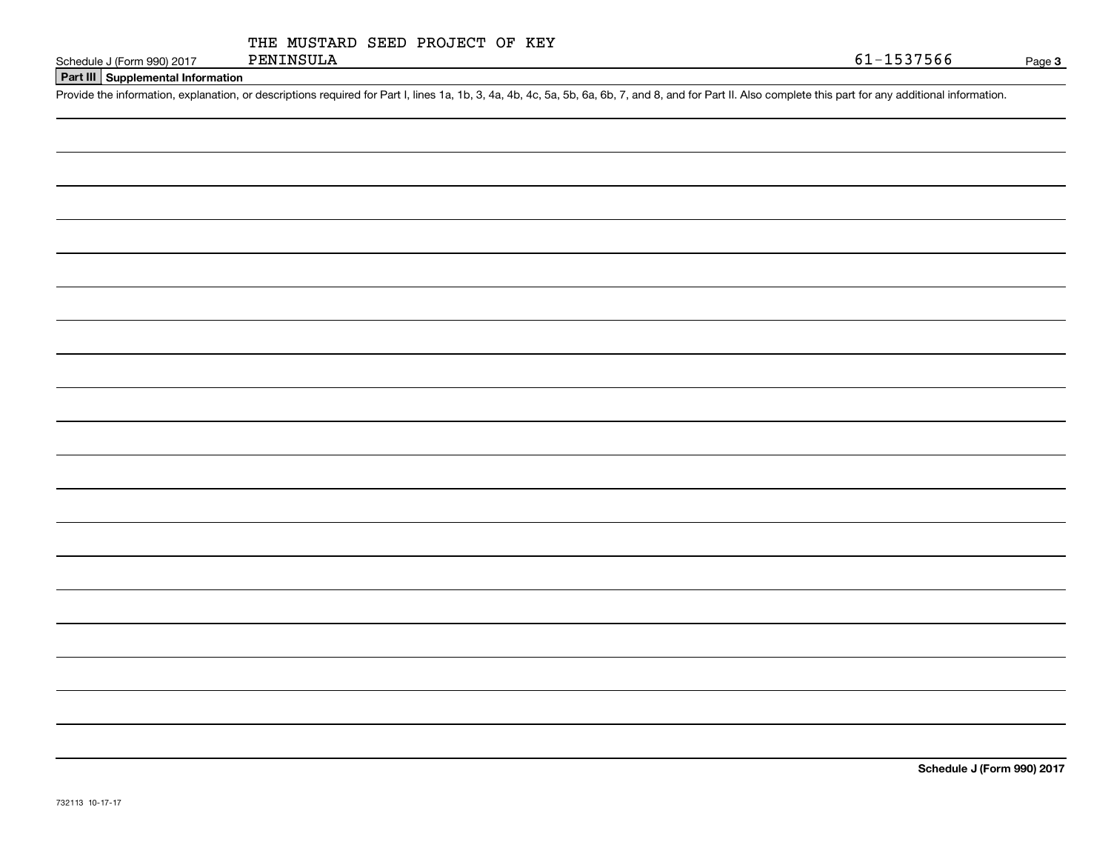| THE MUSTARD SEED PROJECT OF KEY |  |
|---------------------------------|--|
|---------------------------------|--|

**Part III Supplemental Information**

Schedule J (Form 990) 2017 PENINSULA 61-1537566<br>Part III Supplemental Information<br>Provide the information, explanation, or descriptions required for Part I, lines 1a, 1b, 3, 4a, 4b, 4c, 5a, 5b, 6a, 6b, 7, and 8, and for P

**Schedule J (Form 990) 2017**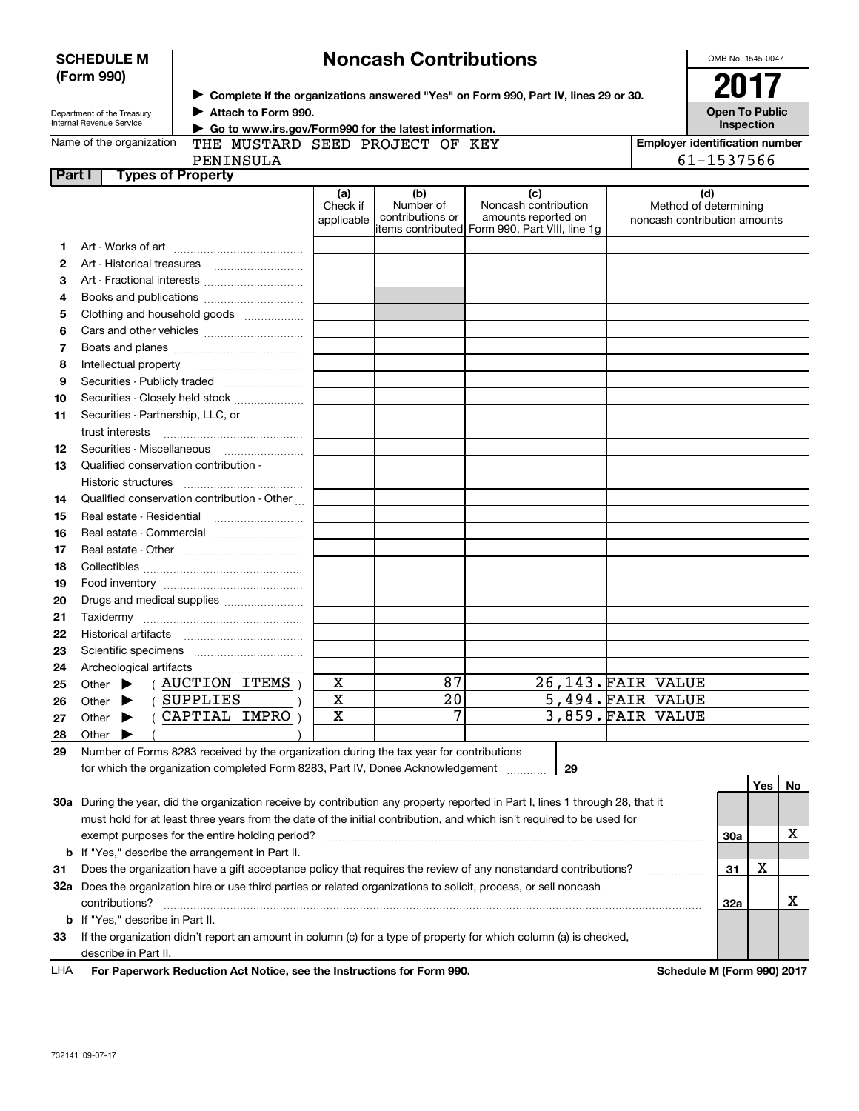| <b>SCHEDULE M</b><br>(Form 990)                        |                                                                                                                   | <b>Noncash Contributions</b>                                                                                                                                         |                                 |                                      |                                                    |  |                                                              |            | OMB No. 1545-0047 |                       |  |  |
|--------------------------------------------------------|-------------------------------------------------------------------------------------------------------------------|----------------------------------------------------------------------------------------------------------------------------------------------------------------------|---------------------------------|--------------------------------------|----------------------------------------------------|--|--------------------------------------------------------------|------------|-------------------|-----------------------|--|--|
|                                                        |                                                                                                                   |                                                                                                                                                                      |                                 |                                      |                                                    |  |                                                              |            | 2017              |                       |  |  |
| Department of the Treasury<br>Internal Revenue Service |                                                                                                                   | ▶ Complete if the organizations answered "Yes" on Form 990, Part IV, lines 29 or 30.<br>Attach to Form 990.<br>Go to www.irs.gov/Form990 for the latest information. |                                 |                                      |                                                    |  |                                                              |            |                   | <b>Open To Public</b> |  |  |
| Name of the organization                               |                                                                                                                   |                                                                                                                                                                      | THE MUSTARD SEED PROJECT OF KEY |                                      |                                                    |  | Inspection<br><b>Employer identification number</b>          |            |                   |                       |  |  |
| PENINSULA                                              |                                                                                                                   |                                                                                                                                                                      |                                 |                                      |                                                    |  | 61-1537566                                                   |            |                   |                       |  |  |
|                                                        | <b>Types of Property</b><br>Part I                                                                                |                                                                                                                                                                      |                                 |                                      |                                                    |  |                                                              |            |                   |                       |  |  |
|                                                        |                                                                                                                   |                                                                                                                                                                      | (a)<br>Check if<br>applicable   | (b)<br>Number of<br>contributions or | (c)<br>Noncash contribution<br>amounts reported on |  | (d)<br>Method of determining<br>noncash contribution amounts |            |                   |                       |  |  |
|                                                        |                                                                                                                   |                                                                                                                                                                      |                                 |                                      | items contributed Form 990, Part VIII, line 1g     |  |                                                              |            |                   |                       |  |  |
| 1                                                      |                                                                                                                   |                                                                                                                                                                      |                                 |                                      |                                                    |  |                                                              |            |                   |                       |  |  |
| 2                                                      |                                                                                                                   |                                                                                                                                                                      |                                 |                                      |                                                    |  |                                                              |            |                   |                       |  |  |
| 3                                                      |                                                                                                                   |                                                                                                                                                                      |                                 |                                      |                                                    |  |                                                              |            |                   |                       |  |  |
| 4                                                      |                                                                                                                   |                                                                                                                                                                      |                                 |                                      |                                                    |  |                                                              |            |                   |                       |  |  |
| 5                                                      | Clothing and household goods                                                                                      |                                                                                                                                                                      |                                 |                                      |                                                    |  |                                                              |            |                   |                       |  |  |
| 6                                                      |                                                                                                                   |                                                                                                                                                                      |                                 |                                      |                                                    |  |                                                              |            |                   |                       |  |  |
| 7                                                      |                                                                                                                   |                                                                                                                                                                      |                                 |                                      |                                                    |  |                                                              |            |                   |                       |  |  |
| 8                                                      |                                                                                                                   |                                                                                                                                                                      |                                 |                                      |                                                    |  |                                                              |            |                   |                       |  |  |
| 9                                                      |                                                                                                                   |                                                                                                                                                                      |                                 |                                      |                                                    |  |                                                              |            |                   |                       |  |  |
| 10                                                     |                                                                                                                   | Securities - Closely held stock                                                                                                                                      |                                 |                                      |                                                    |  |                                                              |            |                   |                       |  |  |
| 11                                                     | Securities - Partnership, LLC, or<br>trust interests                                                              |                                                                                                                                                                      |                                 |                                      |                                                    |  |                                                              |            |                   |                       |  |  |
| 12                                                     | Securities - Miscellaneous                                                                                        |                                                                                                                                                                      |                                 |                                      |                                                    |  |                                                              |            |                   |                       |  |  |
| 13                                                     | Qualified conservation contribution -                                                                             |                                                                                                                                                                      |                                 |                                      |                                                    |  |                                                              |            |                   |                       |  |  |
|                                                        | Historic structures                                                                                               |                                                                                                                                                                      |                                 |                                      |                                                    |  |                                                              |            |                   |                       |  |  |
| 14                                                     |                                                                                                                   | Qualified conservation contribution - Other                                                                                                                          |                                 |                                      |                                                    |  |                                                              |            |                   |                       |  |  |
| 15                                                     | Real estate - Residential                                                                                         |                                                                                                                                                                      |                                 |                                      |                                                    |  |                                                              |            |                   |                       |  |  |
| 16                                                     |                                                                                                                   | Real estate - Commercial                                                                                                                                             |                                 |                                      |                                                    |  |                                                              |            |                   |                       |  |  |
| 17                                                     |                                                                                                                   |                                                                                                                                                                      |                                 |                                      |                                                    |  |                                                              |            |                   |                       |  |  |
| 18                                                     |                                                                                                                   |                                                                                                                                                                      |                                 |                                      |                                                    |  |                                                              |            |                   |                       |  |  |
| 19                                                     |                                                                                                                   |                                                                                                                                                                      |                                 |                                      |                                                    |  |                                                              |            |                   |                       |  |  |
| 20                                                     | Drugs and medical supplies                                                                                        |                                                                                                                                                                      |                                 |                                      |                                                    |  |                                                              |            |                   |                       |  |  |
| 21                                                     |                                                                                                                   |                                                                                                                                                                      |                                 |                                      |                                                    |  |                                                              |            |                   |                       |  |  |
| 22                                                     |                                                                                                                   |                                                                                                                                                                      |                                 |                                      |                                                    |  |                                                              |            |                   |                       |  |  |
| 23                                                     |                                                                                                                   |                                                                                                                                                                      |                                 |                                      |                                                    |  |                                                              |            |                   |                       |  |  |
| 24                                                     | Archeological artifacts                                                                                           |                                                                                                                                                                      |                                 |                                      |                                                    |  |                                                              |            |                   |                       |  |  |
| 25                                                     | Other                                                                                                             | <b>AUCTION ITEMS</b>                                                                                                                                                 | х                               | 87                                   |                                                    |  | 26,143. FAIR VALUE                                           |            |                   |                       |  |  |
| 26                                                     | Other                                                                                                             | <b>SUPPLIES</b>                                                                                                                                                      | X                               | 20                                   |                                                    |  | 5,494.FAIR VALUE                                             |            |                   |                       |  |  |
| 27                                                     | Other                                                                                                             | CAPTIAL IMPRO                                                                                                                                                        | X                               | 7                                    |                                                    |  | 3,859. FAIR VALUE                                            |            |                   |                       |  |  |
| 28                                                     | Other                                                                                                             |                                                                                                                                                                      |                                 |                                      |                                                    |  |                                                              |            |                   |                       |  |  |
| 29                                                     |                                                                                                                   | Number of Forms 8283 received by the organization during the tax year for contributions                                                                              |                                 |                                      |                                                    |  |                                                              |            |                   |                       |  |  |
|                                                        |                                                                                                                   | for which the organization completed Form 8283, Part IV, Donee Acknowledgement                                                                                       |                                 |                                      | 29                                                 |  |                                                              |            |                   |                       |  |  |
|                                                        |                                                                                                                   |                                                                                                                                                                      |                                 |                                      |                                                    |  |                                                              |            | Yes               | No                    |  |  |
|                                                        |                                                                                                                   | 30a During the year, did the organization receive by contribution any property reported in Part I, lines 1 through 28, that it                                       |                                 |                                      |                                                    |  |                                                              |            |                   |                       |  |  |
|                                                        |                                                                                                                   | must hold for at least three years from the date of the initial contribution, and which isn't required to be used for                                                |                                 |                                      |                                                    |  |                                                              |            |                   |                       |  |  |
|                                                        |                                                                                                                   |                                                                                                                                                                      |                                 |                                      |                                                    |  |                                                              | <b>30a</b> |                   | х                     |  |  |
|                                                        | exempt purposes for the entire holding period?<br><b>b</b> If "Yes," describe the arrangement in Part II.         |                                                                                                                                                                      |                                 |                                      |                                                    |  |                                                              |            |                   |                       |  |  |
| 31                                                     | Does the organization have a gift acceptance policy that requires the review of any nonstandard contributions?    |                                                                                                                                                                      |                                 |                                      |                                                    |  |                                                              |            | х                 |                       |  |  |
|                                                        | 32a Does the organization hire or use third parties or related organizations to solicit, process, or sell noncash |                                                                                                                                                                      |                                 |                                      |                                                    |  |                                                              |            |                   |                       |  |  |
|                                                        | contributions?                                                                                                    |                                                                                                                                                                      |                                 |                                      |                                                    |  |                                                              | <b>32a</b> |                   | х                     |  |  |
|                                                        | <b>b</b> If "Yes," describe in Part II.                                                                           |                                                                                                                                                                      |                                 |                                      |                                                    |  |                                                              |            |                   |                       |  |  |
| 33                                                     |                                                                                                                   | If the organization didn't report an amount in column (c) for a type of property for which column (a) is checked,                                                    |                                 |                                      |                                                    |  |                                                              |            |                   |                       |  |  |
|                                                        | describe in Part II.                                                                                              |                                                                                                                                                                      |                                 |                                      |                                                    |  |                                                              |            |                   |                       |  |  |
| LHA                                                    | For Paperwork Reduction Act Notice, see the Instructions for Form 990.<br>Schedule M (Form 990) 2017              |                                                                                                                                                                      |                                 |                                      |                                                    |  |                                                              |            |                   |                       |  |  |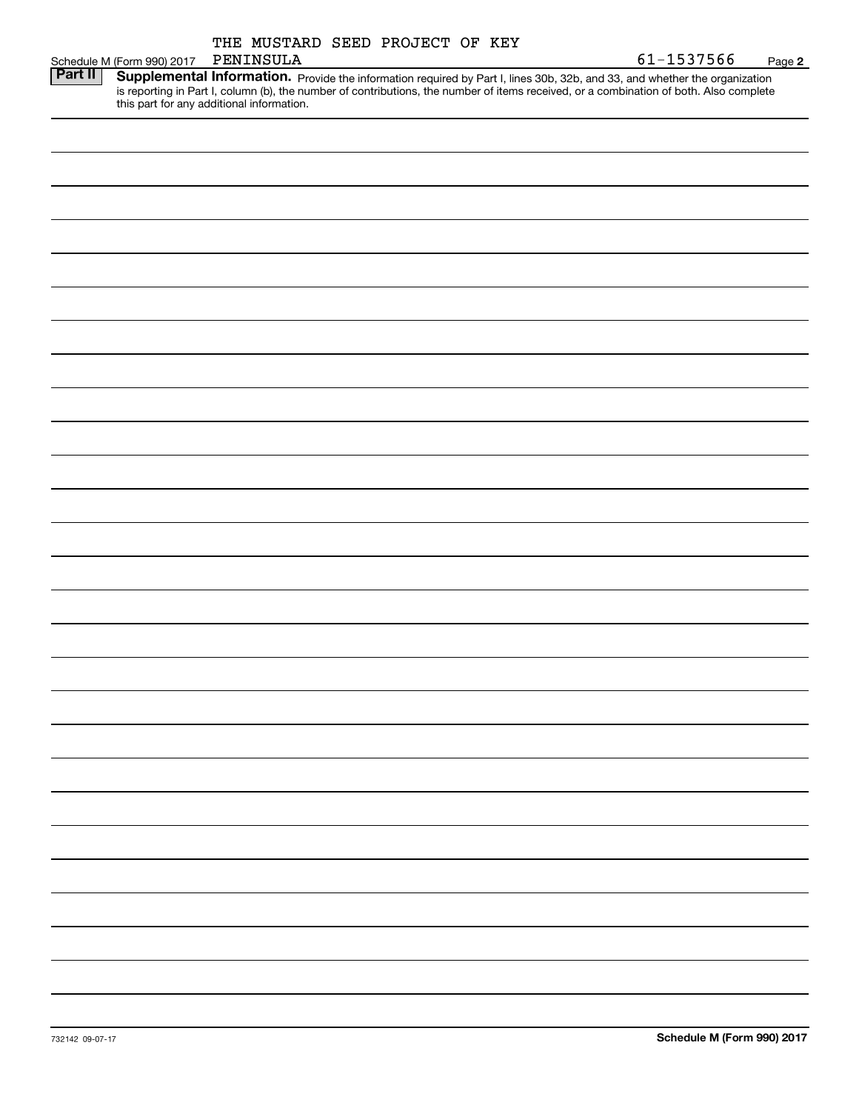|         | THE MUSTARD SEED PROJECT OF KEY                                                                                                                                                                                                                                                                                   |                      |
|---------|-------------------------------------------------------------------------------------------------------------------------------------------------------------------------------------------------------------------------------------------------------------------------------------------------------------------|----------------------|
|         | PENINSULA<br>Schedule M (Form 990) 2017                                                                                                                                                                                                                                                                           | 61-1537566<br>Page 2 |
| Part II | Supplemental Information. Provide the information required by Part I, lines 30b, 32b, and 33, and whether the organization<br>is reporting in Part I, column (b), the number of contributions, the number of items received, or a combination of both. Also complete<br>this part for any additional information. |                      |
|         |                                                                                                                                                                                                                                                                                                                   |                      |
|         |                                                                                                                                                                                                                                                                                                                   |                      |
|         |                                                                                                                                                                                                                                                                                                                   |                      |
|         |                                                                                                                                                                                                                                                                                                                   |                      |
|         |                                                                                                                                                                                                                                                                                                                   |                      |
|         |                                                                                                                                                                                                                                                                                                                   |                      |
|         |                                                                                                                                                                                                                                                                                                                   |                      |
|         |                                                                                                                                                                                                                                                                                                                   |                      |
|         |                                                                                                                                                                                                                                                                                                                   |                      |
|         |                                                                                                                                                                                                                                                                                                                   |                      |
|         |                                                                                                                                                                                                                                                                                                                   |                      |
|         |                                                                                                                                                                                                                                                                                                                   |                      |
|         |                                                                                                                                                                                                                                                                                                                   |                      |
|         |                                                                                                                                                                                                                                                                                                                   |                      |
|         |                                                                                                                                                                                                                                                                                                                   |                      |
|         |                                                                                                                                                                                                                                                                                                                   |                      |
|         |                                                                                                                                                                                                                                                                                                                   |                      |
|         |                                                                                                                                                                                                                                                                                                                   |                      |
|         |                                                                                                                                                                                                                                                                                                                   |                      |
|         |                                                                                                                                                                                                                                                                                                                   |                      |
|         |                                                                                                                                                                                                                                                                                                                   |                      |
|         |                                                                                                                                                                                                                                                                                                                   |                      |
|         |                                                                                                                                                                                                                                                                                                                   |                      |
|         |                                                                                                                                                                                                                                                                                                                   |                      |
|         |                                                                                                                                                                                                                                                                                                                   |                      |
|         |                                                                                                                                                                                                                                                                                                                   |                      |
|         |                                                                                                                                                                                                                                                                                                                   |                      |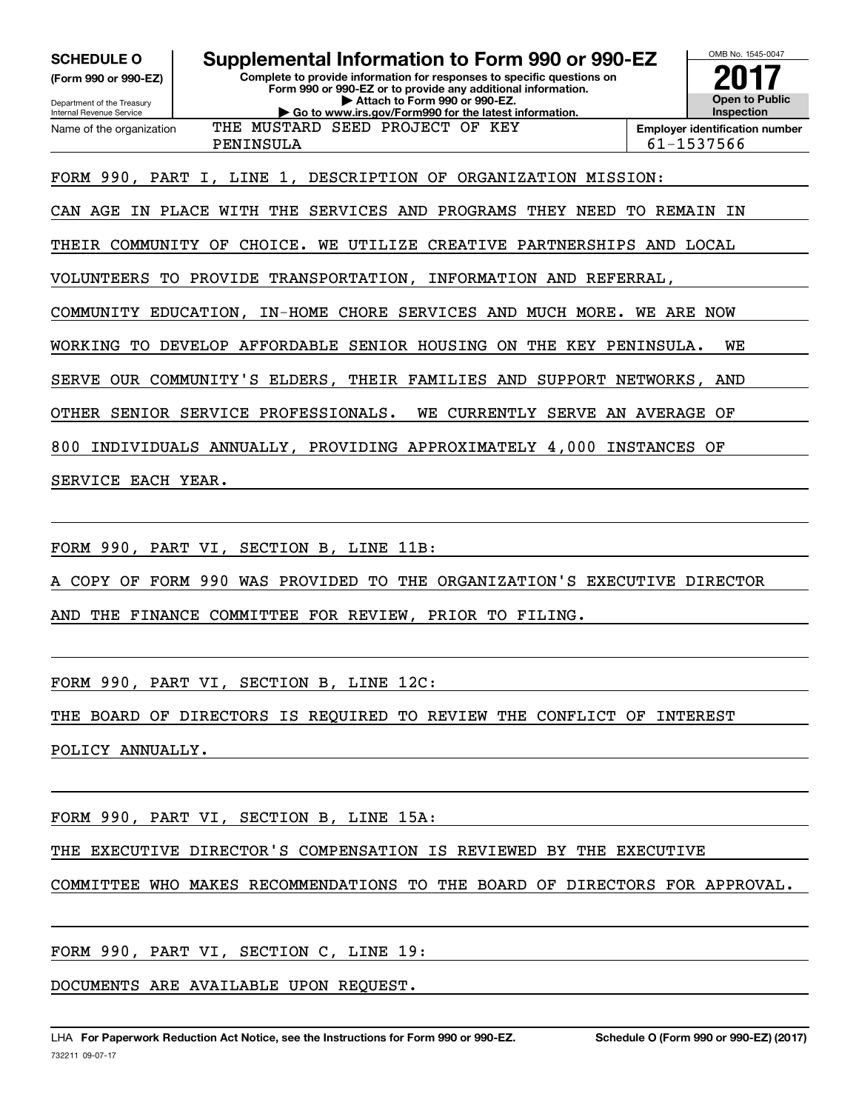**(Form 990 or 990-EZ)**

Department of the Treasury Internal Revenue Service Name of the organization

# **SCHEDULE O Supplemental Information to Form 990 or 990-EZ**

**Complete to provide information for responses to specific questions on Form 990 or 990-EZ or to provide any additional information. | Attach to Form 990 or 990-EZ. | Go to www.irs.gov/Form990 for the latest information.**



PENINSULA 61-1537566

FORM 990, PART I, LINE 1, DESCRIPTION OF ORGANIZATION MISSION:

THE MUSTARD SEED PROJECT OF KEY

CAN AGE IN PLACE WITH THE SERVICES AND PROGRAMS THEY NEED TO REMAIN IN

THEIR COMMUNITY OF CHOICE. WE UTILIZE CREATIVE PARTNERSHIPS AND LOCAL

VOLUNTEERS TO PROVIDE TRANSPORTATION, INFORMATION AND REFERRAL,

COMMUNITY EDUCATION, IN-HOME CHORE SERVICES AND MUCH MORE. WE ARE NOW

WORKING TO DEVELOP AFFORDABLE SENIOR HOUSING ON THE KEY PENINSULA. WE

SERVE OUR COMMUNITY'S ELDERS, THEIR FAMILIES AND SUPPORT NETWORKS, AND

OTHER SENIOR SERVICE PROFESSIONALS. WE CURRENTLY SERVE AN AVERAGE OF

800 INDIVIDUALS ANNUALLY, PROVIDING APPROXIMATELY 4,000 INSTANCES OF

SERVICE EACH YEAR.

FORM 990, PART VI, SECTION B, LINE 11B:

A COPY OF FORM 990 WAS PROVIDED TO THE ORGANIZATION'S EXECUTIVE DIRECTOR

AND THE FINANCE COMMITTEE FOR REVIEW, PRIOR TO FILING.

FORM 990, PART VI, SECTION B, LINE 12C:

THE BOARD OF DIRECTORS IS REQUIRED TO REVIEW THE CONFLICT OF INTEREST

POLICY ANNUALLY.

FORM 990, PART VI, SECTION B, LINE 15A:

THE EXECUTIVE DIRECTOR'S COMPENSATION IS REVIEWED BY THE EXECUTIVE

COMMITTEE WHO MAKES RECOMMENDATIONS TO THE BOARD OF DIRECTORS FOR APPROVAL.

FORM 990, PART VI, SECTION C, LINE 19:

DOCUMENTS ARE AVAILABLE UPON REQUEST.